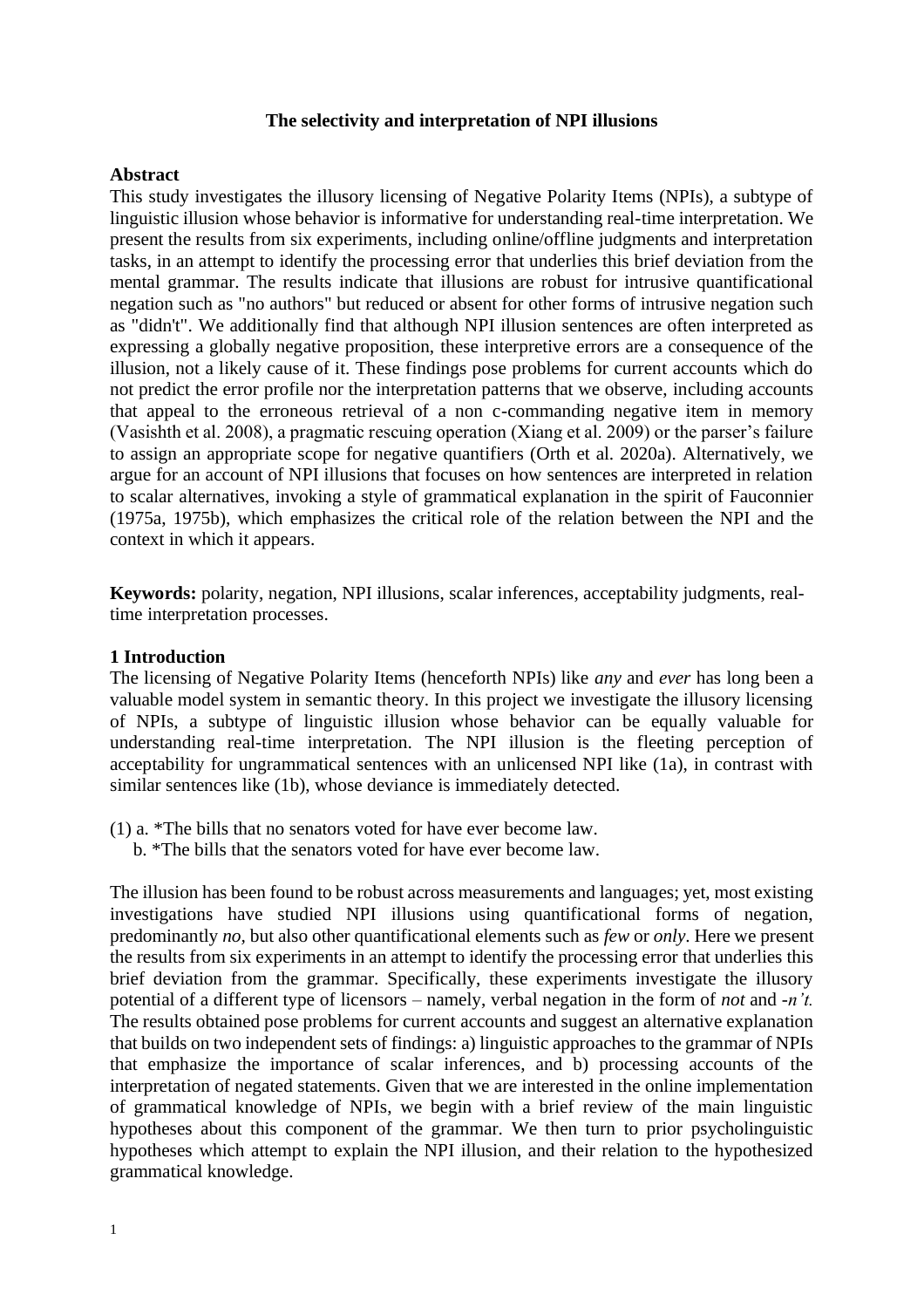## **The selectivity and interpretation of NPI illusions**

## **Abstract**

This study investigates the illusory licensing of Negative Polarity Items (NPIs), a subtype of linguistic illusion whose behavior is informative for understanding real-time interpretation. We present the results from six experiments, including online/offline judgments and interpretation tasks, in an attempt to identify the processing error that underlies this brief deviation from the mental grammar. The results indicate that illusions are robust for intrusive quantificational negation such as "no authors" but reduced or absent for other forms of intrusive negation such as "didn't". We additionally find that although NPI illusion sentences are often interpreted as expressing a globally negative proposition, these interpretive errors are a consequence of the illusion, not a likely cause of it. These findings pose problems for current accounts which do not predict the error profile nor the interpretation patterns that we observe, including accounts that appeal to the erroneous retrieval of a non c-commanding negative item in memory (Vasishth et al. 2008), a pragmatic rescuing operation (Xiang et al. 2009) or the parser's failure to assign an appropriate scope for negative quantifiers (Orth et al. 2020a). Alternatively, we argue for an account of NPI illusions that focuses on how sentences are interpreted in relation to scalar alternatives, invoking a style of grammatical explanation in the spirit of Fauconnier (1975a, 1975b), which emphasizes the critical role of the relation between the NPI and the context in which it appears.

**Keywords:** polarity, negation, NPI illusions, scalar inferences, acceptability judgments, realtime interpretation processes.

#### **1 Introduction**

The licensing of Negative Polarity Items (henceforth NPIs) like *any* and *ever* has long been a valuable model system in semantic theory. In this project we investigate the illusory licensing of NPIs, a subtype of linguistic illusion whose behavior can be equally valuable for understanding real-time interpretation. The NPI illusion is the fleeting perception of acceptability for ungrammatical sentences with an unlicensed NPI like (1a), in contrast with similar sentences like (1b), whose deviance is immediately detected.

- (1) a. \*The bills that no senators voted for have ever become law.
	- b. \*The bills that the senators voted for have ever become law.

The illusion has been found to be robust across measurements and languages; yet, most existing investigations have studied NPI illusions using quantificational forms of negation, predominantly *no,* but also other quantificational elements such as *few* or *only*. Here we present the results from six experiments in an attempt to identify the processing error that underlies this brief deviation from the grammar. Specifically, these experiments investigate the illusory potential of a different type of licensors – namely, verbal negation in the form of *not* and -*n't.*  The results obtained pose problems for current accounts and suggest an alternative explanation that builds on two independent sets of findings: a) linguistic approaches to the grammar of NPIs that emphasize the importance of scalar inferences, and b) processing accounts of the interpretation of negated statements. Given that we are interested in the online implementation of grammatical knowledge of NPIs, we begin with a brief review of the main linguistic hypotheses about this component of the grammar. We then turn to prior psycholinguistic hypotheses which attempt to explain the NPI illusion, and their relation to the hypothesized grammatical knowledge.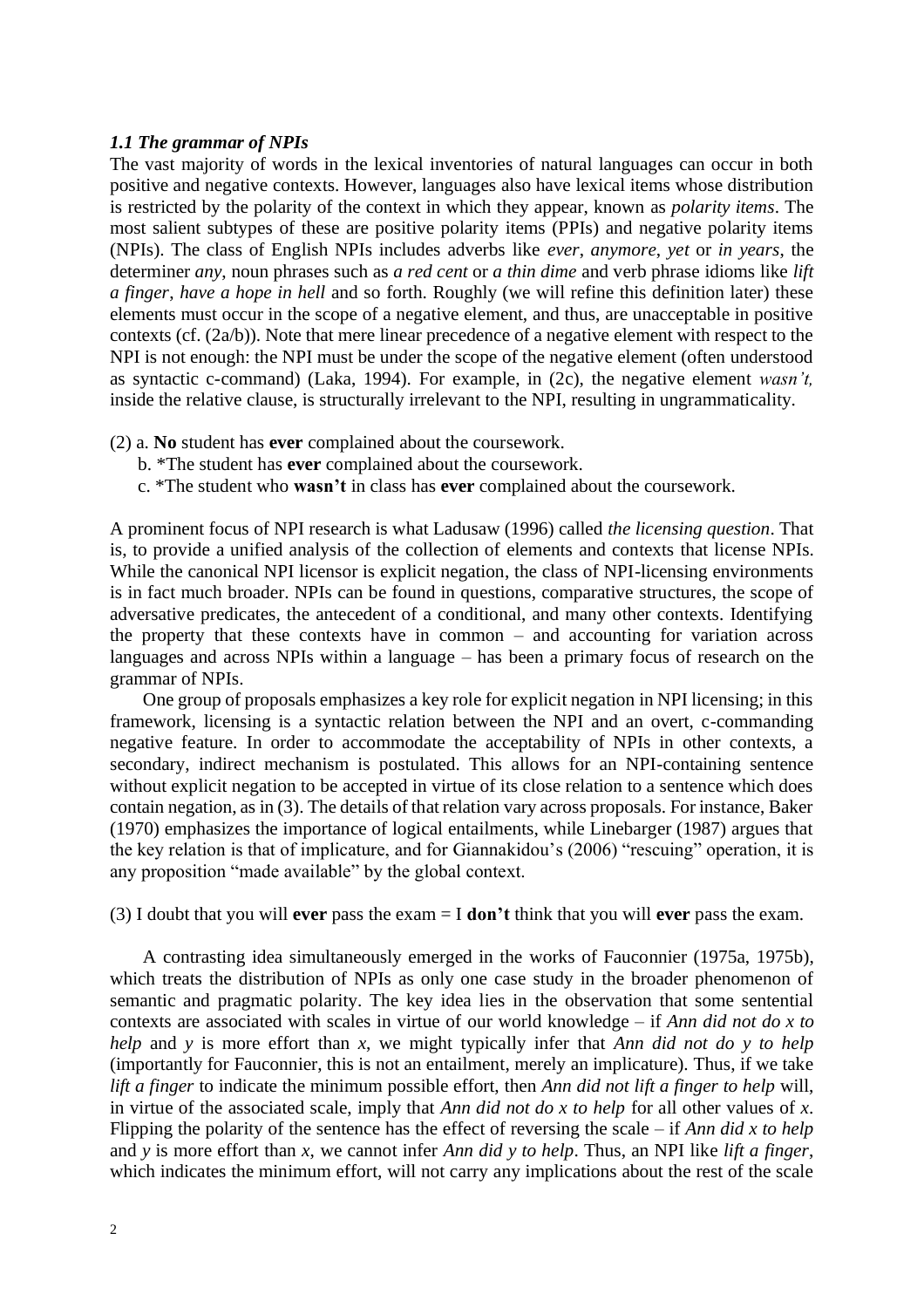## *1.1 The grammar of NPIs*

The vast majority of words in the lexical inventories of natural languages can occur in both positive and negative contexts. However, languages also have lexical items whose distribution is restricted by the polarity of the context in which they appear, known as *polarity items*. The most salient subtypes of these are positive polarity items (PPIs) and negative polarity items (NPIs). The class of English NPIs includes adverbs like *ever*, *anymore*, *yet* or *in years*, the determiner *any*, noun phrases such as *a red cent* or *a thin dime* and verb phrase idioms like *lift a finger*, *have a hope in hell* and so forth. Roughly (we will refine this definition later) these elements must occur in the scope of a negative element, and thus, are unacceptable in positive contexts (cf. (2a/b)). Note that mere linear precedence of a negative element with respect to the NPI is not enough: the NPI must be under the scope of the negative element (often understood as syntactic c-command) (Laka, 1994). For example, in (2c), the negative element *wasn't,* inside the relative clause, is structurally irrelevant to the NPI, resulting in ungrammaticality.

- (2) a. **No** student has **ever** complained about the coursework.
	- b. \*The student has **ever** complained about the coursework.
	- c. \*The student who **wasn't** in class has **ever** complained about the coursework.

A prominent focus of NPI research is what Ladusaw (1996) called *the licensing question*. That is, to provide a unified analysis of the collection of elements and contexts that license NPIs. While the canonical NPI licensor is explicit negation, the class of NPI-licensing environments is in fact much broader. NPIs can be found in questions, comparative structures, the scope of adversative predicates, the antecedent of a conditional, and many other contexts. Identifying the property that these contexts have in common – and accounting for variation across languages and across NPIs within a language – has been a primary focus of research on the grammar of NPIs.

One group of proposals emphasizes a key role for explicit negation in NPI licensing; in this framework, licensing is a syntactic relation between the NPI and an overt, c-commanding negative feature. In order to accommodate the acceptability of NPIs in other contexts, a secondary, indirect mechanism is postulated. This allows for an NPI-containing sentence without explicit negation to be accepted in virtue of its close relation to a sentence which does contain negation, as in (3). The details of that relation vary across proposals. For instance, Baker (1970) emphasizes the importance of logical entailments, while Linebarger (1987) argues that the key relation is that of implicature, and for Giannakidou's (2006) "rescuing" operation, it is any proposition "made available" by the global context.

(3) I doubt that you will **ever** pass the exam = I **don't** think that you will **ever** pass the exam.

A contrasting idea simultaneously emerged in the works of Fauconnier (1975a, 1975b), which treats the distribution of NPIs as only one case study in the broader phenomenon of semantic and pragmatic polarity. The key idea lies in the observation that some sentential contexts are associated with scales in virtue of our world knowledge – if *Ann did not do x to help* and *y* is more effort than *x*, we might typically infer that *Ann did not do y to help* (importantly for Fauconnier, this is not an entailment, merely an implicature). Thus, if we take *lift a finger* to indicate the minimum possible effort, then *Ann did not lift a finger to help* will, in virtue of the associated scale, imply that *Ann did not do x to help* for all other values of *x*. Flipping the polarity of the sentence has the effect of reversing the scale – if *Ann did x to help* and *y* is more effort than *x*, we cannot infer *Ann did y to help*. Thus, an NPI like *lift a finger*, which indicates the minimum effort, will not carry any implications about the rest of the scale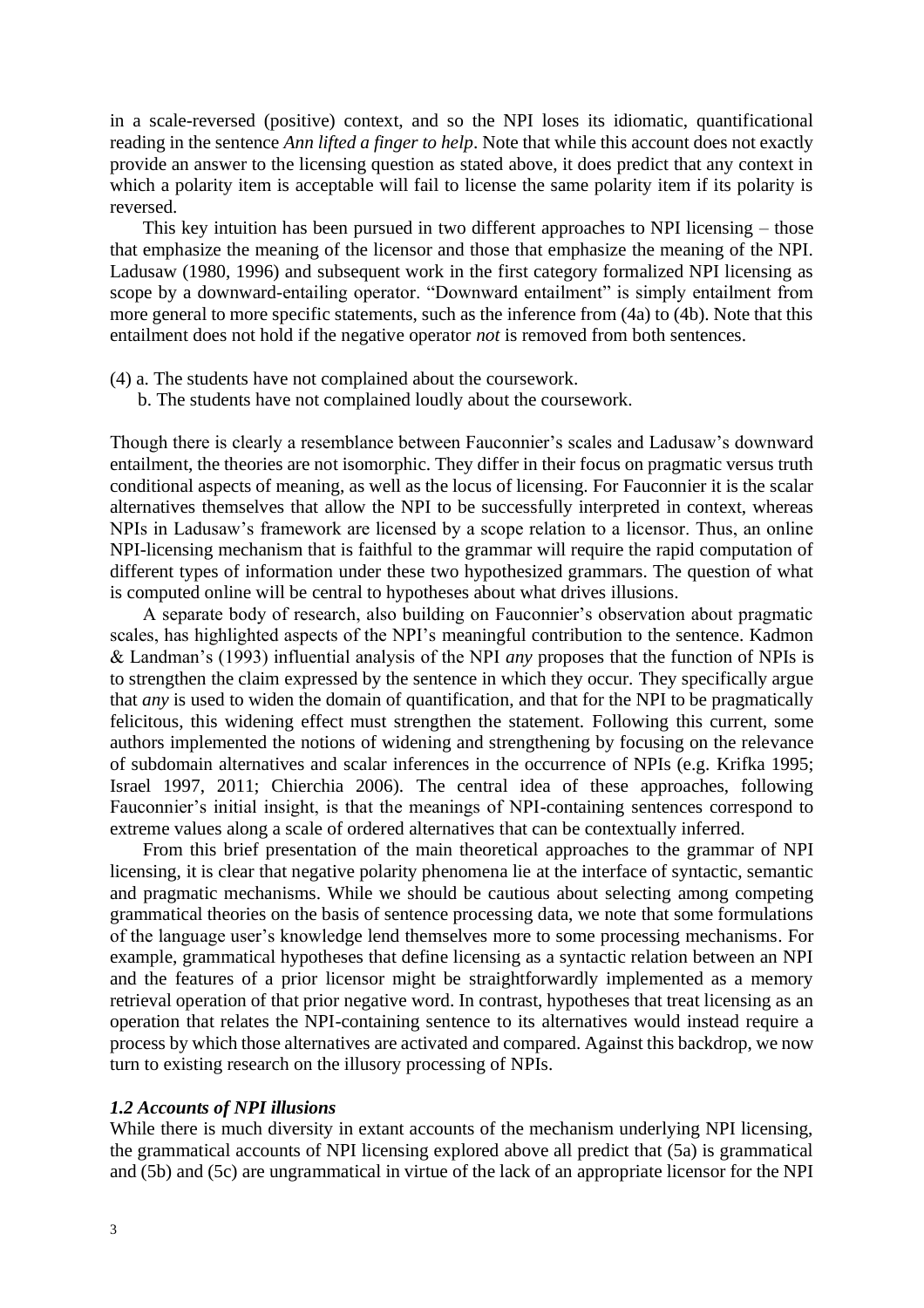in a scale-reversed (positive) context, and so the NPI loses its idiomatic, quantificational reading in the sentence *Ann lifted a finger to help*. Note that while this account does not exactly provide an answer to the licensing question as stated above, it does predict that any context in which a polarity item is acceptable will fail to license the same polarity item if its polarity is reversed.

This key intuition has been pursued in two different approaches to NPI licensing – those that emphasize the meaning of the licensor and those that emphasize the meaning of the NPI. Ladusaw (1980, 1996) and subsequent work in the first category formalized NPI licensing as scope by a downward-entailing operator. "Downward entailment" is simply entailment from more general to more specific statements, such as the inference from (4a) to (4b). Note that this entailment does not hold if the negative operator *not* is removed from both sentences.

- (4) a. The students have not complained about the coursework.
	- b. The students have not complained loudly about the coursework.

Though there is clearly a resemblance between Fauconnier's scales and Ladusaw's downward entailment, the theories are not isomorphic. They differ in their focus on pragmatic versus truth conditional aspects of meaning, as well as the locus of licensing. For Fauconnier it is the scalar alternatives themselves that allow the NPI to be successfully interpreted in context, whereas NPIs in Ladusaw's framework are licensed by a scope relation to a licensor. Thus, an online NPI-licensing mechanism that is faithful to the grammar will require the rapid computation of different types of information under these two hypothesized grammars. The question of what is computed online will be central to hypotheses about what drives illusions.

A separate body of research, also building on Fauconnier's observation about pragmatic scales, has highlighted aspects of the NPI's meaningful contribution to the sentence. Kadmon & Landman's (1993) influential analysis of the NPI *any* proposes that the function of NPIs is to strengthen the claim expressed by the sentence in which they occur. They specifically argue that *any* is used to widen the domain of quantification, and that for the NPI to be pragmatically felicitous, this widening effect must strengthen the statement. Following this current, some authors implemented the notions of widening and strengthening by focusing on the relevance of subdomain alternatives and scalar inferences in the occurrence of NPIs (e.g. Krifka 1995; Israel 1997, 2011; Chierchia 2006). The central idea of these approaches, following Fauconnier's initial insight, is that the meanings of NPI-containing sentences correspond to extreme values along a scale of ordered alternatives that can be contextually inferred.

From this brief presentation of the main theoretical approaches to the grammar of NPI licensing, it is clear that negative polarity phenomena lie at the interface of syntactic, semantic and pragmatic mechanisms. While we should be cautious about selecting among competing grammatical theories on the basis of sentence processing data, we note that some formulations of the language user's knowledge lend themselves more to some processing mechanisms. For example, grammatical hypotheses that define licensing as a syntactic relation between an NPI and the features of a prior licensor might be straightforwardly implemented as a memory retrieval operation of that prior negative word. In contrast, hypotheses that treat licensing as an operation that relates the NPI-containing sentence to its alternatives would instead require a process by which those alternatives are activated and compared. Against this backdrop, we now turn to existing research on the illusory processing of NPIs.

#### *1.2 Accounts of NPI illusions*

While there is much diversity in extant accounts of the mechanism underlying NPI licensing, the grammatical accounts of NPI licensing explored above all predict that (5a) is grammatical and (5b) and (5c) are ungrammatical in virtue of the lack of an appropriate licensor for the NPI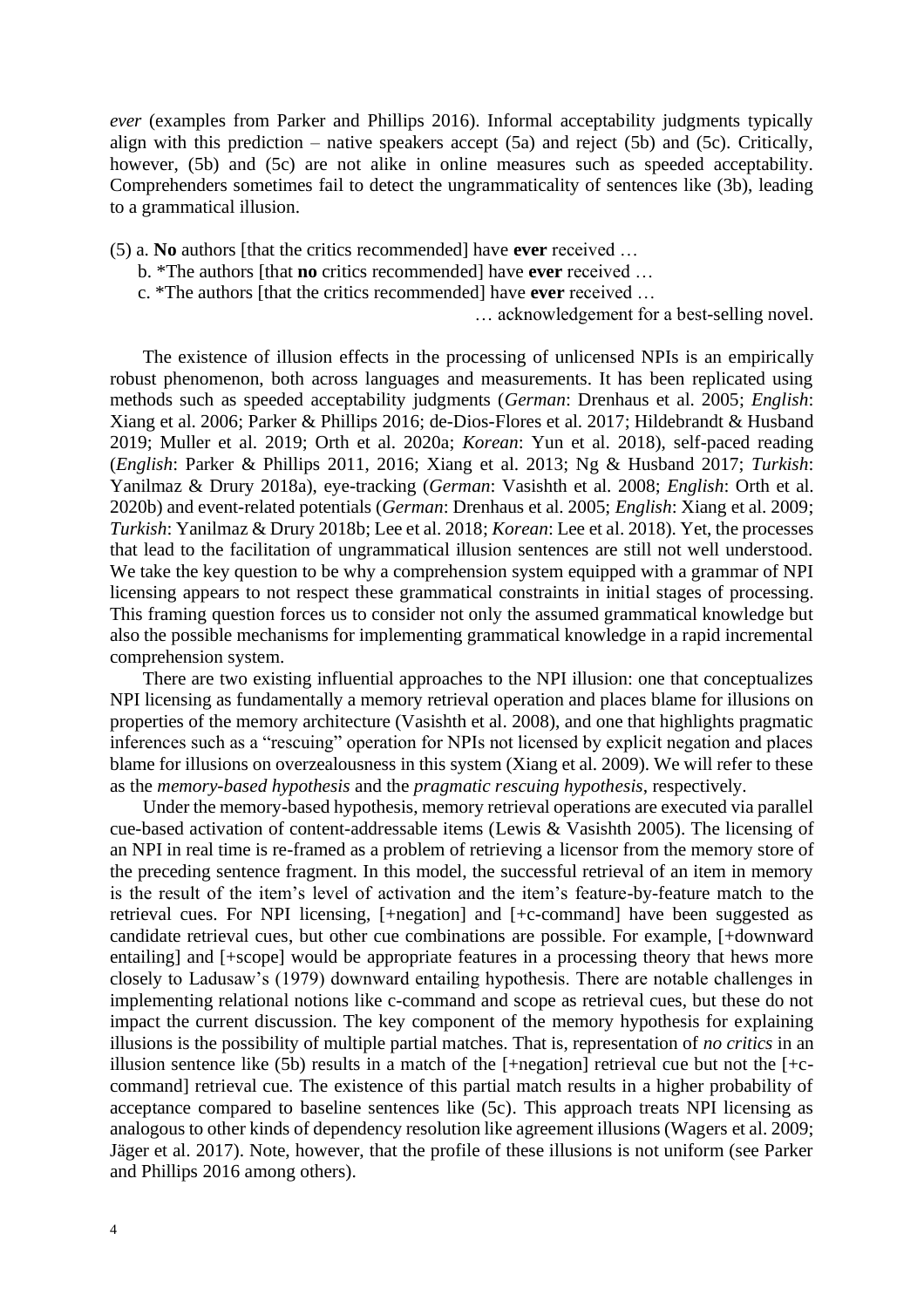*ever* (examples from Parker and Phillips 2016). Informal acceptability judgments typically align with this prediction – native speakers accept  $(5a)$  and reject  $(5b)$  and  $(5c)$ . Critically, however, (5b) and (5c) are not alike in online measures such as speeded acceptability. Comprehenders sometimes fail to detect the ungrammaticality of sentences like (3b), leading to a grammatical illusion.

- (5) a. **No** authors [that the critics recommended] have **ever** received …
	- b. \*The authors [that **no** critics recommended] have **ever** received …
	- c. \*The authors [that the critics recommended] have **ever** received …

… acknowledgement for a best-selling novel.

The existence of illusion effects in the processing of unlicensed NPIs is an empirically robust phenomenon, both across languages and measurements. It has been replicated using methods such as speeded acceptability judgments (*German*: Drenhaus et al. 2005; *English*: Xiang et al. 2006; Parker & Phillips 2016; de-Dios-Flores et al. 2017; Hildebrandt & Husband 2019; Muller et al. 2019; Orth et al. 2020a; *Korean*: Yun et al. 2018), self-paced reading (*English*: Parker & Phillips 2011, 2016; Xiang et al. 2013; Ng & Husband 2017; *Turkish*: Yanilmaz & Drury 2018a), eye-tracking (*German*: Vasishth et al. 2008; *English*: Orth et al. 2020b) and event-related potentials (*German*: Drenhaus et al. 2005; *English*: Xiang et al. 2009; *Turkish*: Yanilmaz & Drury 2018b; Lee et al. 2018; *Korean*: Lee et al. 2018). Yet, the processes that lead to the facilitation of ungrammatical illusion sentences are still not well understood. We take the key question to be why a comprehension system equipped with a grammar of NPI licensing appears to not respect these grammatical constraints in initial stages of processing. This framing question forces us to consider not only the assumed grammatical knowledge but also the possible mechanisms for implementing grammatical knowledge in a rapid incremental comprehension system.

There are two existing influential approaches to the NPI illusion: one that conceptualizes NPI licensing as fundamentally a memory retrieval operation and places blame for illusions on properties of the memory architecture (Vasishth et al. 2008), and one that highlights pragmatic inferences such as a "rescuing" operation for NPIs not licensed by explicit negation and places blame for illusions on overzealousness in this system (Xiang et al. 2009). We will refer to these as the *memory-based hypothesis* and the *pragmatic rescuing hypothesis*, respectively.

Under the memory-based hypothesis, memory retrieval operations are executed via parallel cue-based activation of content-addressable items (Lewis & Vasishth 2005). The licensing of an NPI in real time is re-framed as a problem of retrieving a licensor from the memory store of the preceding sentence fragment. In this model, the successful retrieval of an item in memory is the result of the item's level of activation and the item's feature-by-feature match to the retrieval cues. For NPI licensing, [+negation] and [+c-command] have been suggested as candidate retrieval cues, but other cue combinations are possible. For example, [+downward entailing] and [+scope] would be appropriate features in a processing theory that hews more closely to Ladusaw's (1979) downward entailing hypothesis. There are notable challenges in implementing relational notions like c-command and scope as retrieval cues, but these do not impact the current discussion. The key component of the memory hypothesis for explaining illusions is the possibility of multiple partial matches. That is, representation of *no critics* in an illusion sentence like (5b) results in a match of the [+negation] retrieval cue but not the [+ccommand] retrieval cue. The existence of this partial match results in a higher probability of acceptance compared to baseline sentences like (5c). This approach treats NPI licensing as analogous to other kinds of dependency resolution like agreement illusions (Wagers et al. 2009; Jäger et al. 2017). Note, however, that the profile of these illusions is not uniform (see Parker and Phillips 2016 among others).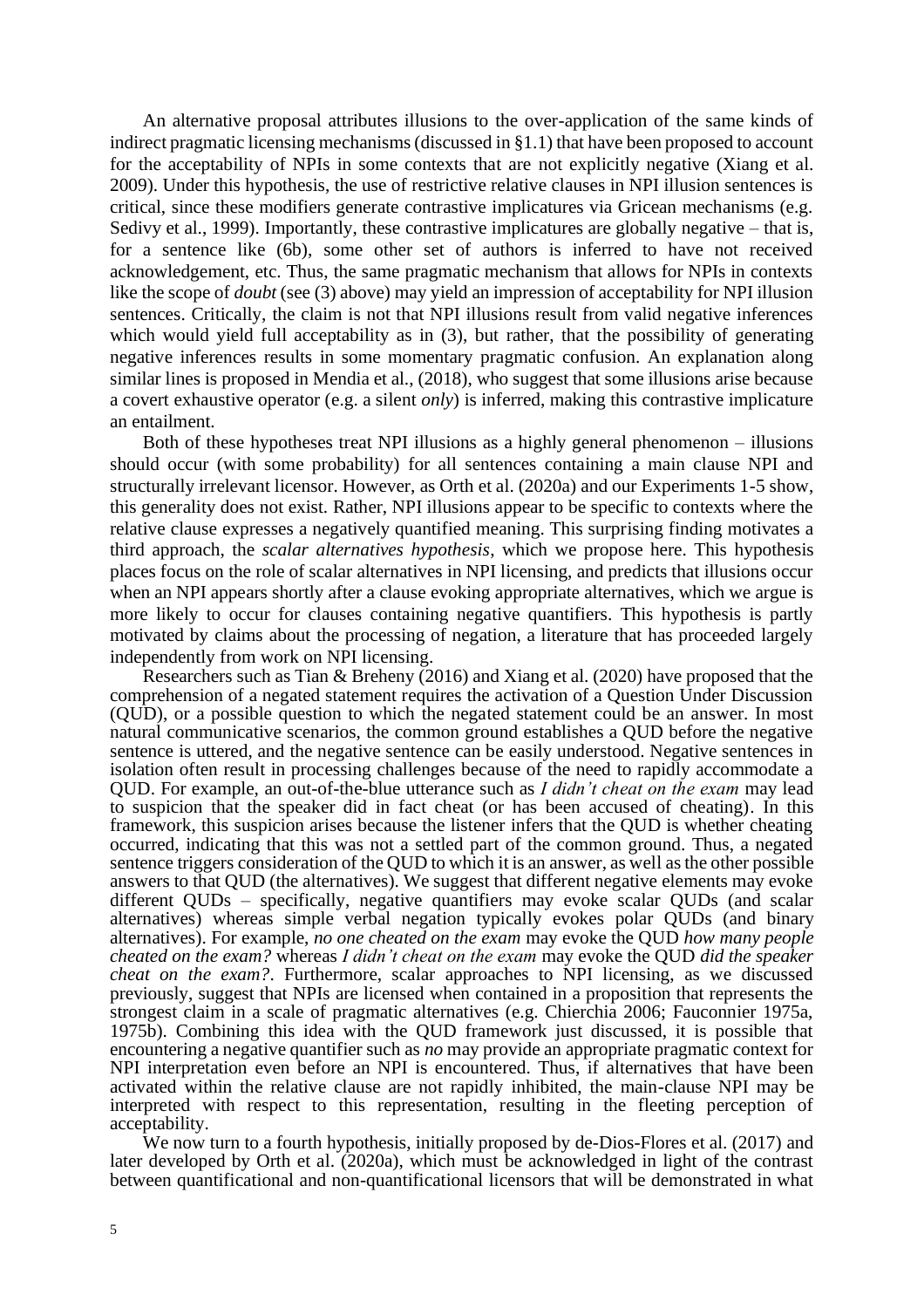An alternative proposal attributes illusions to the over-application of the same kinds of indirect pragmatic licensing mechanisms (discussed in §1.1) that have been proposed to account for the acceptability of NPIs in some contexts that are not explicitly negative (Xiang et al. 2009). Under this hypothesis, the use of restrictive relative clauses in NPI illusion sentences is critical, since these modifiers generate contrastive implicatures via Gricean mechanisms (e.g. Sedivy et al., 1999). Importantly, these contrastive implicatures are globally negative – that is, for a sentence like (6b), some other set of authors is inferred to have not received acknowledgement, etc. Thus, the same pragmatic mechanism that allows for NPIs in contexts like the scope of *doubt* (see (3) above) may yield an impression of acceptability for NPI illusion sentences. Critically, the claim is not that NPI illusions result from valid negative inferences which would yield full acceptability as in (3), but rather, that the possibility of generating negative inferences results in some momentary pragmatic confusion. An explanation along similar lines is proposed in Mendia et al., (2018), who suggest that some illusions arise because a covert exhaustive operator (e.g. a silent *only*) is inferred, making this contrastive implicature an entailment.

Both of these hypotheses treat NPI illusions as a highly general phenomenon – illusions should occur (with some probability) for all sentences containing a main clause NPI and structurally irrelevant licensor. However, as Orth et al. (2020a) and our Experiments 1-5 show, this generality does not exist. Rather, NPI illusions appear to be specific to contexts where the relative clause expresses a negatively quantified meaning. This surprising finding motivates a third approach, the *scalar alternatives hypothesis*, which we propose here. This hypothesis places focus on the role of scalar alternatives in NPI licensing, and predicts that illusions occur when an NPI appears shortly after a clause evoking appropriate alternatives, which we argue is more likely to occur for clauses containing negative quantifiers. This hypothesis is partly motivated by claims about the processing of negation, a literature that has proceeded largely independently from work on NPI licensing.

Researchers such as Tian & Breheny (2016) and Xiang et al. (2020) have proposed that the comprehension of a negated statement requires the activation of a Question Under Discussion (QUD), or a possible question to which the negated statement could be an answer. In most natural communicative scenarios, the common ground establishes a QUD before the negative sentence is uttered, and the negative sentence can be easily understood. Negative sentences in isolation often result in processing challenges because of the need to rapidly accommodate a QUD. For example, an out-of-the-blue utterance such as *I didn't cheat on the exam* may lead to suspicion that the speaker did in fact cheat (or has been accused of cheating). In this framework, this suspicion arises because the listener infers that the QUD is whether cheating occurred, indicating that this was not a settled part of the common ground. Thus, a negated sentence triggers consideration of the QUD to which it is an answer, as well as the other possible answers to that QUD (the alternatives). We suggest that different negative elements may evoke different QUDs – specifically, negative quantifiers may evoke scalar QUDs (and scalar alternatives) whereas simple verbal negation typically evokes polar QUDs (and binary alternatives). For example, *no one cheated on the exam* may evoke the QUD *how many people cheated on the exam?* whereas *I didn't cheat on the exam* may evoke the QUD *did the speaker cheat on the exam?*. Furthermore, scalar approaches to NPI licensing, as we discussed previously, suggest that NPIs are licensed when contained in a proposition that represents the strongest claim in a scale of pragmatic alternatives (e.g. Chierchia 2006; Fauconnier 1975a, 1975b). Combining this idea with the QUD framework just discussed, it is possible that encountering a negative quantifier such as *no* may provide an appropriate pragmatic context for NPI interpretation even before an NPI is encountered. Thus, if alternatives that have been activated within the relative clause are not rapidly inhibited, the main-clause NPI may be interpreted with respect to this representation, resulting in the fleeting perception of acceptability.

We now turn to a fourth hypothesis, initially proposed by de-Dios-Flores et al. (2017) and later developed by Orth et al. (2020a), which must be acknowledged in light of the contrast between quantificational and non-quantificational licensors that will be demonstrated in what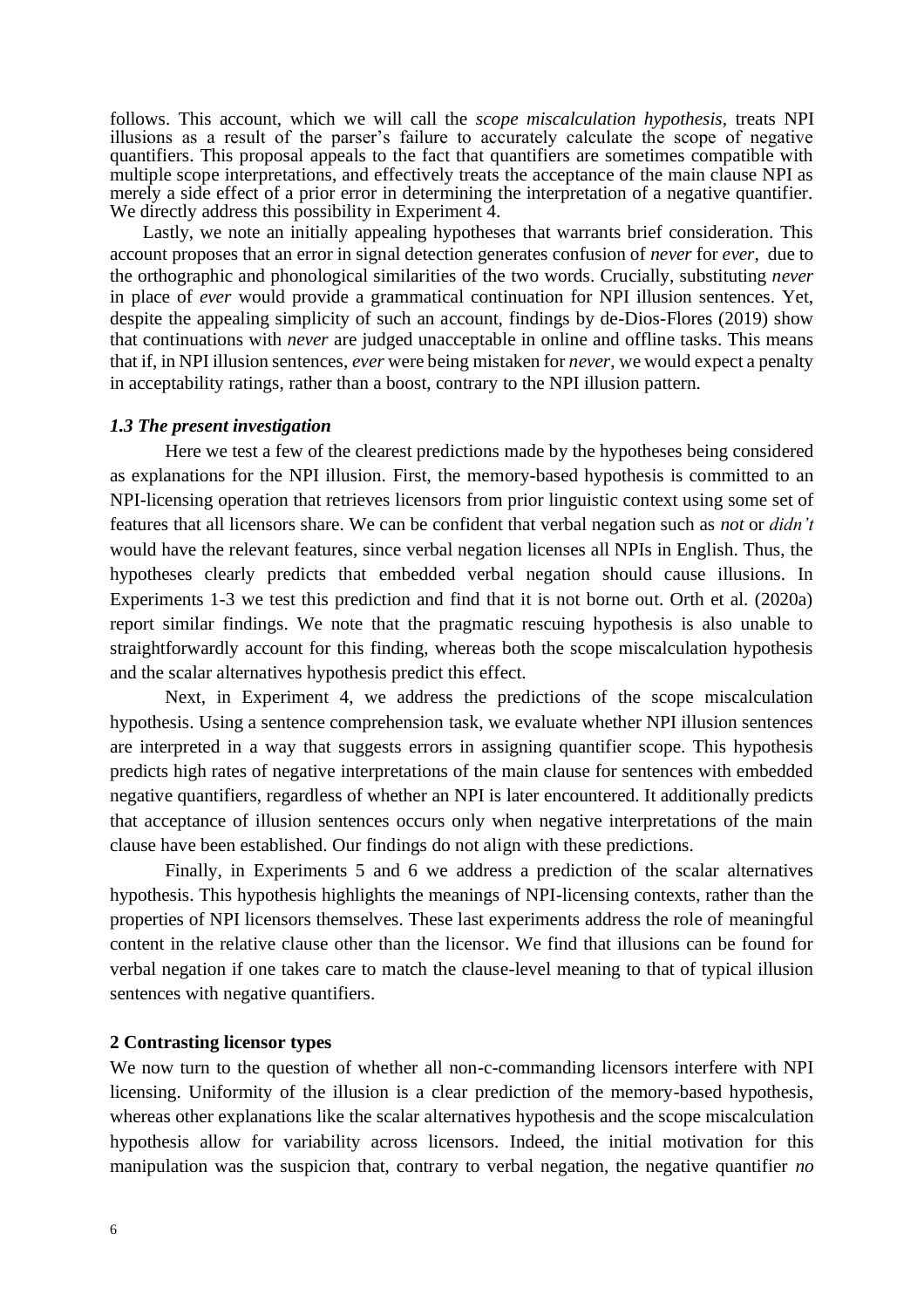follows. This account, which we will call the *scope miscalculation hypothesis,* treats NPI illusions as a result of the parser's failure to accurately calculate the scope of negative quantifiers. This proposal appeals to the fact that quantifiers are sometimes compatible with multiple scope interpretations, and effectively treats the acceptance of the main clause NPI as merely a side effect of a prior error in determining the interpretation of a negative quantifier. We directly address this possibility in Experiment 4.

Lastly, we note an initially appealing hypotheses that warrants brief consideration. This account proposes that an error in signal detection generates confusion of *never* for *ever*, due to the orthographic and phonological similarities of the two words. Crucially, substituting *never* in place of *ever* would provide a grammatical continuation for NPI illusion sentences. Yet, despite the appealing simplicity of such an account, findings by de-Dios-Flores (2019) show that continuations with *never* are judged unacceptable in online and offline tasks. This means that if, in NPI illusion sentences, *ever* were being mistaken for *never,* we would expect a penalty in acceptability ratings, rather than a boost, contrary to the NPI illusion pattern.

#### *1.3 The present investigation*

Here we test a few of the clearest predictions made by the hypotheses being considered as explanations for the NPI illusion. First, the memory-based hypothesis is committed to an NPI-licensing operation that retrieves licensors from prior linguistic context using some set of features that all licensors share. We can be confident that verbal negation such as *not* or *didn't* would have the relevant features, since verbal negation licenses all NPIs in English. Thus, the hypotheses clearly predicts that embedded verbal negation should cause illusions. In Experiments 1-3 we test this prediction and find that it is not borne out. Orth et al. (2020a) report similar findings. We note that the pragmatic rescuing hypothesis is also unable to straightforwardly account for this finding, whereas both the scope miscalculation hypothesis and the scalar alternatives hypothesis predict this effect.

Next, in Experiment 4, we address the predictions of the scope miscalculation hypothesis. Using a sentence comprehension task, we evaluate whether NPI illusion sentences are interpreted in a way that suggests errors in assigning quantifier scope. This hypothesis predicts high rates of negative interpretations of the main clause for sentences with embedded negative quantifiers, regardless of whether an NPI is later encountered. It additionally predicts that acceptance of illusion sentences occurs only when negative interpretations of the main clause have been established. Our findings do not align with these predictions.

Finally, in Experiments 5 and 6 we address a prediction of the scalar alternatives hypothesis. This hypothesis highlights the meanings of NPI-licensing contexts, rather than the properties of NPI licensors themselves. These last experiments address the role of meaningful content in the relative clause other than the licensor. We find that illusions can be found for verbal negation if one takes care to match the clause-level meaning to that of typical illusion sentences with negative quantifiers.

#### **2 Contrasting licensor types**

We now turn to the question of whether all non-c-commanding licensors interfere with NPI licensing. Uniformity of the illusion is a clear prediction of the memory-based hypothesis, whereas other explanations like the scalar alternatives hypothesis and the scope miscalculation hypothesis allow for variability across licensors. Indeed, the initial motivation for this manipulation was the suspicion that, contrary to verbal negation, the negative quantifier *no*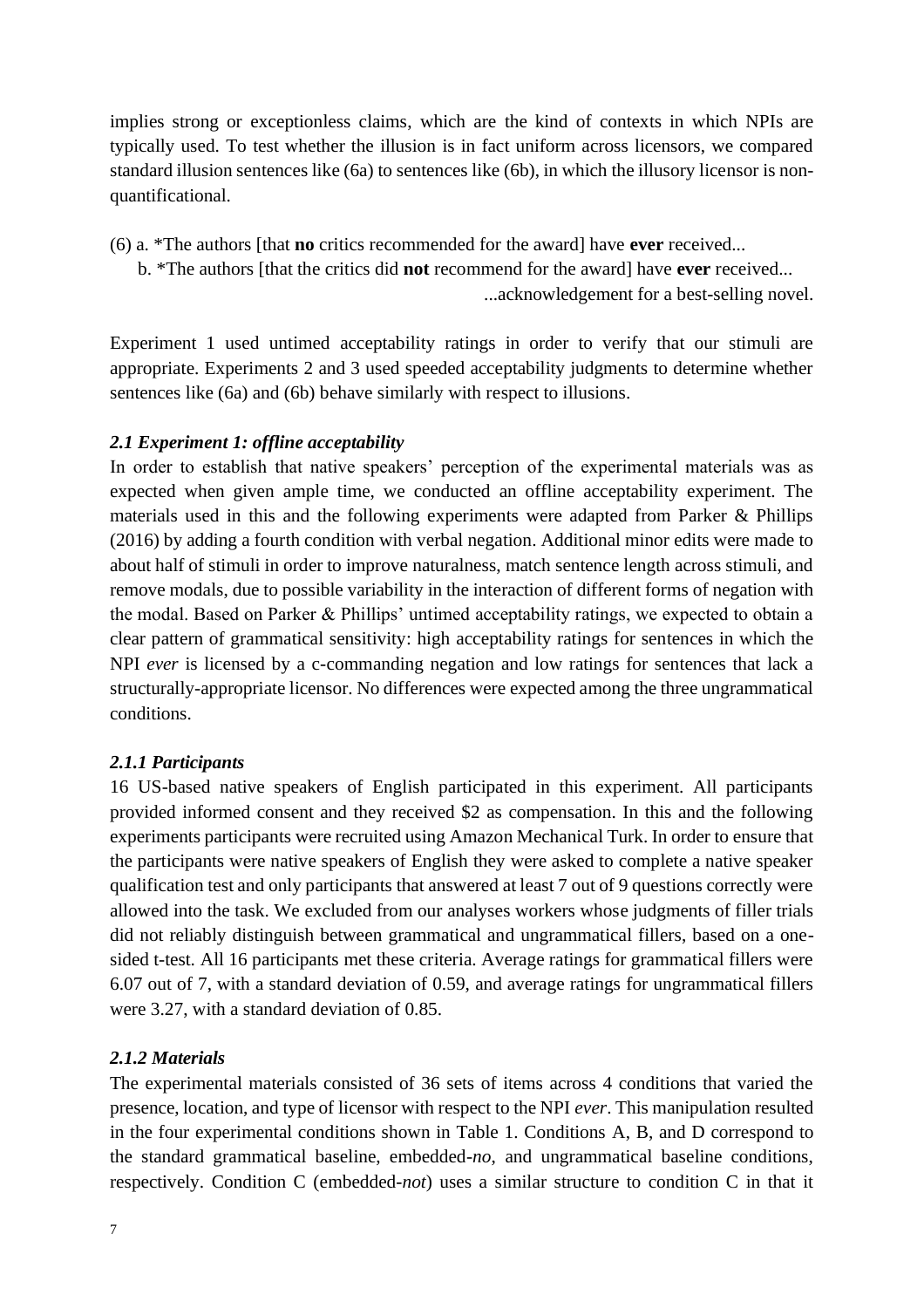implies strong or exceptionless claims, which are the kind of contexts in which NPIs are typically used. To test whether the illusion is in fact uniform across licensors, we compared standard illusion sentences like (6a) to sentences like (6b), in which the illusory licensor is nonquantificational.

- (6) a. \*The authors [that **no** critics recommended for the award] have **ever** received...
	- b. \*The authors [that the critics did **not** recommend for the award] have **ever** received...

...acknowledgement for a best-selling novel.

Experiment 1 used untimed acceptability ratings in order to verify that our stimuli are appropriate. Experiments 2 and 3 used speeded acceptability judgments to determine whether sentences like (6a) and (6b) behave similarly with respect to illusions.

# *2.1 Experiment 1: offline acceptability*

In order to establish that native speakers' perception of the experimental materials was as expected when given ample time, we conducted an offline acceptability experiment. The materials used in this and the following experiments were adapted from Parker & Phillips (2016) by adding a fourth condition with verbal negation. Additional minor edits were made to about half of stimuli in order to improve naturalness, match sentence length across stimuli, and remove modals, due to possible variability in the interaction of different forms of negation with the modal. Based on Parker & Phillips' untimed acceptability ratings, we expected to obtain a clear pattern of grammatical sensitivity: high acceptability ratings for sentences in which the NPI *ever* is licensed by a c-commanding negation and low ratings for sentences that lack a structurally-appropriate licensor. No differences were expected among the three ungrammatical conditions.

# *2.1.1 Participants*

16 US-based native speakers of English participated in this experiment. All participants provided informed consent and they received \$2 as compensation. In this and the following experiments participants were recruited using Amazon Mechanical Turk. In order to ensure that the participants were native speakers of English they were asked to complete a native speaker qualification test and only participants that answered at least 7 out of 9 questions correctly were allowed into the task. We excluded from our analyses workers whose judgments of filler trials did not reliably distinguish between grammatical and ungrammatical fillers, based on a onesided t-test. All 16 participants met these criteria. Average ratings for grammatical fillers were 6.07 out of 7, with a standard deviation of 0.59, and average ratings for ungrammatical fillers were 3.27, with a standard deviation of 0.85.

# *2.1.2 Materials*

The experimental materials consisted of 36 sets of items across 4 conditions that varied the presence, location, and type of licensor with respect to the NPI *ever*. This manipulation resulted in the four experimental conditions shown in Table 1. Conditions A, B, and D correspond to the standard grammatical baseline, embedded-*no*, and ungrammatical baseline conditions, respectively. Condition C (embedded-*not*) uses a similar structure to condition C in that it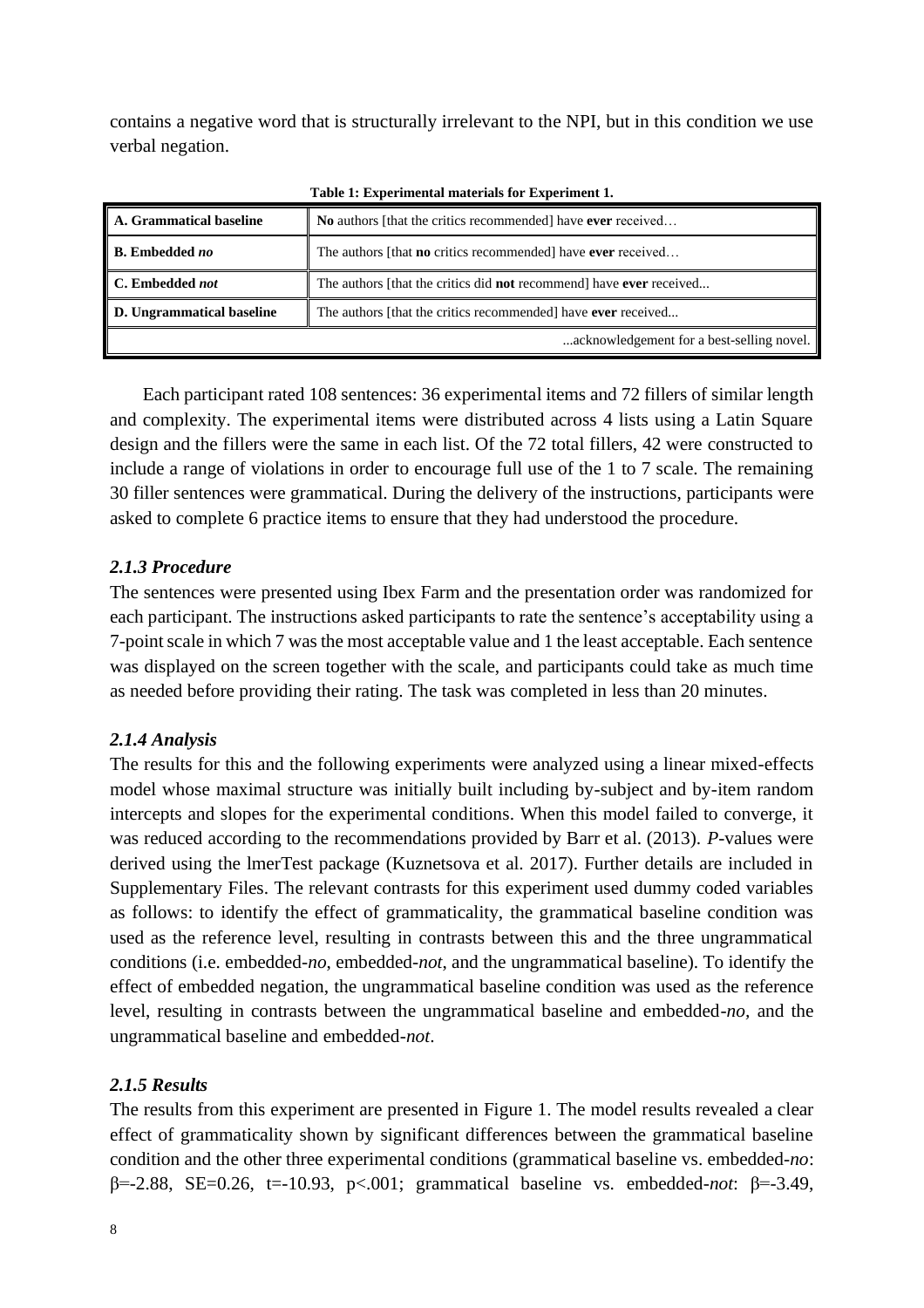contains a negative word that is structurally irrelevant to the NPI, but in this condition we use verbal negation.

| A. Grammatical baseline   | No authors [that the critics recommended] have ever received                      |  |
|---------------------------|-----------------------------------------------------------------------------------|--|
| <b>B.</b> Embedded no     | The authors [that <b>no</b> critics recommended] have <b>ever</b> received        |  |
| C. Embedded not           | The authors [that the critics did <b>not</b> recommend] have <b>ever</b> received |  |
| D. Ungrammatical baseline | The authors [that the critics recommended] have ever received                     |  |
|                           | acknowledgement for a best-selling novel.                                         |  |

**Table 1: Experimental materials for Experiment 1.**

Each participant rated 108 sentences: 36 experimental items and 72 fillers of similar length and complexity. The experimental items were distributed across 4 lists using a Latin Square design and the fillers were the same in each list. Of the 72 total fillers, 42 were constructed to include a range of violations in order to encourage full use of the 1 to 7 scale. The remaining 30 filler sentences were grammatical. During the delivery of the instructions, participants were asked to complete 6 practice items to ensure that they had understood the procedure.

# *2.1.3 Procedure*

The sentences were presented using Ibex Farm and the presentation order was randomized for each participant. The instructions asked participants to rate the sentence's acceptability using a 7-point scale in which 7 was the most acceptable value and 1 the least acceptable. Each sentence was displayed on the screen together with the scale, and participants could take as much time as needed before providing their rating. The task was completed in less than 20 minutes.

# *2.1.4 Analysis*

The results for this and the following experiments were analyzed using a linear mixed-effects model whose maximal structure was initially built including by-subject and by-item random intercepts and slopes for the experimental conditions. When this model failed to converge, it was reduced according to the recommendations provided by Barr et al. (2013). *P*-values were derived using the lmerTest package (Kuznetsova et al. 2017). Further details are included in Supplementary Files. The relevant contrasts for this experiment used dummy coded variables as follows: to identify the effect of grammaticality, the grammatical baseline condition was used as the reference level, resulting in contrasts between this and the three ungrammatical conditions (i.e. embedded-*no*, embedded-*not*, and the ungrammatical baseline). To identify the effect of embedded negation, the ungrammatical baseline condition was used as the reference level, resulting in contrasts between the ungrammatical baseline and embedded-*no,* and the ungrammatical baseline and embedded-*not*.

# *2.1.5 Results*

The results from this experiment are presented in Figure 1. The model results revealed a clear effect of grammaticality shown by significant differences between the grammatical baseline condition and the other three experimental conditions (grammatical baseline vs. embedded-*no*: β=-2.88, SE=0.26, t=-10.93, p<.001; grammatical baseline vs. embedded-*not*: β=-3.49,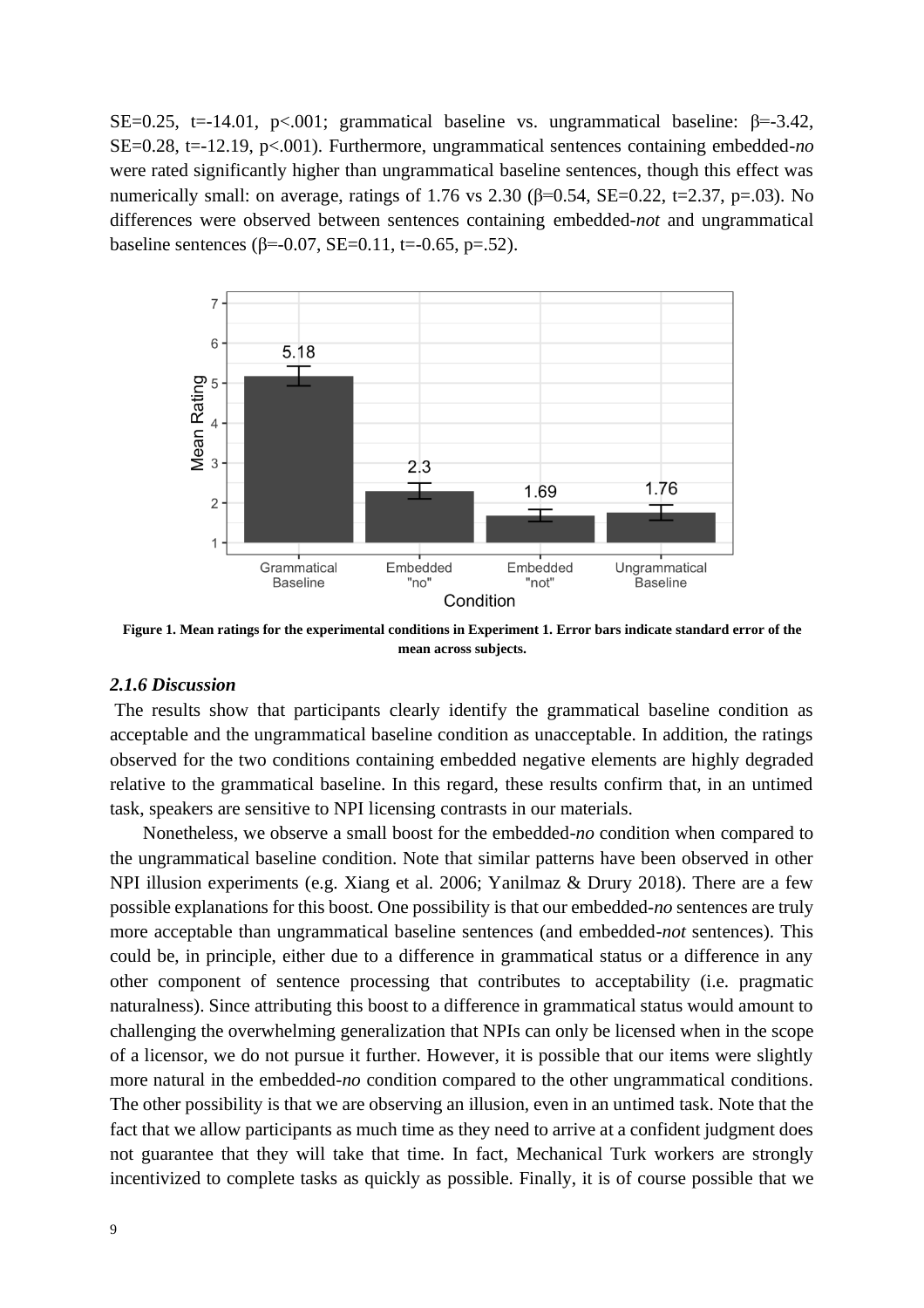SE=0.25, t=-14.01, p<.001; grammatical baseline vs. ungrammatical baseline:  $\beta$ =-3.42, SE=0.28, t=-12.19, p<.001). Furthermore, ungrammatical sentences containing embedded-*no*  were rated significantly higher than ungrammatical baseline sentences, though this effect was numerically small: on average, ratings of 1.76 vs 2.30 ( $\beta$ =0.54, SE=0.22, t=2.37, p=.03). No differences were observed between sentences containing embedded-*not* and ungrammatical baseline sentences ( $\beta$ =-0.07, SE=0.11, t=-0.65, p=.52).



**Figure 1. Mean ratings for the experimental conditions in Experiment 1. Error bars indicate standard error of the mean across subjects.**

## *2.1.6 Discussion*

The results show that participants clearly identify the grammatical baseline condition as acceptable and the ungrammatical baseline condition as unacceptable. In addition, the ratings observed for the two conditions containing embedded negative elements are highly degraded relative to the grammatical baseline. In this regard, these results confirm that, in an untimed task, speakers are sensitive to NPI licensing contrasts in our materials.

Nonetheless, we observe a small boost for the embedded-*no* condition when compared to the ungrammatical baseline condition. Note that similar patterns have been observed in other NPI illusion experiments (e.g. Xiang et al. 2006; Yanilmaz & Drury 2018). There are a few possible explanations for this boost. One possibility is that our embedded-*no* sentences are truly more acceptable than ungrammatical baseline sentences (and embedded-*not* sentences). This could be, in principle, either due to a difference in grammatical status or a difference in any other component of sentence processing that contributes to acceptability (i.e. pragmatic naturalness). Since attributing this boost to a difference in grammatical status would amount to challenging the overwhelming generalization that NPIs can only be licensed when in the scope of a licensor, we do not pursue it further. However, it is possible that our items were slightly more natural in the embedded-*no* condition compared to the other ungrammatical conditions. The other possibility is that we are observing an illusion, even in an untimed task. Note that the fact that we allow participants as much time as they need to arrive at a confident judgment does not guarantee that they will take that time. In fact, Mechanical Turk workers are strongly incentivized to complete tasks as quickly as possible. Finally, it is of course possible that we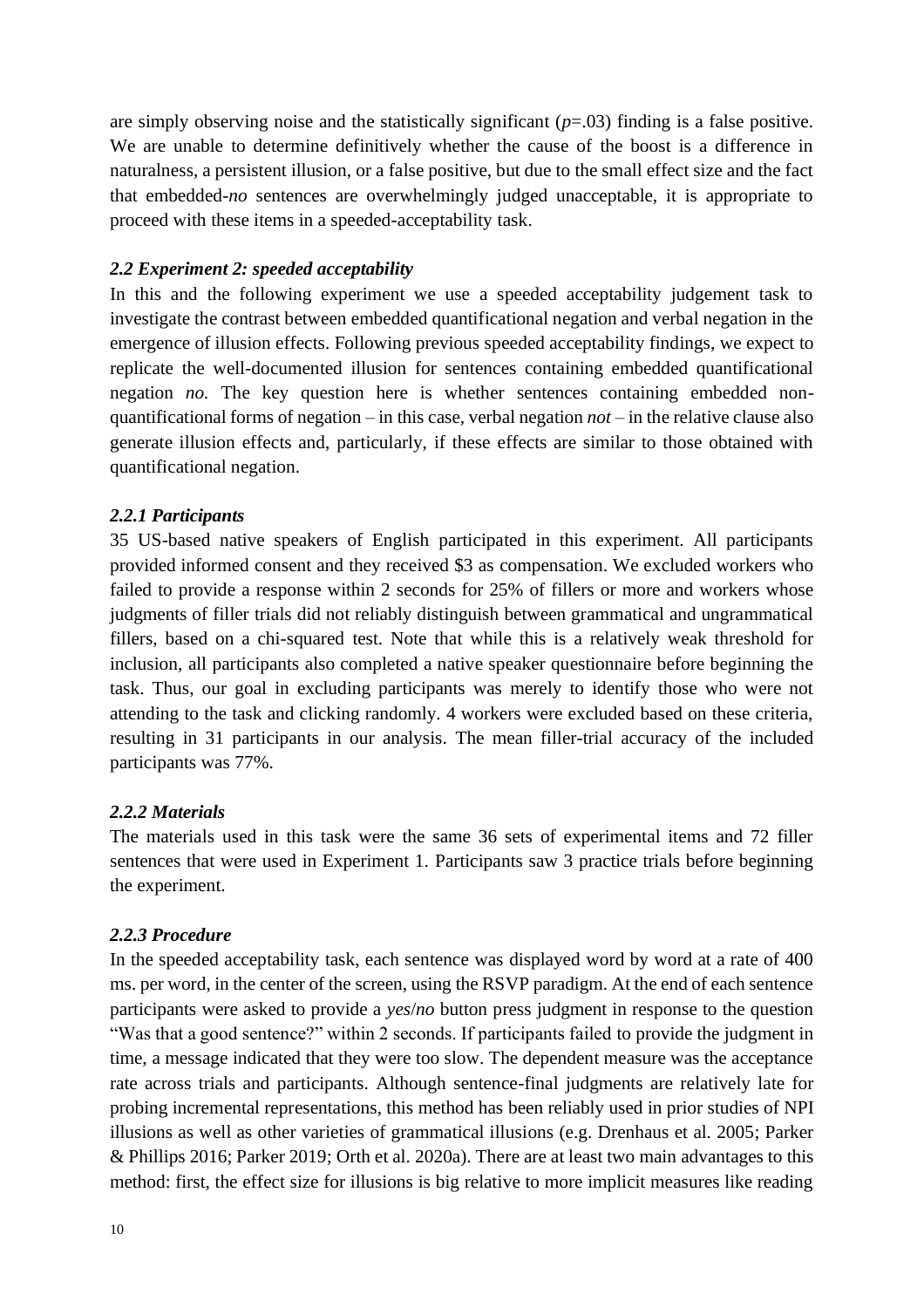are simply observing noise and the statistically significant (*p*=.03) finding is a false positive. We are unable to determine definitively whether the cause of the boost is a difference in naturalness, a persistent illusion, or a false positive, but due to the small effect size and the fact that embedded-*no* sentences are overwhelmingly judged unacceptable, it is appropriate to proceed with these items in a speeded-acceptability task.

# *2.2 Experiment 2: speeded acceptability*

In this and the following experiment we use a speeded acceptability judgement task to investigate the contrast between embedded quantificational negation and verbal negation in the emergence of illusion effects. Following previous speeded acceptability findings, we expect to replicate the well-documented illusion for sentences containing embedded quantificational negation *no.* The key question here is whether sentences containing embedded nonquantificational forms of negation – in this case, verbal negation *not –* in the relative clause also generate illusion effects and, particularly, if these effects are similar to those obtained with quantificational negation.

# *2.2.1 Participants*

35 US-based native speakers of English participated in this experiment. All participants provided informed consent and they received \$3 as compensation. We excluded workers who failed to provide a response within 2 seconds for 25% of fillers or more and workers whose judgments of filler trials did not reliably distinguish between grammatical and ungrammatical fillers, based on a chi-squared test. Note that while this is a relatively weak threshold for inclusion, all participants also completed a native speaker questionnaire before beginning the task. Thus, our goal in excluding participants was merely to identify those who were not attending to the task and clicking randomly. 4 workers were excluded based on these criteria, resulting in 31 participants in our analysis. The mean filler-trial accuracy of the included participants was 77%.

# *2.2.2 Materials*

The materials used in this task were the same 36 sets of experimental items and 72 filler sentences that were used in Experiment 1. Participants saw 3 practice trials before beginning the experiment.

# *2.2.3 Procedure*

In the speeded acceptability task, each sentence was displayed word by word at a rate of 400 ms. per word, in the center of the screen, using the RSVP paradigm. At the end of each sentence participants were asked to provide a *yes*/*no* button press judgment in response to the question "Was that a good sentence?" within 2 seconds. If participants failed to provide the judgment in time, a message indicated that they were too slow. The dependent measure was the acceptance rate across trials and participants. Although sentence-final judgments are relatively late for probing incremental representations, this method has been reliably used in prior studies of NPI illusions as well as other varieties of grammatical illusions (e.g. Drenhaus et al. 2005; Parker & Phillips 2016; Parker 2019; Orth et al. 2020a). There are at least two main advantages to this method: first, the effect size for illusions is big relative to more implicit measures like reading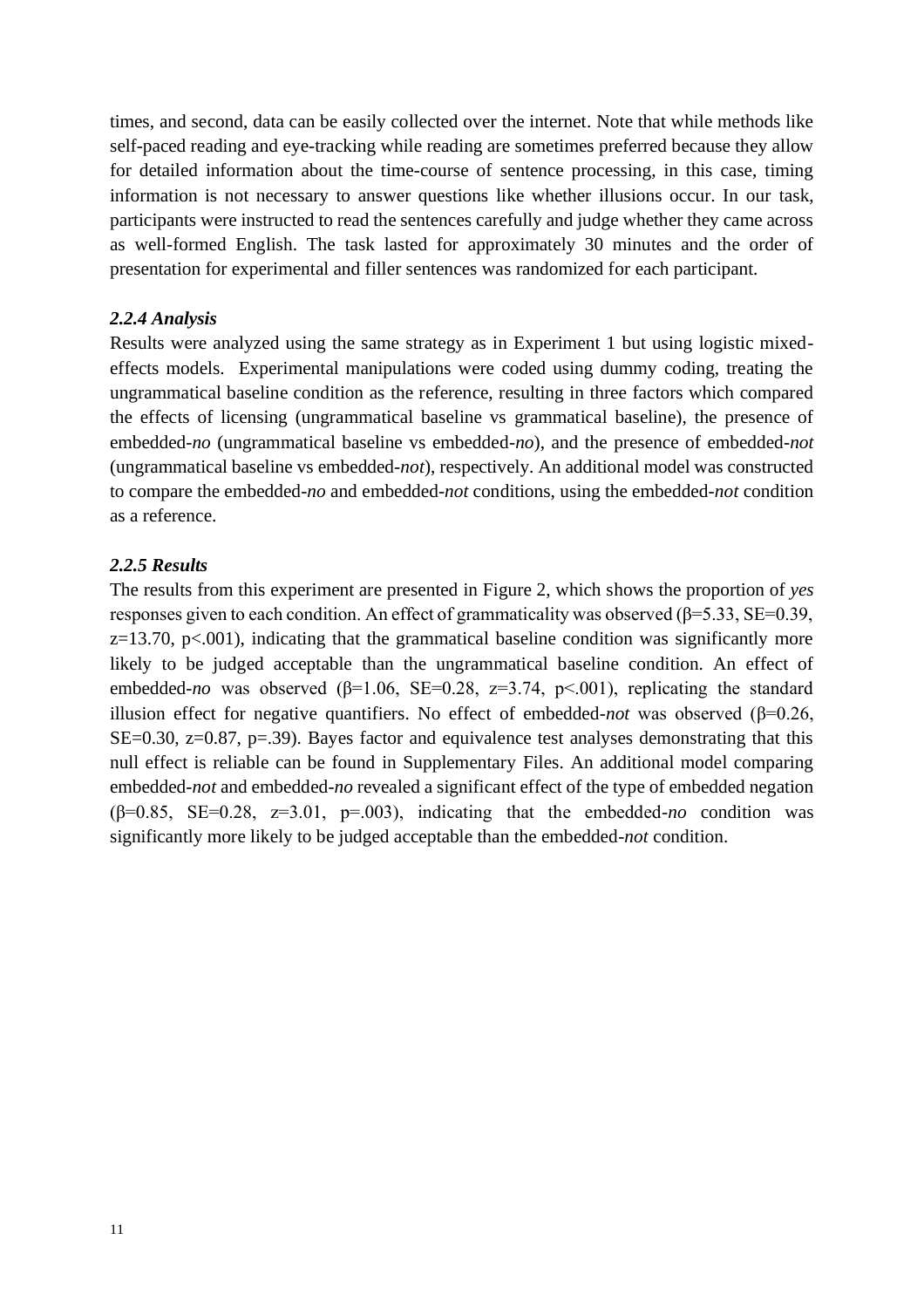times, and second, data can be easily collected over the internet. Note that while methods like self-paced reading and eye-tracking while reading are sometimes preferred because they allow for detailed information about the time-course of sentence processing, in this case, timing information is not necessary to answer questions like whether illusions occur. In our task, participants were instructed to read the sentences carefully and judge whether they came across as well-formed English. The task lasted for approximately 30 minutes and the order of presentation for experimental and filler sentences was randomized for each participant.

## *2.2.4 Analysis*

Results were analyzed using the same strategy as in Experiment 1 but using logistic mixedeffects models. Experimental manipulations were coded using dummy coding, treating the ungrammatical baseline condition as the reference, resulting in three factors which compared the effects of licensing (ungrammatical baseline vs grammatical baseline), the presence of embedded-*no* (ungrammatical baseline vs embedded-*no*), and the presence of embedded-*not* (ungrammatical baseline vs embedded-*not*), respectively. An additional model was constructed to compare the embedded-*no* and embedded-*not* conditions, using the embedded-*not* condition as a reference.

## *2.2.5 Results*

The results from this experiment are presented in Figure 2, which shows the proportion of *yes* responses given to each condition. An effect of grammaticality was observed ( $\beta$ =5.33, SE=0.39,  $z=13.70$ ,  $p<.001$ ), indicating that the grammatical baseline condition was significantly more likely to be judged acceptable than the ungrammatical baseline condition. An effect of embedded-*no* was observed ( $\beta$ =1.06, SE=0.28, z=3.74, p<.001), replicating the standard illusion effect for negative quantifiers. No effect of embedded-*not* was observed (β=0.26, SE=0.30, z=0.87, p=.39). Bayes factor and equivalence test analyses demonstrating that this null effect is reliable can be found in Supplementary Files. An additional model comparing embedded-*not* and embedded-*no* revealed a significant effect of the type of embedded negation ( $\beta$ =0.85, SE=0.28, z=3.01, p=.003), indicating that the embedded-*no* condition was significantly more likely to be judged acceptable than the embedded-*not* condition.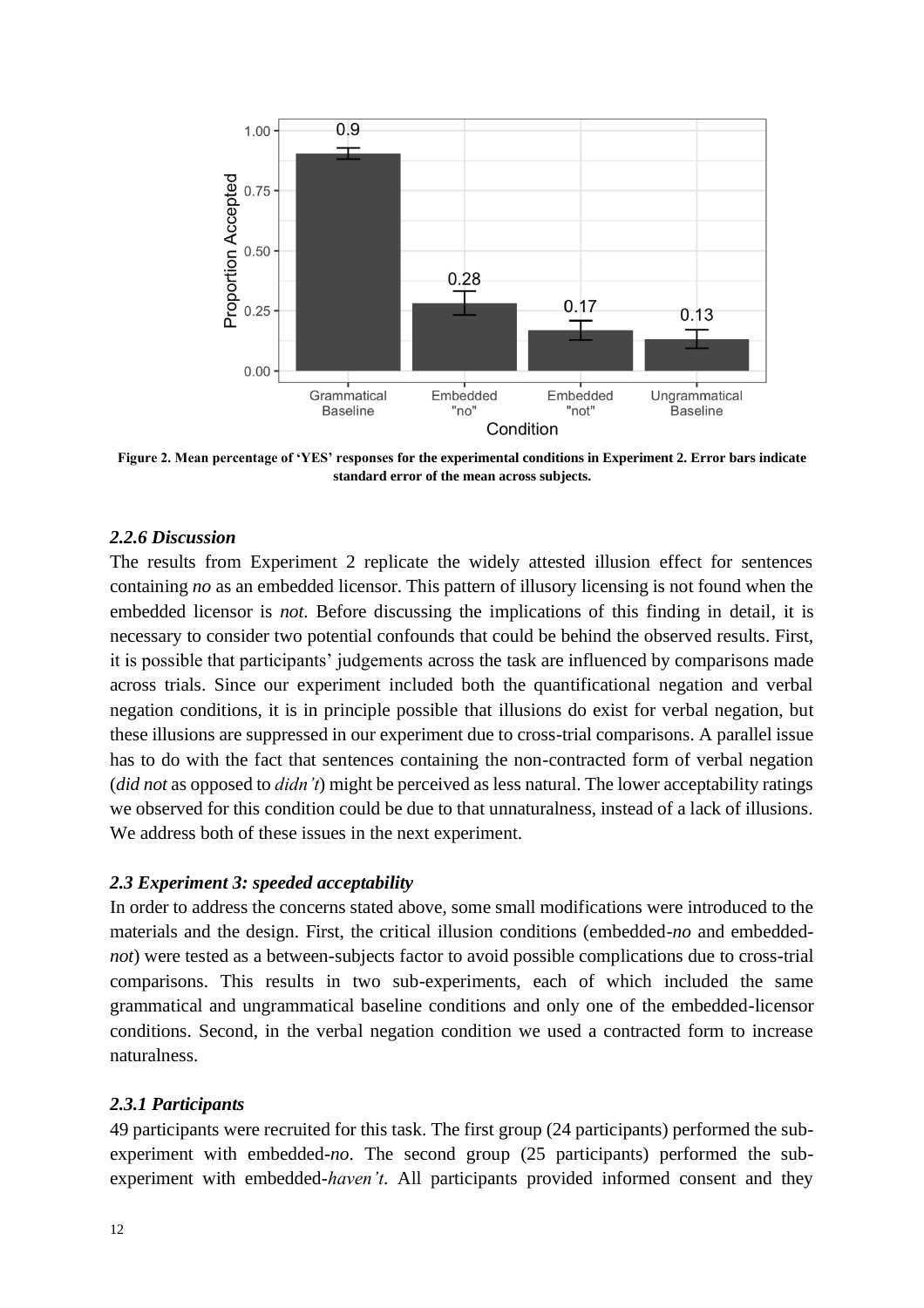

**Figure 2. Mean percentage of 'YES' responses for the experimental conditions in Experiment 2. Error bars indicate standard error of the mean across subjects.**

## *2.2.6 Discussion*

The results from Experiment 2 replicate the widely attested illusion effect for sentences containing *no* as an embedded licensor. This pattern of illusory licensing is not found when the embedded licensor is *not*. Before discussing the implications of this finding in detail, it is necessary to consider two potential confounds that could be behind the observed results. First, it is possible that participants' judgements across the task are influenced by comparisons made across trials. Since our experiment included both the quantificational negation and verbal negation conditions, it is in principle possible that illusions do exist for verbal negation, but these illusions are suppressed in our experiment due to cross-trial comparisons. A parallel issue has to do with the fact that sentences containing the non-contracted form of verbal negation (*did not* as opposed to *didn't*) might be perceived as less natural. The lower acceptability ratings we observed for this condition could be due to that unnaturalness, instead of a lack of illusions. We address both of these issues in the next experiment.

## *2.3 Experiment 3: speeded acceptability*

In order to address the concerns stated above, some small modifications were introduced to the materials and the design. First, the critical illusion conditions (embedded-*no* and embedded*not*) were tested as a between-subjects factor to avoid possible complications due to cross-trial comparisons. This results in two sub-experiments, each of which included the same grammatical and ungrammatical baseline conditions and only one of the embedded-licensor conditions. Second, in the verbal negation condition we used a contracted form to increase naturalness.

## *2.3.1 Participants*

49 participants were recruited for this task. The first group (24 participants) performed the subexperiment with embedded-*no*. The second group (25 participants) performed the subexperiment with embedded-*haven't*. All participants provided informed consent and they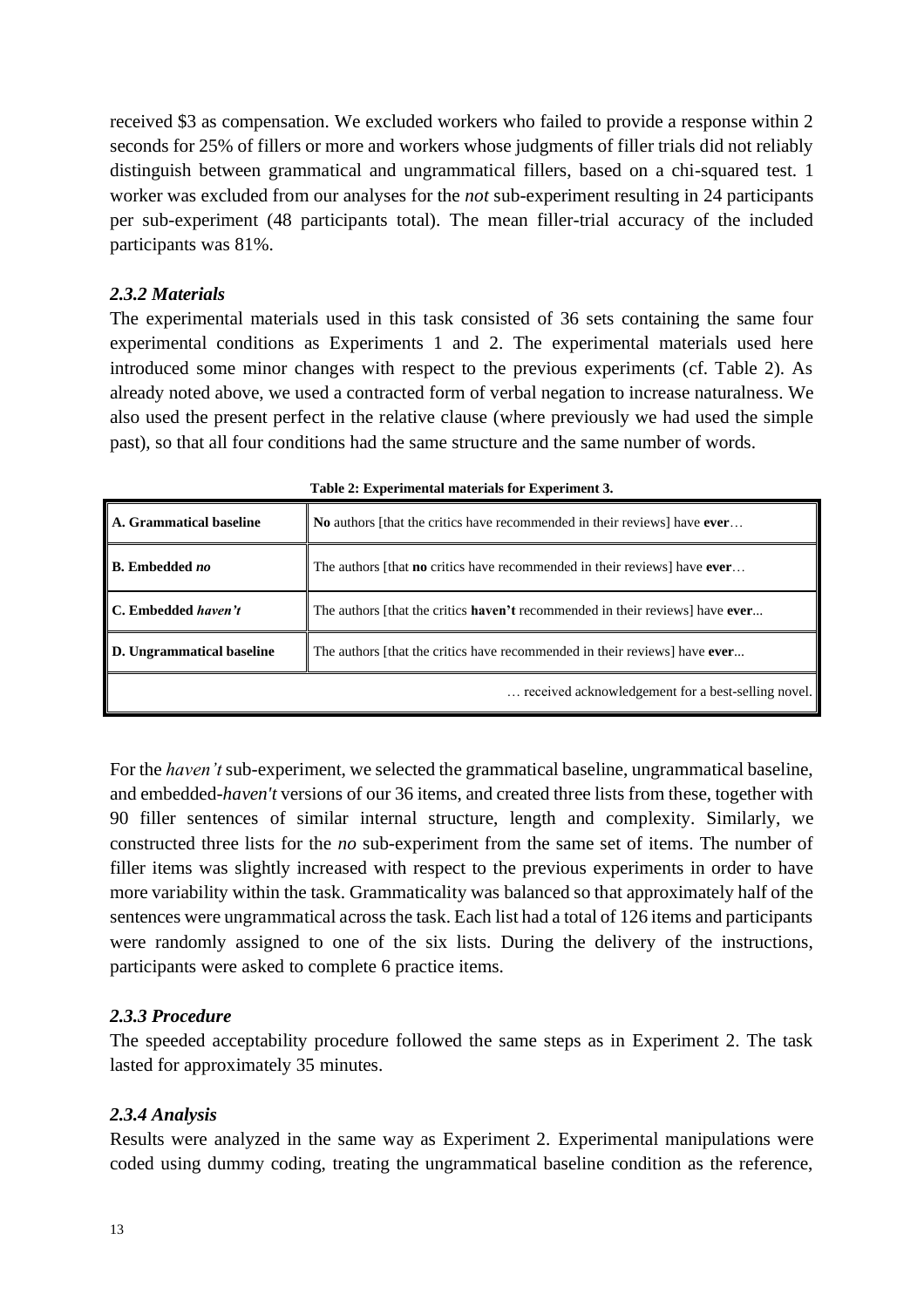received \$3 as compensation. We excluded workers who failed to provide a response within 2 seconds for 25% of fillers or more and workers whose judgments of filler trials did not reliably distinguish between grammatical and ungrammatical fillers, based on a chi-squared test. 1 worker was excluded from our analyses for the *not* sub-experiment resulting in 24 participants per sub-experiment (48 participants total). The mean filler-trial accuracy of the included participants was 81%.

# *2.3.2 Materials*

The experimental materials used in this task consisted of 36 sets containing the same four experimental conditions as Experiments 1 and 2. The experimental materials used here introduced some minor changes with respect to the previous experiments (cf. Table 2). As already noted above, we used a contracted form of verbal negation to increase naturalness. We also used the present perfect in the relative clause (where previously we had used the simple past), so that all four conditions had the same structure and the same number of words.

| A. Grammatical baseline    | No authors [that the critics have recommended in their reviews] have ever                   |
|----------------------------|---------------------------------------------------------------------------------------------|
| <b>B.</b> Embedded no      | The authors [that <b>no</b> critics have recommended in their reviews] have <b>ever</b>     |
| <b>C.</b> Embedded haven't | The authors [that the critics <b>haven't</b> recommended in their reviews] have <b>ever</b> |
| D. Ungrammatical baseline  | The authors [that the critics have recommended in their reviews] have ever                  |
|                            | received acknowledgement for a best-selling novel.                                          |

**Table 2: Experimental materials for Experiment 3.**

For the *haven't* sub-experiment, we selected the grammatical baseline, ungrammatical baseline, and embedded-*haven't* versions of our 36 items, and created three lists from these, together with 90 filler sentences of similar internal structure, length and complexity. Similarly, we constructed three lists for the *no* sub-experiment from the same set of items. The number of filler items was slightly increased with respect to the previous experiments in order to have more variability within the task. Grammaticality was balanced so that approximately half of the sentences were ungrammatical across the task. Each list had a total of 126 items and participants were randomly assigned to one of the six lists. During the delivery of the instructions, participants were asked to complete 6 practice items.

# *2.3.3 Procedure*

The speeded acceptability procedure followed the same steps as in Experiment 2. The task lasted for approximately 35 minutes.

# *2.3.4 Analysis*

Results were analyzed in the same way as Experiment 2. Experimental manipulations were coded using dummy coding, treating the ungrammatical baseline condition as the reference,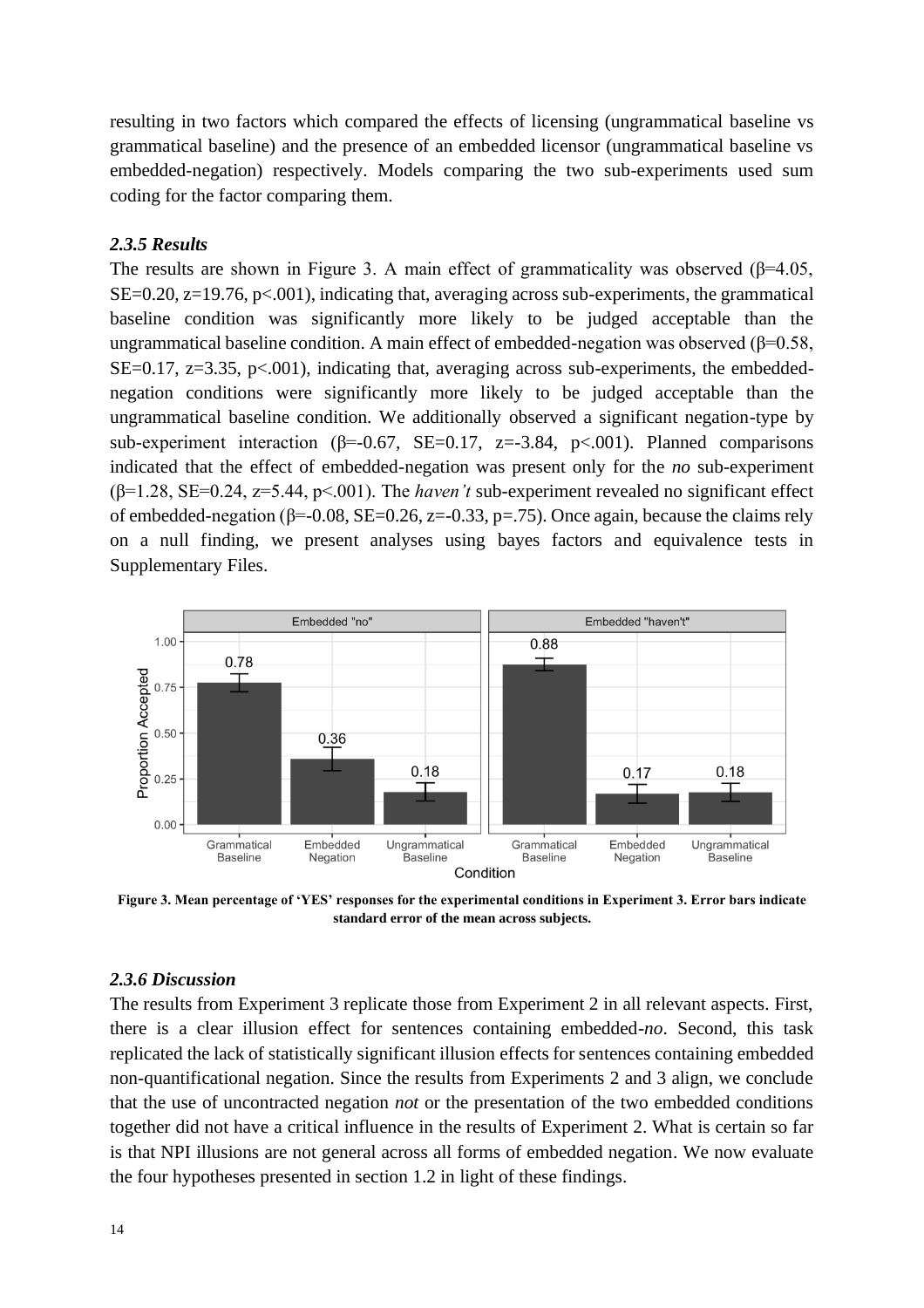resulting in two factors which compared the effects of licensing (ungrammatical baseline vs grammatical baseline) and the presence of an embedded licensor (ungrammatical baseline vs embedded-negation) respectively. Models comparing the two sub-experiments used sum coding for the factor comparing them.

## *2.3.5 Results*

The results are shown in Figure 3. A main effect of grammaticality was observed  $(\beta=4.05,$ SE=0.20,  $z=19.76$ ,  $p<.001$ ), indicating that, averaging across sub-experiments, the grammatical baseline condition was significantly more likely to be judged acceptable than the ungrammatical baseline condition. A main effect of embedded-negation was observed (β=0.58,  $SE=0.17$ ,  $z=3.35$ ,  $p<.001$ ), indicating that, averaging across sub-experiments, the embeddednegation conditions were significantly more likely to be judged acceptable than the ungrammatical baseline condition. We additionally observed a significant negation-type by sub-experiment interaction ( $\beta$ =-0.67, SE=0.17, z=-3.84, p<.001). Planned comparisons indicated that the effect of embedded-negation was present only for the *no* sub-experiment (β=1.28, SE=0.24, z=5.44, p<.001). The *haven't* sub-experiment revealed no significant effect of embedded-negation ( $\beta$ =-0.08, SE=0.26, z=-0.33, p=.75). Once again, because the claims rely on a null finding, we present analyses using bayes factors and equivalence tests in Supplementary Files.



**Figure 3. Mean percentage of 'YES' responses for the experimental conditions in Experiment 3. Error bars indicate standard error of the mean across subjects.**

## *2.3.6 Discussion*

The results from Experiment 3 replicate those from Experiment 2 in all relevant aspects. First, there is a clear illusion effect for sentences containing embedded-*no*. Second, this task replicated the lack of statistically significant illusion effects for sentences containing embedded non-quantificational negation. Since the results from Experiments 2 and 3 align, we conclude that the use of uncontracted negation *not* or the presentation of the two embedded conditions together did not have a critical influence in the results of Experiment 2. What is certain so far is that NPI illusions are not general across all forms of embedded negation. We now evaluate the four hypotheses presented in section 1.2 in light of these findings.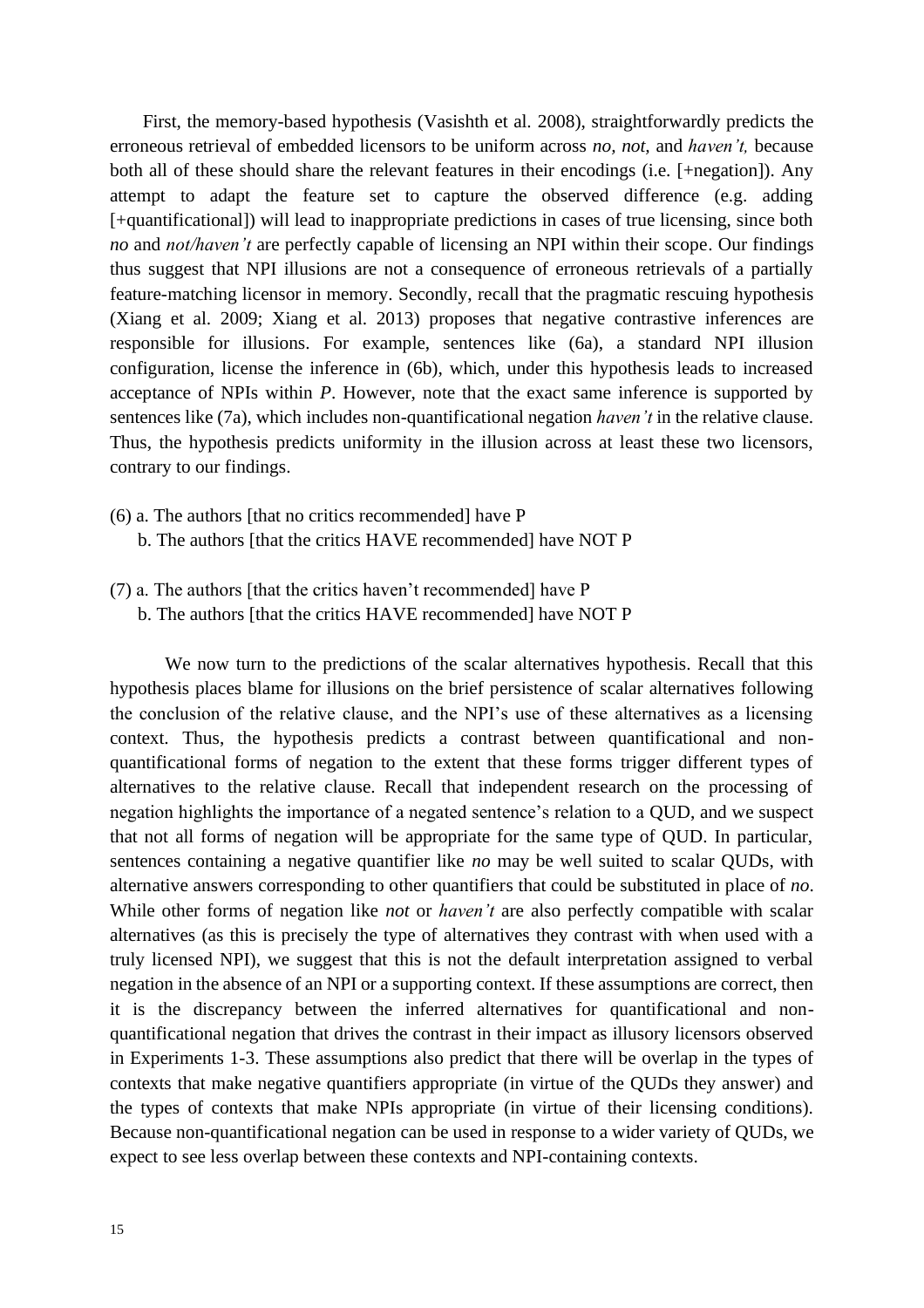First, the memory-based hypothesis (Vasishth et al. 2008), straightforwardly predicts the erroneous retrieval of embedded licensors to be uniform across *no, not,* and *haven't,* because both all of these should share the relevant features in their encodings (i.e. [+negation]). Any attempt to adapt the feature set to capture the observed difference (e.g. adding [+quantificational]) will lead to inappropriate predictions in cases of true licensing, since both *no* and *not/haven't* are perfectly capable of licensing an NPI within their scope. Our findings thus suggest that NPI illusions are not a consequence of erroneous retrievals of a partially feature-matching licensor in memory. Secondly, recall that the pragmatic rescuing hypothesis (Xiang et al. 2009; Xiang et al. 2013) proposes that negative contrastive inferences are responsible for illusions. For example, sentences like (6a), a standard NPI illusion configuration, license the inference in (6b), which, under this hypothesis leads to increased acceptance of NPIs within *P*. However, note that the exact same inference is supported by sentences like (7a), which includes non-quantificational negation *haven't* in the relative clause. Thus, the hypothesis predicts uniformity in the illusion across at least these two licensors, contrary to our findings.

- (6) a. The authors [that no critics recommended] have P b. The authors [that the critics HAVE recommended] have NOT P
- (7) a. The authors [that the critics haven't recommended] have P
	- b. The authors [that the critics HAVE recommended] have NOT P

We now turn to the predictions of the scalar alternatives hypothesis. Recall that this hypothesis places blame for illusions on the brief persistence of scalar alternatives following the conclusion of the relative clause, and the NPI's use of these alternatives as a licensing context. Thus, the hypothesis predicts a contrast between quantificational and nonquantificational forms of negation to the extent that these forms trigger different types of alternatives to the relative clause. Recall that independent research on the processing of negation highlights the importance of a negated sentence's relation to a QUD, and we suspect that not all forms of negation will be appropriate for the same type of QUD. In particular, sentences containing a negative quantifier like *no* may be well suited to scalar QUDs, with alternative answers corresponding to other quantifiers that could be substituted in place of *no*. While other forms of negation like *not* or *haven't* are also perfectly compatible with scalar alternatives (as this is precisely the type of alternatives they contrast with when used with a truly licensed NPI), we suggest that this is not the default interpretation assigned to verbal negation in the absence of an NPI or a supporting context. If these assumptions are correct, then it is the discrepancy between the inferred alternatives for quantificational and nonquantificational negation that drives the contrast in their impact as illusory licensors observed in Experiments 1-3. These assumptions also predict that there will be overlap in the types of contexts that make negative quantifiers appropriate (in virtue of the QUDs they answer) and the types of contexts that make NPIs appropriate (in virtue of their licensing conditions). Because non-quantificational negation can be used in response to a wider variety of QUDs, we expect to see less overlap between these contexts and NPI-containing contexts.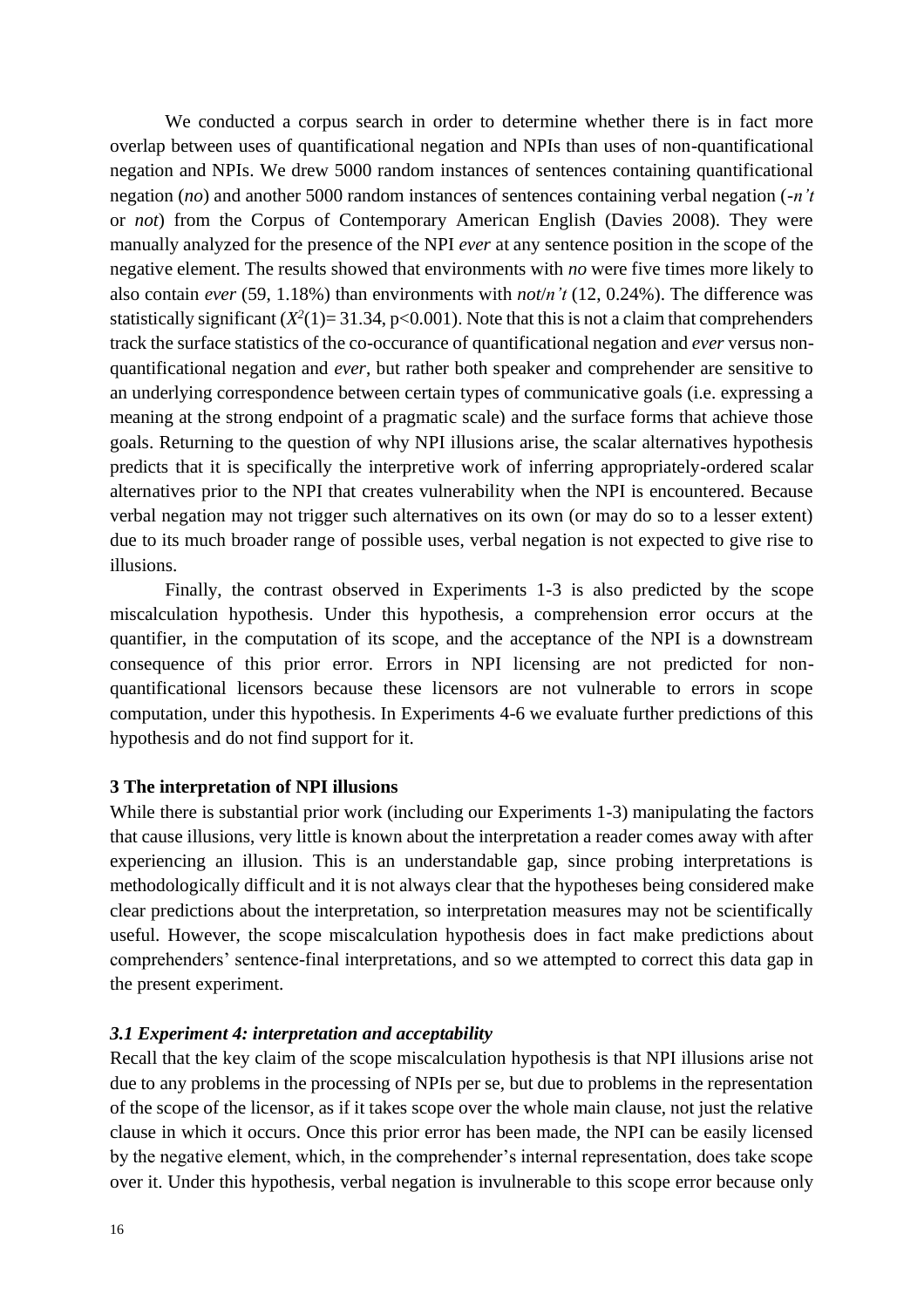We conducted a corpus search in order to determine whether there is in fact more overlap between uses of quantificational negation and NPIs than uses of non-quantificational negation and NPIs. We drew 5000 random instances of sentences containing quantificational negation (*no*) and another 5000 random instances of sentences containing verbal negation (-*n't* or *not*) from the Corpus of Contemporary American English (Davies 2008). They were manually analyzed for the presence of the NPI *ever* at any sentence position in the scope of the negative element. The results showed that environments with *no* were five times more likely to also contain *ever* (59, 1.18%) than environments with *not*/*n't* (12, 0.24%). The difference was statistically significant  $(X^2(1)=31.34, p<0.001)$ . Note that this is not a claim that comprehenders track the surface statistics of the co-occurance of quantificational negation and *ever* versus nonquantificational negation and *ever*, but rather both speaker and comprehender are sensitive to an underlying correspondence between certain types of communicative goals (i.e. expressing a meaning at the strong endpoint of a pragmatic scale) and the surface forms that achieve those goals. Returning to the question of why NPI illusions arise, the scalar alternatives hypothesis predicts that it is specifically the interpretive work of inferring appropriately-ordered scalar alternatives prior to the NPI that creates vulnerability when the NPI is encountered. Because verbal negation may not trigger such alternatives on its own (or may do so to a lesser extent) due to its much broader range of possible uses, verbal negation is not expected to give rise to illusions.

Finally, the contrast observed in Experiments 1-3 is also predicted by the scope miscalculation hypothesis. Under this hypothesis, a comprehension error occurs at the quantifier, in the computation of its scope, and the acceptance of the NPI is a downstream consequence of this prior error. Errors in NPI licensing are not predicted for nonquantificational licensors because these licensors are not vulnerable to errors in scope computation, under this hypothesis. In Experiments 4-6 we evaluate further predictions of this hypothesis and do not find support for it.

#### **3 The interpretation of NPI illusions**

While there is substantial prior work (including our Experiments 1-3) manipulating the factors that cause illusions, very little is known about the interpretation a reader comes away with after experiencing an illusion. This is an understandable gap, since probing interpretations is methodologically difficult and it is not always clear that the hypotheses being considered make clear predictions about the interpretation, so interpretation measures may not be scientifically useful. However, the scope miscalculation hypothesis does in fact make predictions about comprehenders' sentence-final interpretations, and so we attempted to correct this data gap in the present experiment.

#### *3.1 Experiment 4: interpretation and acceptability*

Recall that the key claim of the scope miscalculation hypothesis is that NPI illusions arise not due to any problems in the processing of NPIs per se, but due to problems in the representation of the scope of the licensor, as if it takes scope over the whole main clause, not just the relative clause in which it occurs. Once this prior error has been made, the NPI can be easily licensed by the negative element, which, in the comprehender's internal representation, does take scope over it. Under this hypothesis, verbal negation is invulnerable to this scope error because only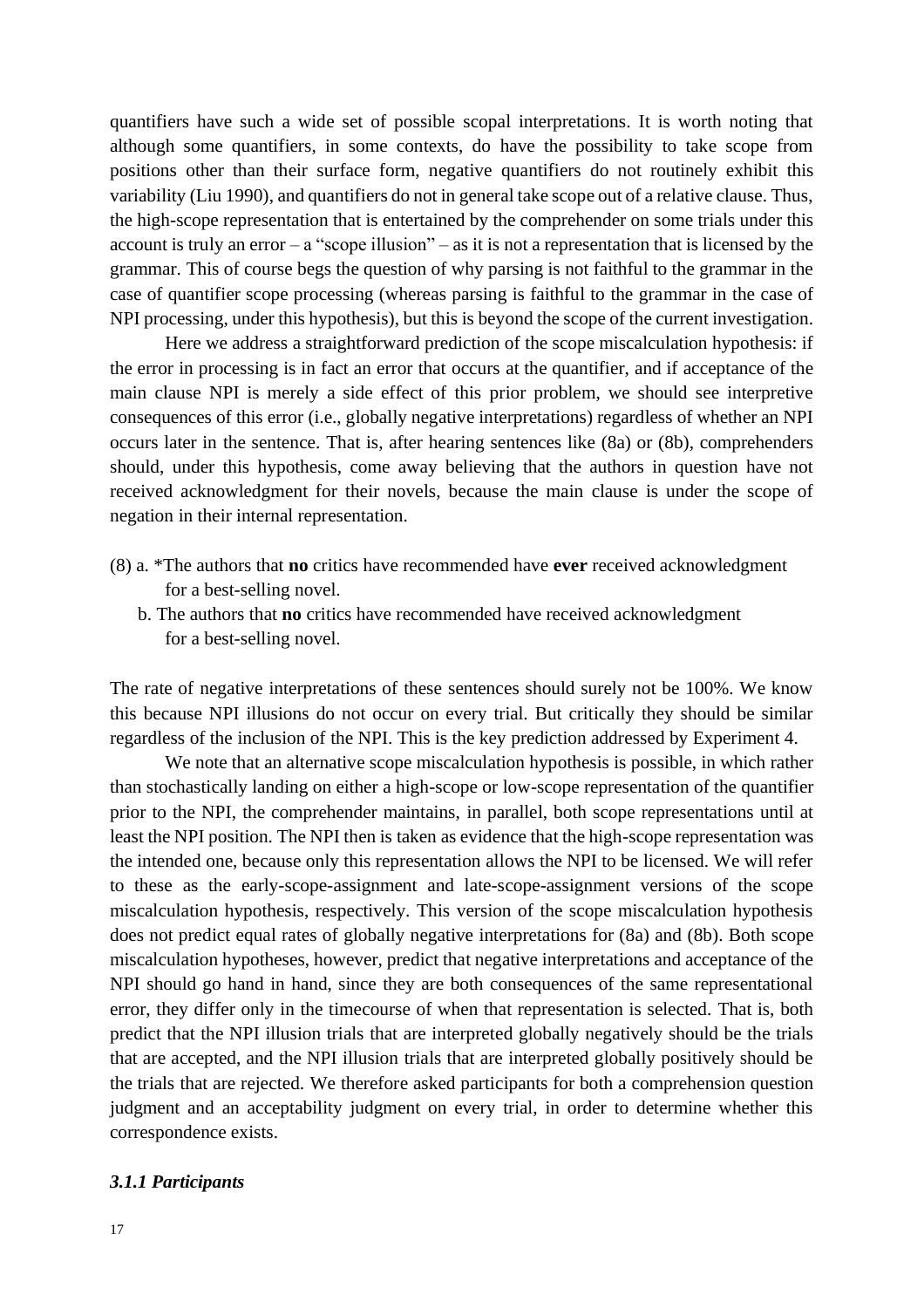quantifiers have such a wide set of possible scopal interpretations. It is worth noting that although some quantifiers, in some contexts, do have the possibility to take scope from positions other than their surface form, negative quantifiers do not routinely exhibit this variability (Liu 1990), and quantifiers do not in general take scope out of a relative clause. Thus, the high-scope representation that is entertained by the comprehender on some trials under this account is truly an error  $-$  a "scope illusion"  $-$  as it is not a representation that is licensed by the grammar. This of course begs the question of why parsing is not faithful to the grammar in the case of quantifier scope processing (whereas parsing is faithful to the grammar in the case of NPI processing, under this hypothesis), but this is beyond the scope of the current investigation.

Here we address a straightforward prediction of the scope miscalculation hypothesis: if the error in processing is in fact an error that occurs at the quantifier, and if acceptance of the main clause NPI is merely a side effect of this prior problem, we should see interpretive consequences of this error (i.e., globally negative interpretations) regardless of whether an NPI occurs later in the sentence. That is, after hearing sentences like (8a) or (8b), comprehenders should, under this hypothesis, come away believing that the authors in question have not received acknowledgment for their novels, because the main clause is under the scope of negation in their internal representation.

- (8) a. \*The authors that **no** critics have recommended have **ever** received acknowledgment for a best-selling novel.
	- b. The authors that **no** critics have recommended have received acknowledgment for a best-selling novel.

The rate of negative interpretations of these sentences should surely not be 100%. We know this because NPI illusions do not occur on every trial. But critically they should be similar regardless of the inclusion of the NPI. This is the key prediction addressed by Experiment 4.

We note that an alternative scope miscalculation hypothesis is possible, in which rather than stochastically landing on either a high-scope or low-scope representation of the quantifier prior to the NPI, the comprehender maintains, in parallel, both scope representations until at least the NPI position. The NPI then is taken as evidence that the high-scope representation was the intended one, because only this representation allows the NPI to be licensed. We will refer to these as the early-scope-assignment and late-scope-assignment versions of the scope miscalculation hypothesis, respectively. This version of the scope miscalculation hypothesis does not predict equal rates of globally negative interpretations for (8a) and (8b). Both scope miscalculation hypotheses, however, predict that negative interpretations and acceptance of the NPI should go hand in hand, since they are both consequences of the same representational error, they differ only in the timecourse of when that representation is selected. That is, both predict that the NPI illusion trials that are interpreted globally negatively should be the trials that are accepted, and the NPI illusion trials that are interpreted globally positively should be the trials that are rejected. We therefore asked participants for both a comprehension question judgment and an acceptability judgment on every trial, in order to determine whether this correspondence exists.

#### *3.1.1 Participants*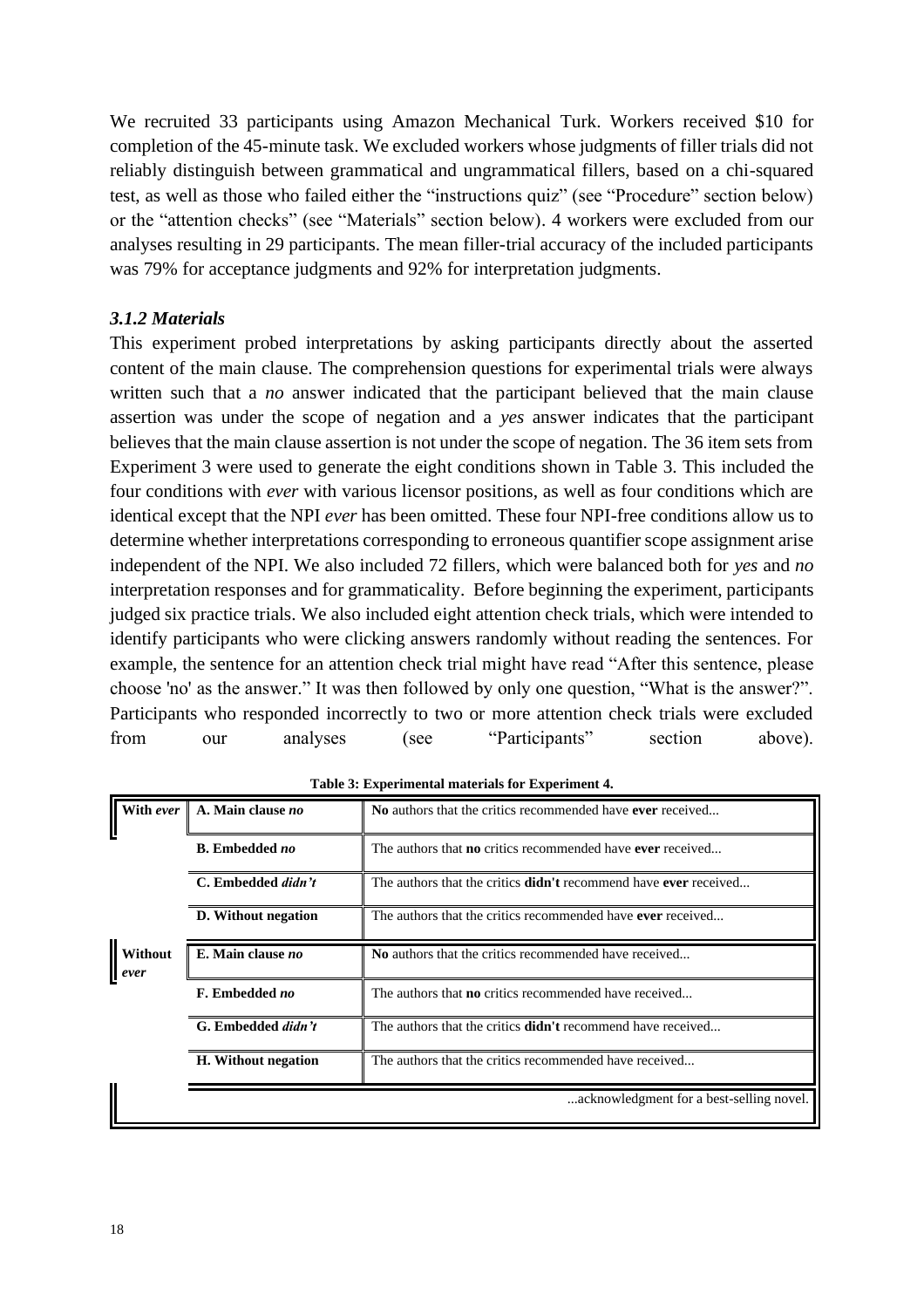We recruited 33 participants using Amazon Mechanical Turk. Workers received \$10 for completion of the 45-minute task. We excluded workers whose judgments of filler trials did not reliably distinguish between grammatical and ungrammatical fillers, based on a chi-squared test, as well as those who failed either the "instructions quiz" (see "Procedure" section below) or the "attention checks" (see "Materials" section below). 4 workers were excluded from our analyses resulting in 29 participants. The mean filler-trial accuracy of the included participants was 79% for acceptance judgments and 92% for interpretation judgments.

## *3.1.2 Materials*

This experiment probed interpretations by asking participants directly about the asserted content of the main clause. The comprehension questions for experimental trials were always written such that a *no* answer indicated that the participant believed that the main clause assertion was under the scope of negation and a *yes* answer indicates that the participant believes that the main clause assertion is not under the scope of negation. The 36 item sets from Experiment 3 were used to generate the eight conditions shown in Table 3. This included the four conditions with *ever* with various licensor positions, as well as four conditions which are identical except that the NPI *ever* has been omitted. These four NPI-free conditions allow us to determine whether interpretations corresponding to erroneous quantifier scope assignment arise independent of the NPI. We also included 72 fillers, which were balanced both for *yes* and *no*  interpretation responses and for grammaticality. Before beginning the experiment, participants judged six practice trials. We also included eight attention check trials, which were intended to identify participants who were clicking answers randomly without reading the sentences. For example, the sentence for an attention check trial might have read "After this sentence, please choose 'no' as the answer." It was then followed by only one question, "What is the answer?". Participants who responded incorrectly to two or more attention check trials were excluded from our analyses (see "Participants" section above).

| With ever       | A. Main clause no     | No authors that the critics recommended have ever received               |
|-----------------|-----------------------|--------------------------------------------------------------------------|
|                 | <b>B.</b> Embedded no | The authors that <b>no</b> critics recommended have <b>ever</b> received |
|                 | C. Embedded didn't    | The authors that the critics <b>didn't</b> recommend have ever received  |
|                 | D. Without negation   | The authors that the critics recommended have ever received              |
| Without<br>ever | E. Main clause no     | No authors that the critics recommended have received                    |
|                 | F. Embedded no        | The authors that <b>no</b> critics recommended have received             |
|                 | G. Embedded didn't    | The authors that the critics <b>didn't</b> recommend have received       |
|                 | H. Without negation   | The authors that the critics recommended have received                   |
|                 |                       | acknowledgment for a best-selling novel.                                 |

**Table 3: Experimental materials for Experiment 4.**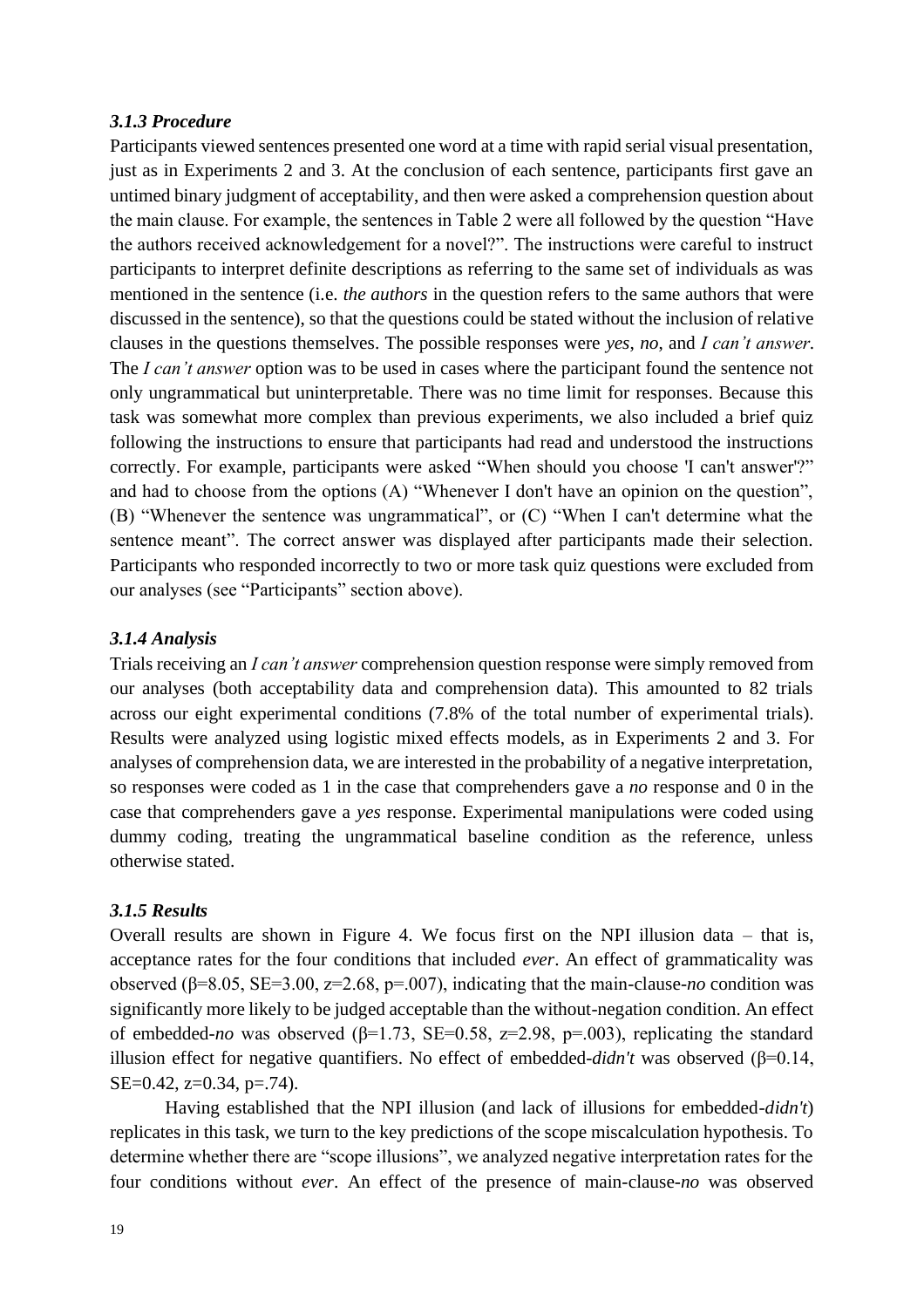## *3.1.3 Procedure*

Participants viewed sentences presented one word at a time with rapid serial visual presentation, just as in Experiments 2 and 3. At the conclusion of each sentence, participants first gave an untimed binary judgment of acceptability, and then were asked a comprehension question about the main clause. For example, the sentences in Table 2 were all followed by the question "Have the authors received acknowledgement for a novel?". The instructions were careful to instruct participants to interpret definite descriptions as referring to the same set of individuals as was mentioned in the sentence (i.e. *the authors* in the question refers to the same authors that were discussed in the sentence), so that the questions could be stated without the inclusion of relative clauses in the questions themselves. The possible responses were *yes*, *no*, and *I can't answer*. The *I can't answer* option was to be used in cases where the participant found the sentence not only ungrammatical but uninterpretable. There was no time limit for responses. Because this task was somewhat more complex than previous experiments, we also included a brief quiz following the instructions to ensure that participants had read and understood the instructions correctly. For example, participants were asked "When should you choose 'I can't answer'?" and had to choose from the options (A) "Whenever I don't have an opinion on the question", (B) "Whenever the sentence was ungrammatical", or (C) "When I can't determine what the sentence meant". The correct answer was displayed after participants made their selection. Participants who responded incorrectly to two or more task quiz questions were excluded from our analyses (see "Participants" section above).

## *3.1.4 Analysis*

Trials receiving an *I can't answer* comprehension question response were simply removed from our analyses (both acceptability data and comprehension data). This amounted to 82 trials across our eight experimental conditions (7.8% of the total number of experimental trials). Results were analyzed using logistic mixed effects models, as in Experiments 2 and 3. For analyses of comprehension data, we are interested in the probability of a negative interpretation, so responses were coded as 1 in the case that comprehenders gave a *no* response and 0 in the case that comprehenders gave a *yes* response. Experimental manipulations were coded using dummy coding, treating the ungrammatical baseline condition as the reference, unless otherwise stated.

## *3.1.5 Results*

Overall results are shown in Figure 4. We focus first on the NPI illusion data – that is, acceptance rates for the four conditions that included *ever*. An effect of grammaticality was observed (β=8.05, SE=3.00, z=2.68, p=.007), indicating that the main-clause-*no* condition was significantly more likely to be judged acceptable than the without-negation condition. An effect of embedded-*no* was observed ( $\beta$ =1.73, SE=0.58, z=2.98, p=.003), replicating the standard illusion effect for negative quantifiers. No effect of embedded-*didn't* was observed (β=0.14, SE=0.42, z=0.34, p=.74).

Having established that the NPI illusion (and lack of illusions for embedded-*didn't*) replicates in this task, we turn to the key predictions of the scope miscalculation hypothesis. To determine whether there are "scope illusions", we analyzed negative interpretation rates for the four conditions without *ever*. An effect of the presence of main-clause-*no* was observed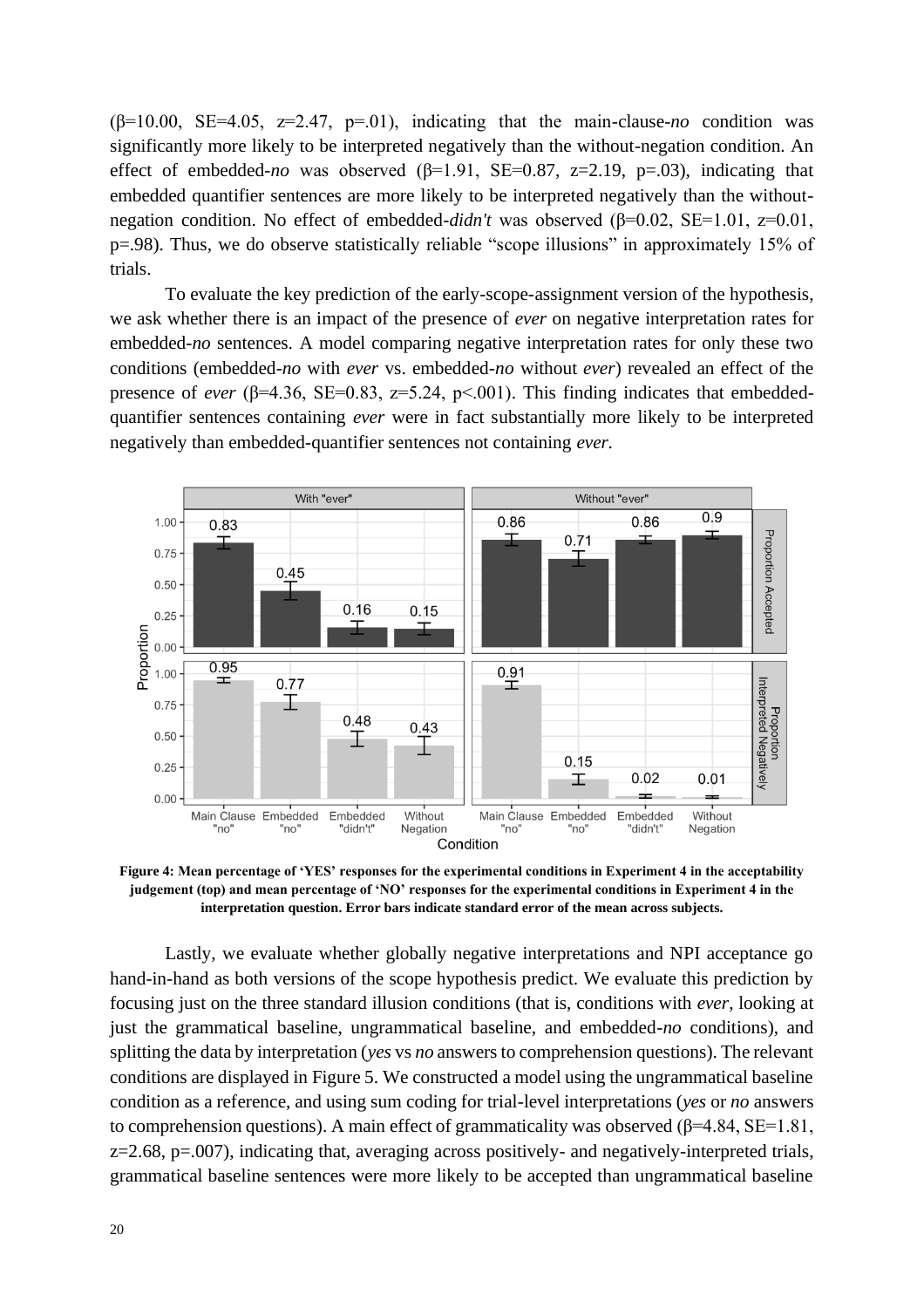$(\beta=10.00, \text{SE}=4.05, z=2.47, p=.01)$ , indicating that the main-clause-*no* condition was significantly more likely to be interpreted negatively than the without-negation condition. An effect of embedded-*no* was observed  $(\beta=1.91, \text{ SE}=0.87, \text{ z}=2.19, \text{ p}=.03)$ , indicating that embedded quantifier sentences are more likely to be interpreted negatively than the withoutnegation condition. No effect of embedded-*didn't* was observed (β=0.02, SE=1.01, z=0.01, p=.98). Thus, we do observe statistically reliable "scope illusions" in approximately 15% of trials.

To evaluate the key prediction of the early-scope-assignment version of the hypothesis, we ask whether there is an impact of the presence of *ever* on negative interpretation rates for embedded*-no* sentences*.* A model comparing negative interpretation rates for only these two conditions (embedded-*no* with *ever* vs. embedded-*no* without *ever*) revealed an effect of the presence of *ever* ( $\beta$ =4.36, SE=0.83, z=5.24, p<.001). This finding indicates that embeddedquantifier sentences containing *ever* were in fact substantially more likely to be interpreted negatively than embedded-quantifier sentences not containing *ever.*



**Figure 4: Mean percentage of 'YES' responses for the experimental conditions in Experiment 4 in the acceptability judgement (top) and mean percentage of 'NO' responses for the experimental conditions in Experiment 4 in the interpretation question. Error bars indicate standard error of the mean across subjects.**

Lastly, we evaluate whether globally negative interpretations and NPI acceptance go hand-in-hand as both versions of the scope hypothesis predict. We evaluate this prediction by focusing just on the three standard illusion conditions (that is, conditions with *ever*, looking at just the grammatical baseline, ungrammatical baseline, and embedded-*no* conditions), and splitting the data by interpretation (*yes* vs *no* answers to comprehension questions). The relevant conditions are displayed in Figure 5. We constructed a model using the ungrammatical baseline condition as a reference, and using sum coding for trial-level interpretations (*yes* or *no* answers to comprehension questions). A main effect of grammaticality was observed (β=4.84, SE=1.81,  $z=2.68$ ,  $p=.007$ ), indicating that, averaging across positively- and negatively-interpreted trials, grammatical baseline sentences were more likely to be accepted than ungrammatical baseline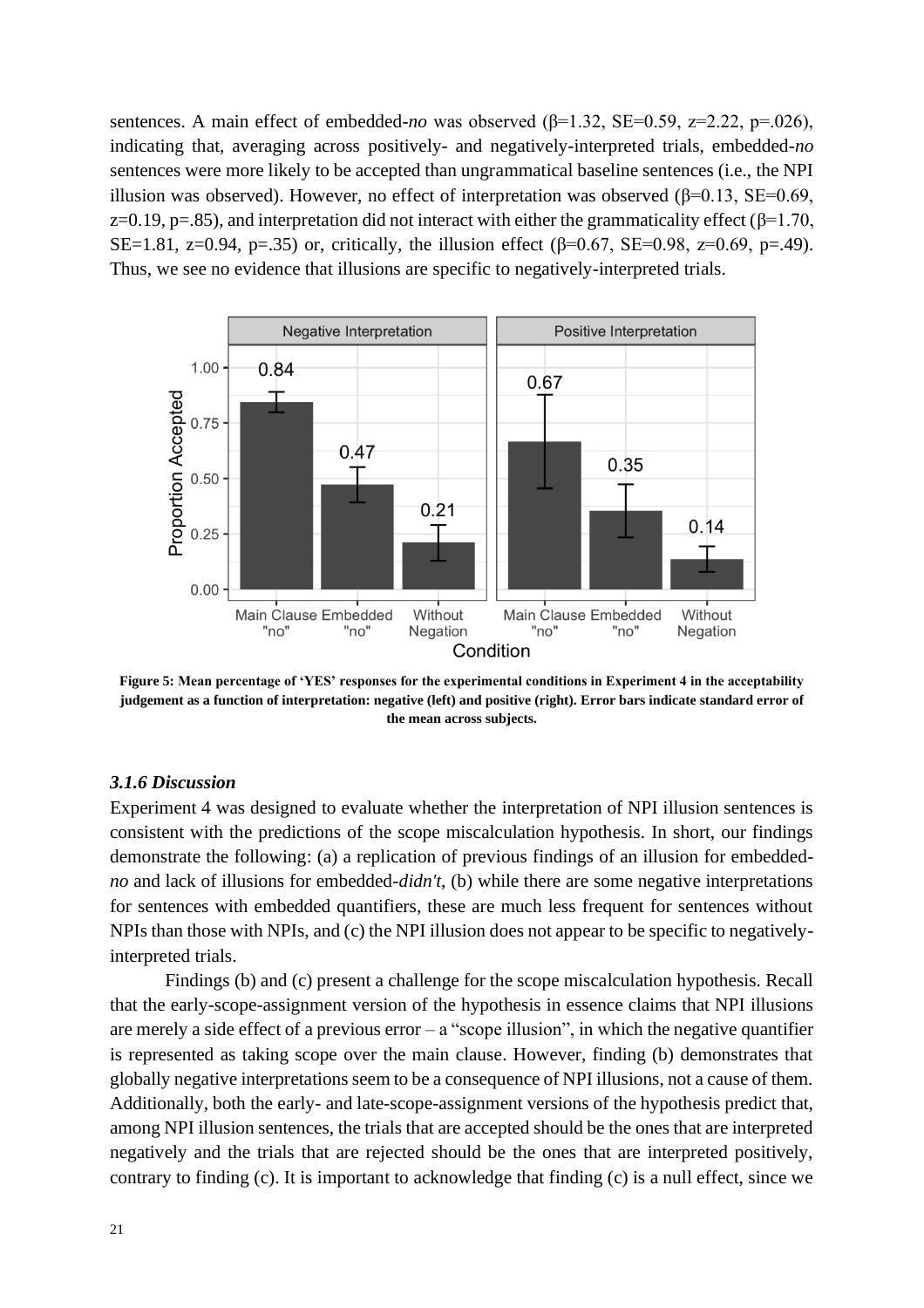sentences. A main effect of embedded-*no* was observed (β=1.32, SE=0.59, z=2.22, p=.026), indicating that, averaging across positively- and negatively-interpreted trials, embedded-*no*  sentences were more likely to be accepted than ungrammatical baseline sentences (i.e., the NPI illusion was observed). However, no effect of interpretation was observed (β=0.13, SE=0.69, z=0.19, p=.85), and interpretation did not interact with either the grammaticality effect ( $\beta$ =1.70, SE=1.81, z=0.94, p=.35) or, critically, the illusion effect ( $\beta$ =0.67, SE=0.98, z=0.69, p=.49). Thus, we see no evidence that illusions are specific to negatively-interpreted trials.



**Figure 5: Mean percentage of 'YES' responses for the experimental conditions in Experiment 4 in the acceptability judgement as a function of interpretation: negative (left) and positive (right). Error bars indicate standard error of the mean across subjects.**

#### *3.1.6 Discussion*

Experiment 4 was designed to evaluate whether the interpretation of NPI illusion sentences is consistent with the predictions of the scope miscalculation hypothesis. In short, our findings demonstrate the following: (a) a replication of previous findings of an illusion for embedded*no* and lack of illusions for embedded-*didn't*, (b) while there are some negative interpretations for sentences with embedded quantifiers, these are much less frequent for sentences without NPIs than those with NPIs, and (c) the NPI illusion does not appear to be specific to negativelyinterpreted trials.

Findings (b) and (c) present a challenge for the scope miscalculation hypothesis. Recall that the early-scope-assignment version of the hypothesis in essence claims that NPI illusions are merely a side effect of a previous error  $-$  a "scope illusion", in which the negative quantifier is represented as taking scope over the main clause. However, finding (b) demonstrates that globally negative interpretations seem to be a consequence of NPI illusions, not a cause of them. Additionally, both the early- and late-scope-assignment versions of the hypothesis predict that, among NPI illusion sentences, the trials that are accepted should be the ones that are interpreted negatively and the trials that are rejected should be the ones that are interpreted positively, contrary to finding (c). It is important to acknowledge that finding (c) is a null effect, since we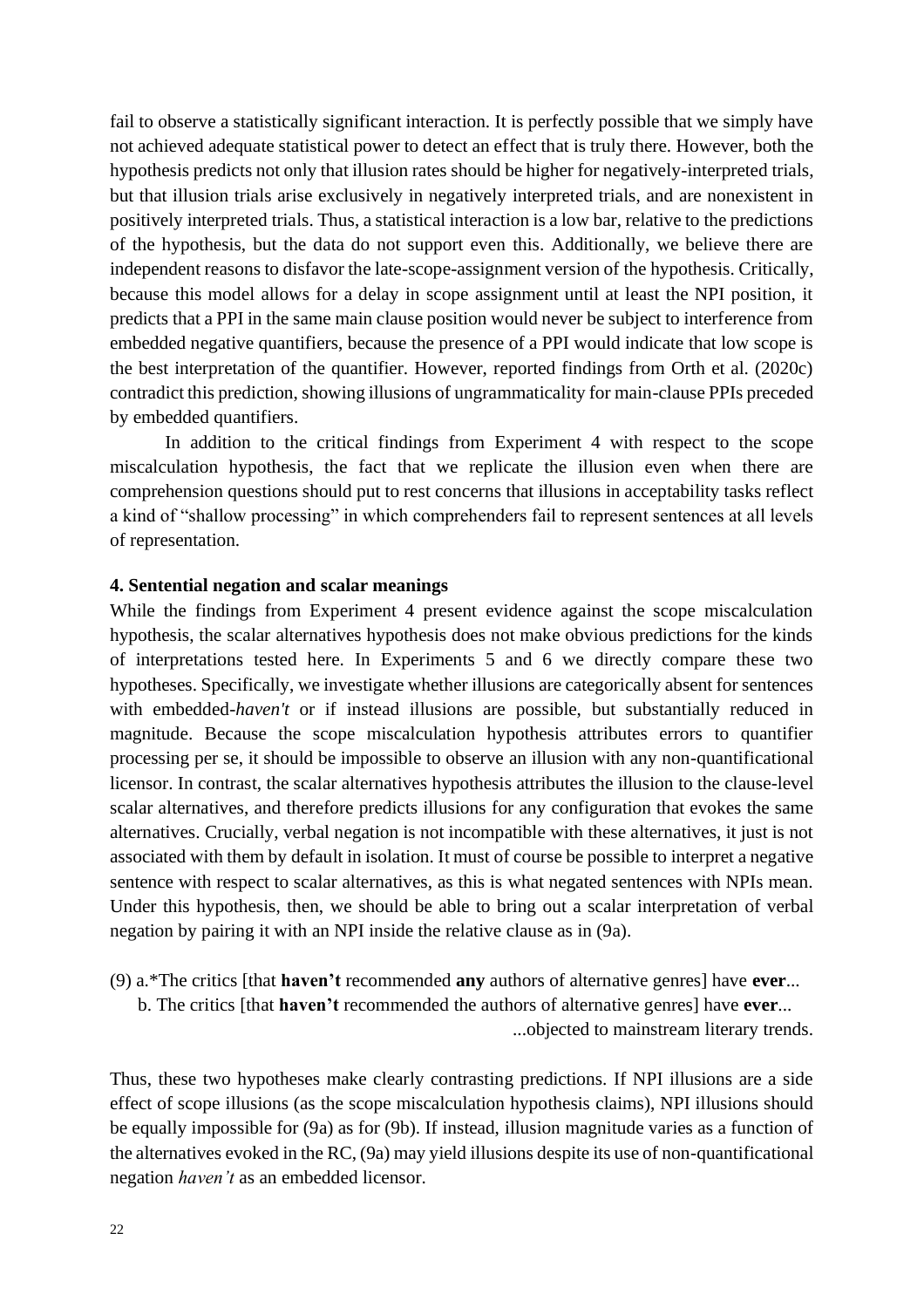fail to observe a statistically significant interaction. It is perfectly possible that we simply have not achieved adequate statistical power to detect an effect that is truly there. However, both the hypothesis predicts not only that illusion rates should be higher for negatively-interpreted trials, but that illusion trials arise exclusively in negatively interpreted trials, and are nonexistent in positively interpreted trials. Thus, a statistical interaction is a low bar, relative to the predictions of the hypothesis, but the data do not support even this. Additionally, we believe there are independent reasons to disfavor the late-scope-assignment version of the hypothesis. Critically, because this model allows for a delay in scope assignment until at least the NPI position, it predicts that a PPI in the same main clause position would never be subject to interference from embedded negative quantifiers, because the presence of a PPI would indicate that low scope is the best interpretation of the quantifier. However, reported findings from Orth et al. (2020c) contradict this prediction, showing illusions of ungrammaticality for main-clause PPIs preceded by embedded quantifiers.

In addition to the critical findings from Experiment 4 with respect to the scope miscalculation hypothesis, the fact that we replicate the illusion even when there are comprehension questions should put to rest concerns that illusions in acceptability tasks reflect a kind of "shallow processing" in which comprehenders fail to represent sentences at all levels of representation.

## **4. Sentential negation and scalar meanings**

While the findings from Experiment 4 present evidence against the scope miscalculation hypothesis, the scalar alternatives hypothesis does not make obvious predictions for the kinds of interpretations tested here. In Experiments 5 and 6 we directly compare these two hypotheses. Specifically, we investigate whether illusions are categorically absent for sentences with embedded-*haven't* or if instead illusions are possible, but substantially reduced in magnitude. Because the scope miscalculation hypothesis attributes errors to quantifier processing per se, it should be impossible to observe an illusion with any non-quantificational licensor. In contrast, the scalar alternatives hypothesis attributes the illusion to the clause-level scalar alternatives, and therefore predicts illusions for any configuration that evokes the same alternatives. Crucially, verbal negation is not incompatible with these alternatives, it just is not associated with them by default in isolation. It must of course be possible to interpret a negative sentence with respect to scalar alternatives, as this is what negated sentences with NPIs mean. Under this hypothesis, then, we should be able to bring out a scalar interpretation of verbal negation by pairing it with an NPI inside the relative clause as in (9a).

- (9) a.\*The critics [that **haven't** recommended **any** authors of alternative genres] have **ever**...
	- b. The critics [that **haven't** recommended the authors of alternative genres] have **ever**...

...objected to mainstream literary trends.

Thus, these two hypotheses make clearly contrasting predictions. If NPI illusions are a side effect of scope illusions (as the scope miscalculation hypothesis claims), NPI illusions should be equally impossible for (9a) as for (9b). If instead, illusion magnitude varies as a function of the alternatives evoked in the RC, (9a) may yield illusions despite its use of non-quantificational negation *haven't* as an embedded licensor.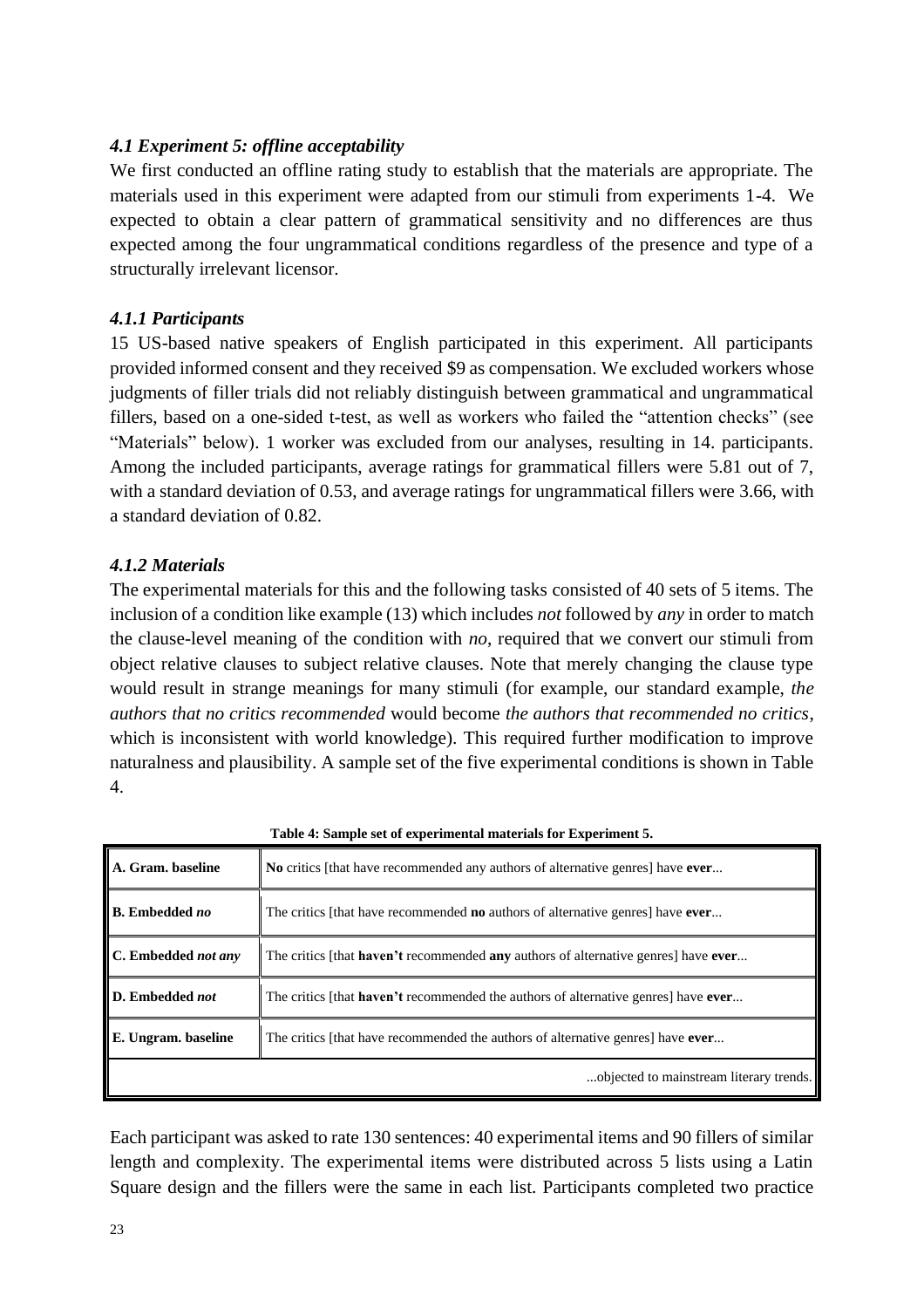# *4.1 Experiment 5: offline acceptability*

We first conducted an offline rating study to establish that the materials are appropriate. The materials used in this experiment were adapted from our stimuli from experiments 1-4. We expected to obtain a clear pattern of grammatical sensitivity and no differences are thus expected among the four ungrammatical conditions regardless of the presence and type of a structurally irrelevant licensor.

# *4.1.1 Participants*

15 US-based native speakers of English participated in this experiment. All participants provided informed consent and they received \$9 as compensation. We excluded workers whose judgments of filler trials did not reliably distinguish between grammatical and ungrammatical fillers, based on a one-sided t-test, as well as workers who failed the "attention checks" (see "Materials" below). 1 worker was excluded from our analyses, resulting in 14. participants. Among the included participants, average ratings for grammatical fillers were 5.81 out of 7, with a standard deviation of 0.53, and average ratings for ungrammatical fillers were 3.66, with a standard deviation of 0.82.

# *4.1.2 Materials*

The experimental materials for this and the following tasks consisted of 40 sets of 5 items. The inclusion of a condition like example (13) which includes *not* followed by *any* in order to match the clause-level meaning of the condition with *no*, required that we convert our stimuli from object relative clauses to subject relative clauses. Note that merely changing the clause type would result in strange meanings for many stimuli (for example, our standard example, *the authors that no critics recommended* would become *the authors that recommended no critics*, which is inconsistent with world knowledge). This required further modification to improve naturalness and plausibility. A sample set of the five experimental conditions is shown in Table 4.

| A. Gram. baseline     | No critics [that have recommended any authors of alternative genres] have ever                          |  |
|-----------------------|---------------------------------------------------------------------------------------------------------|--|
| <b>B.</b> Embedded no | The critics [that have recommended <b>no</b> authors of alternative genres] have <b>ever</b>            |  |
| C. Embedded not any   | The critics [that <b>haven't</b> recommended <b>any</b> authors of alternative genres] have <b>ever</b> |  |
| D. Embedded not       | The critics [that <b>haven't</b> recommended the authors of alternative genres] have <b>ever</b>        |  |
| E. Ungram. baseline   | The critics [that have recommended the authors of alternative genres] have ever                         |  |
|                       | objected to mainstream literary trends.                                                                 |  |

**Table 4: Sample set of experimental materials for Experiment 5.**

Each participant was asked to rate 130 sentences: 40 experimental items and 90 fillers of similar length and complexity. The experimental items were distributed across 5 lists using a Latin Square design and the fillers were the same in each list. Participants completed two practice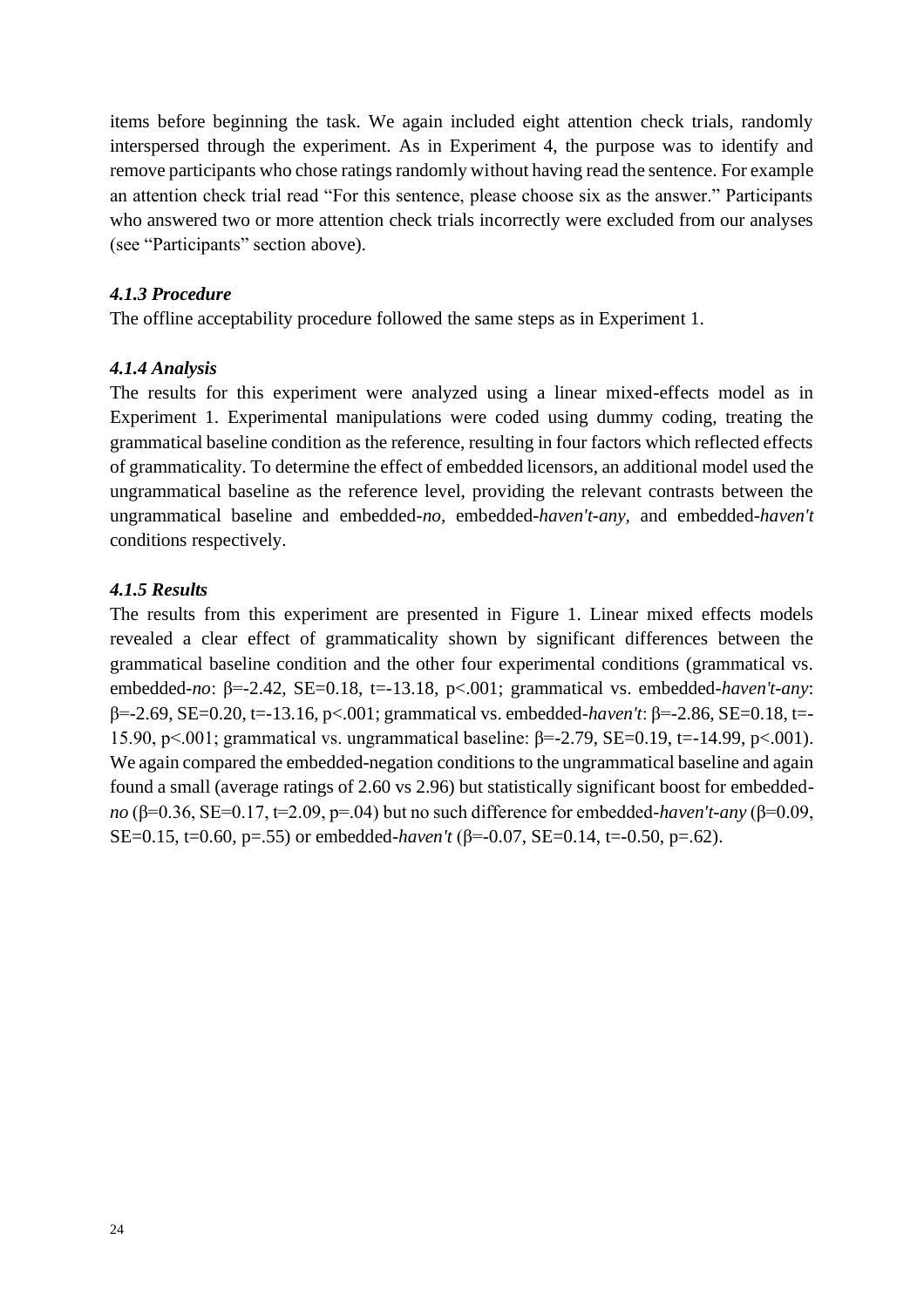items before beginning the task. We again included eight attention check trials, randomly interspersed through the experiment. As in Experiment 4, the purpose was to identify and remove participants who chose ratings randomly without having read the sentence. For example an attention check trial read "For this sentence, please choose six as the answer." Participants who answered two or more attention check trials incorrectly were excluded from our analyses (see "Participants" section above).

# *4.1.3 Procedure*

The offline acceptability procedure followed the same steps as in Experiment 1.

# *4.1.4 Analysis*

The results for this experiment were analyzed using a linear mixed-effects model as in Experiment 1. Experimental manipulations were coded using dummy coding, treating the grammatical baseline condition as the reference, resulting in four factors which reflected effects of grammaticality. To determine the effect of embedded licensors, an additional model used the ungrammatical baseline as the reference level, providing the relevant contrasts between the ungrammatical baseline and embedded-*no,* embedded-*haven't-any,* and embedded-*haven't*  conditions respectively.

## *4.1.5 Results*

The results from this experiment are presented in Figure 1. Linear mixed effects models revealed a clear effect of grammaticality shown by significant differences between the grammatical baseline condition and the other four experimental conditions (grammatical vs. embedded-*no*: β=-2.42, SE=0.18, t=-13.18, p<.001; grammatical vs. embedded-*haven't-any*: β=-2.69, SE=0.20, t=-13.16, p<.001; grammatical vs. embedded-*haven't*: β=-2.86, SE=0.18, t=- 15.90, p<.001; grammatical vs. ungrammatical baseline: β=-2.79, SE=0.19, t=-14.99, p<.001). We again compared the embedded-negation conditions to the ungrammatical baseline and again found a small (average ratings of 2.60 vs 2.96) but statistically significant boost for embedded*no* (β=0.36, SE=0.17, t=2.09, p=.04) but no such difference for embedded-*haven't-any* (β=0.09, SE=0.15, t=0.60, p=.55) or embedded-*haven't* (β=-0.07, SE=0.14, t=-0.50, p=.62).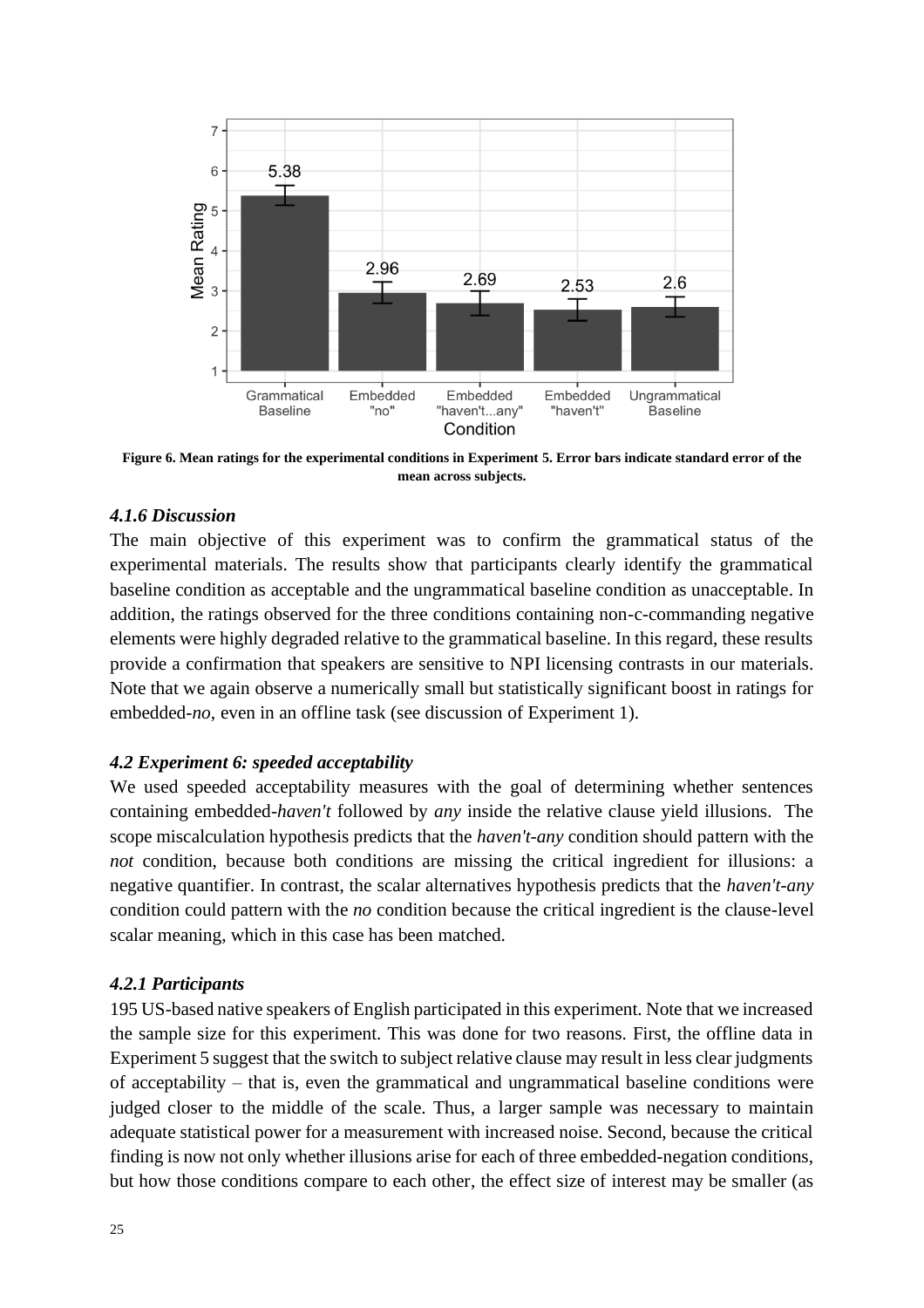

**Figure 6. Mean ratings for the experimental conditions in Experiment 5. Error bars indicate standard error of the mean across subjects.**

# *4.1.6 Discussion*

The main objective of this experiment was to confirm the grammatical status of the experimental materials. The results show that participants clearly identify the grammatical baseline condition as acceptable and the ungrammatical baseline condition as unacceptable. In addition, the ratings observed for the three conditions containing non-c-commanding negative elements were highly degraded relative to the grammatical baseline. In this regard, these results provide a confirmation that speakers are sensitive to NPI licensing contrasts in our materials. Note that we again observe a numerically small but statistically significant boost in ratings for embedded-*no*, even in an offline task (see discussion of Experiment 1).

## *4.2 Experiment 6: speeded acceptability*

We used speeded acceptability measures with the goal of determining whether sentences containing embedded-*haven't* followed by *any* inside the relative clause yield illusions. The scope miscalculation hypothesis predicts that the *haven't-any* condition should pattern with the *not* condition, because both conditions are missing the critical ingredient for illusions: a negative quantifier. In contrast, the scalar alternatives hypothesis predicts that the *haven't-any*  condition could pattern with the *no* condition because the critical ingredient is the clause-level scalar meaning, which in this case has been matched.

## *4.2.1 Participants*

195 US-based native speakers of English participated in this experiment. Note that we increased the sample size for this experiment. This was done for two reasons. First, the offline data in Experiment 5 suggest that the switch to subject relative clause may result in less clear judgments of acceptability – that is, even the grammatical and ungrammatical baseline conditions were judged closer to the middle of the scale. Thus, a larger sample was necessary to maintain adequate statistical power for a measurement with increased noise. Second, because the critical finding is now not only whether illusions arise for each of three embedded-negation conditions, but how those conditions compare to each other, the effect size of interest may be smaller (as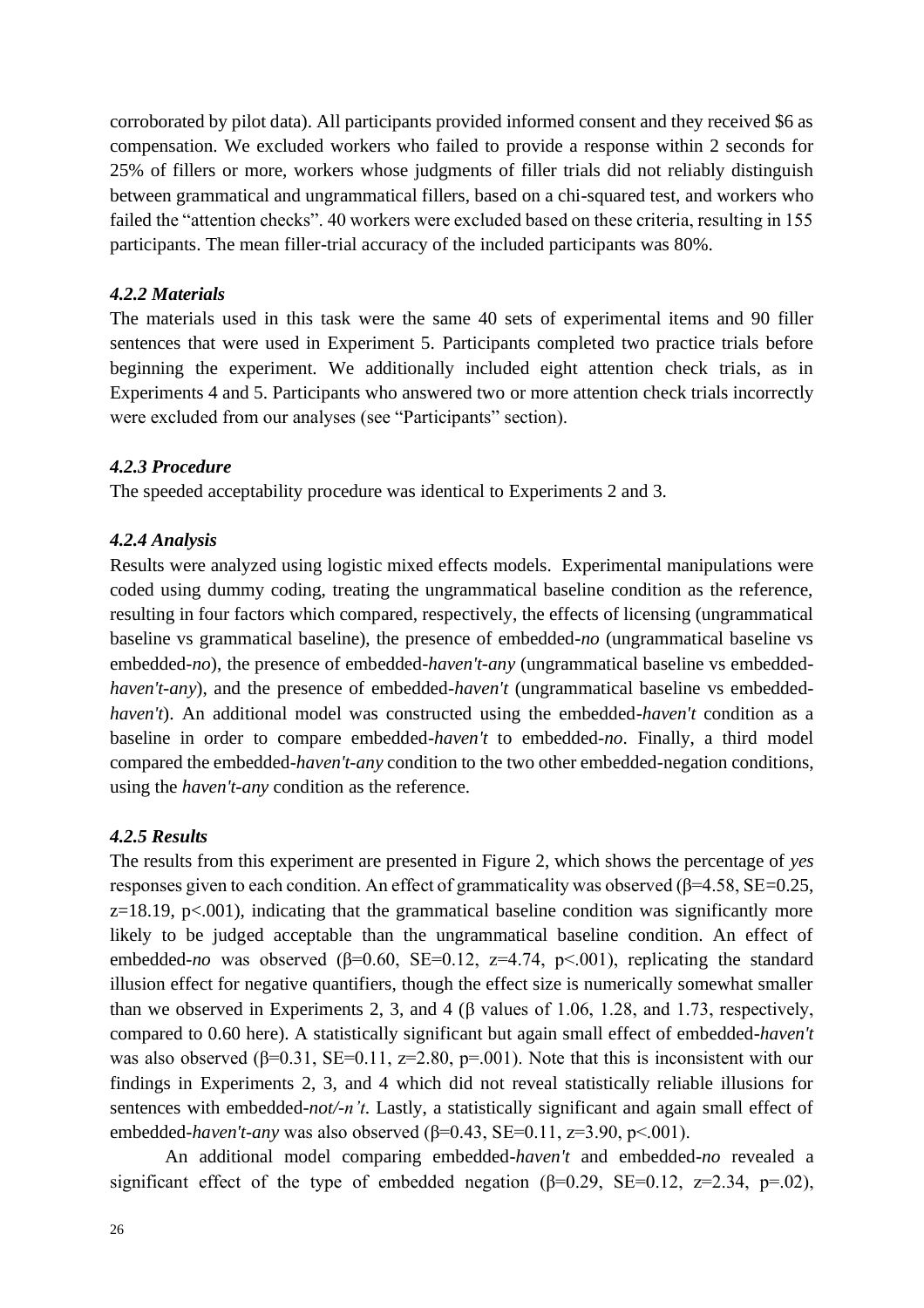corroborated by pilot data). All participants provided informed consent and they received \$6 as compensation. We excluded workers who failed to provide a response within 2 seconds for 25% of fillers or more, workers whose judgments of filler trials did not reliably distinguish between grammatical and ungrammatical fillers, based on a chi-squared test, and workers who failed the "attention checks". 40 workers were excluded based on these criteria, resulting in 155 participants. The mean filler-trial accuracy of the included participants was 80%.

## *4.2.2 Materials*

The materials used in this task were the same 40 sets of experimental items and 90 filler sentences that were used in Experiment 5. Participants completed two practice trials before beginning the experiment. We additionally included eight attention check trials, as in Experiments 4 and 5. Participants who answered two or more attention check trials incorrectly were excluded from our analyses (see "Participants" section).

## *4.2.3 Procedure*

The speeded acceptability procedure was identical to Experiments 2 and 3.

# *4.2.4 Analysis*

Results were analyzed using logistic mixed effects models. Experimental manipulations were coded using dummy coding, treating the ungrammatical baseline condition as the reference, resulting in four factors which compared, respectively, the effects of licensing (ungrammatical baseline vs grammatical baseline), the presence of embedded-*no* (ungrammatical baseline vs embedded-*no*), the presence of embedded-*haven't-any* (ungrammatical baseline vs embedded*haven't-any*), and the presence of embedded-*haven't* (ungrammatical baseline vs embedded*haven't*). An additional model was constructed using the embedded-*haven't* condition as a baseline in order to compare embedded-*haven't* to embedded-*no*. Finally, a third model compared the embedded-*haven't-any* condition to the two other embedded-negation conditions, using the *haven't-any* condition as the reference.

## *4.2.5 Results*

The results from this experiment are presented in Figure 2, which shows the percentage of *yes* responses given to each condition. An effect of grammaticality was observed (β=4.58, SE=0.25,  $z=18.19$ ,  $p<.001$ ), indicating that the grammatical baseline condition was significantly more likely to be judged acceptable than the ungrammatical baseline condition. An effect of embedded-*no* was observed ( $\beta$ =0.60, SE=0.12, z=4.74, p<.001), replicating the standard illusion effect for negative quantifiers, though the effect size is numerically somewhat smaller than we observed in Experiments 2, 3, and 4 ( $\beta$  values of 1.06, 1.28, and 1.73, respectively, compared to 0.60 here). A statistically significant but again small effect of embedded-*haven't*  was also observed ( $\beta$ =0.31, SE=0.11, z=2.80, p=.001). Note that this is inconsistent with our findings in Experiments 2, 3, and 4 which did not reveal statistically reliable illusions for sentences with embedded-*not/-n't*. Lastly, a statistically significant and again small effect of embedded-*haven't-any* was also observed (β=0.43, SE=0.11, z=3.90, p<.001).

An additional model comparing embedded-*haven't* and embedded-*no* revealed a significant effect of the type of embedded negation ( $\beta$ =0.29, SE=0.12, z=2.34, p=.02),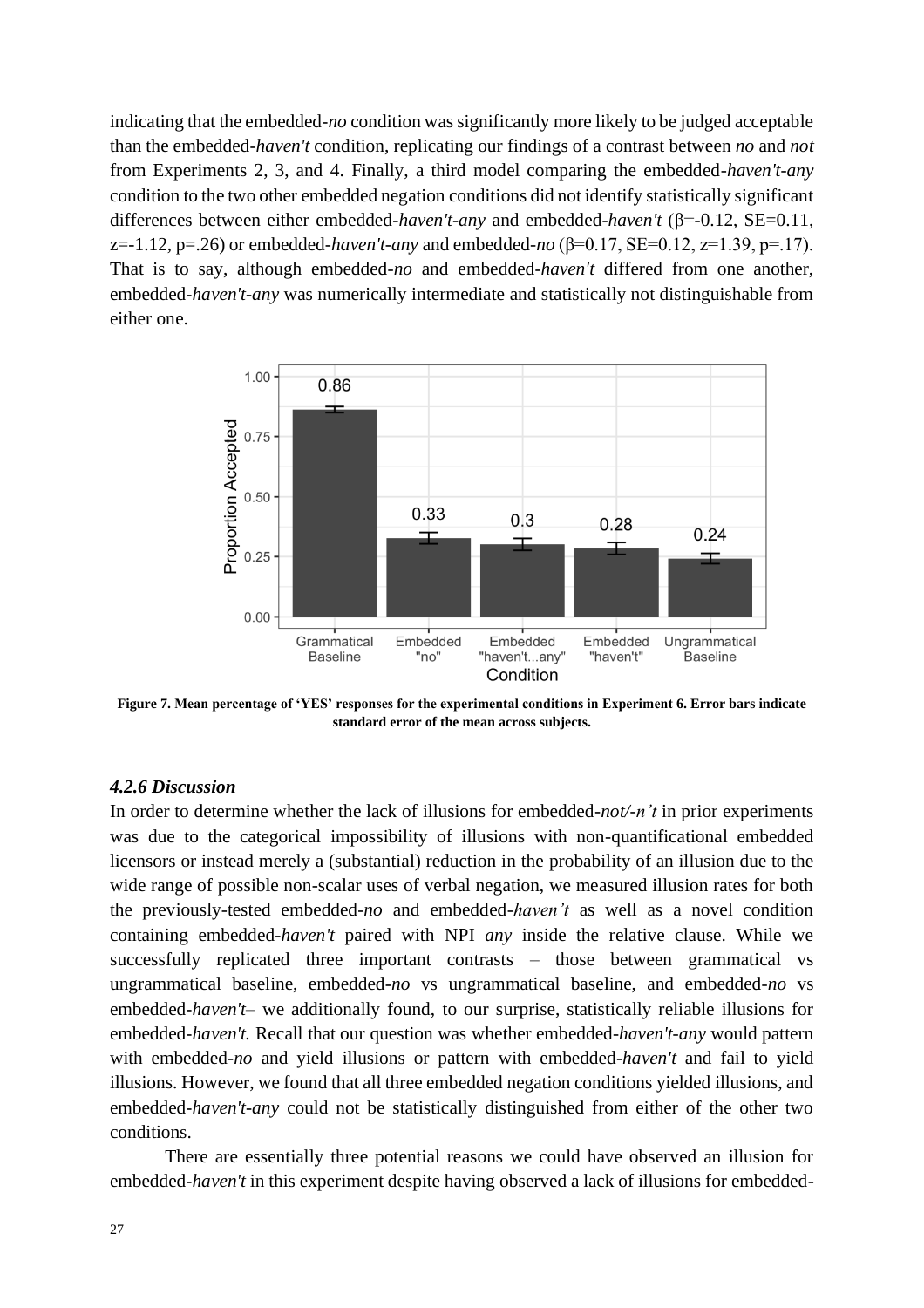indicating that the embedded-*no* condition was significantly more likely to be judged acceptable than the embedded-*haven't* condition, replicating our findings of a contrast between *no* and *not* from Experiments 2, 3, and 4. Finally, a third model comparing the embedded-*haven't-any*  condition to the two other embedded negation conditions did not identify statistically significant differences between either embedded-*haven't-any* and embedded-*haven't* (β=-0.12, SE=0.11, z=-1.12, p=.26) or embedded-*haven't-any* and embedded-*no* (β=0.17, SE=0.12, z=1.39, p=.17). That is to say, although embedded-*no* and embedded-*haven't* differed from one another, embedded-*haven't-any* was numerically intermediate and statistically not distinguishable from either one.



**Figure 7. Mean percentage of 'YES' responses for the experimental conditions in Experiment 6. Error bars indicate standard error of the mean across subjects.**

#### *4.2.6 Discussion*

In order to determine whether the lack of illusions for embedded-*not/-n't* in prior experiments was due to the categorical impossibility of illusions with non-quantificational embedded licensors or instead merely a (substantial) reduction in the probability of an illusion due to the wide range of possible non-scalar uses of verbal negation, we measured illusion rates for both the previously-tested embedded-*no* and embedded*-haven't* as well as a novel condition containing embedded-*haven't* paired with NPI *any* inside the relative clause. While we successfully replicated three important contrasts – those between grammatical vs ungrammatical baseline, embedded-*no* vs ungrammatical baseline, and embedded-*no* vs embedded-*haven't*– we additionally found, to our surprise, statistically reliable illusions for embedded-*haven't.* Recall that our question was whether embedded-*haven't-any* would pattern with embedded-*no* and yield illusions or pattern with embedded-*haven't* and fail to yield illusions. However, we found that all three embedded negation conditions yielded illusions, and embedded-*haven't-any* could not be statistically distinguished from either of the other two conditions.

There are essentially three potential reasons we could have observed an illusion for embedded-*haven't* in this experiment despite having observed a lack of illusions for embedded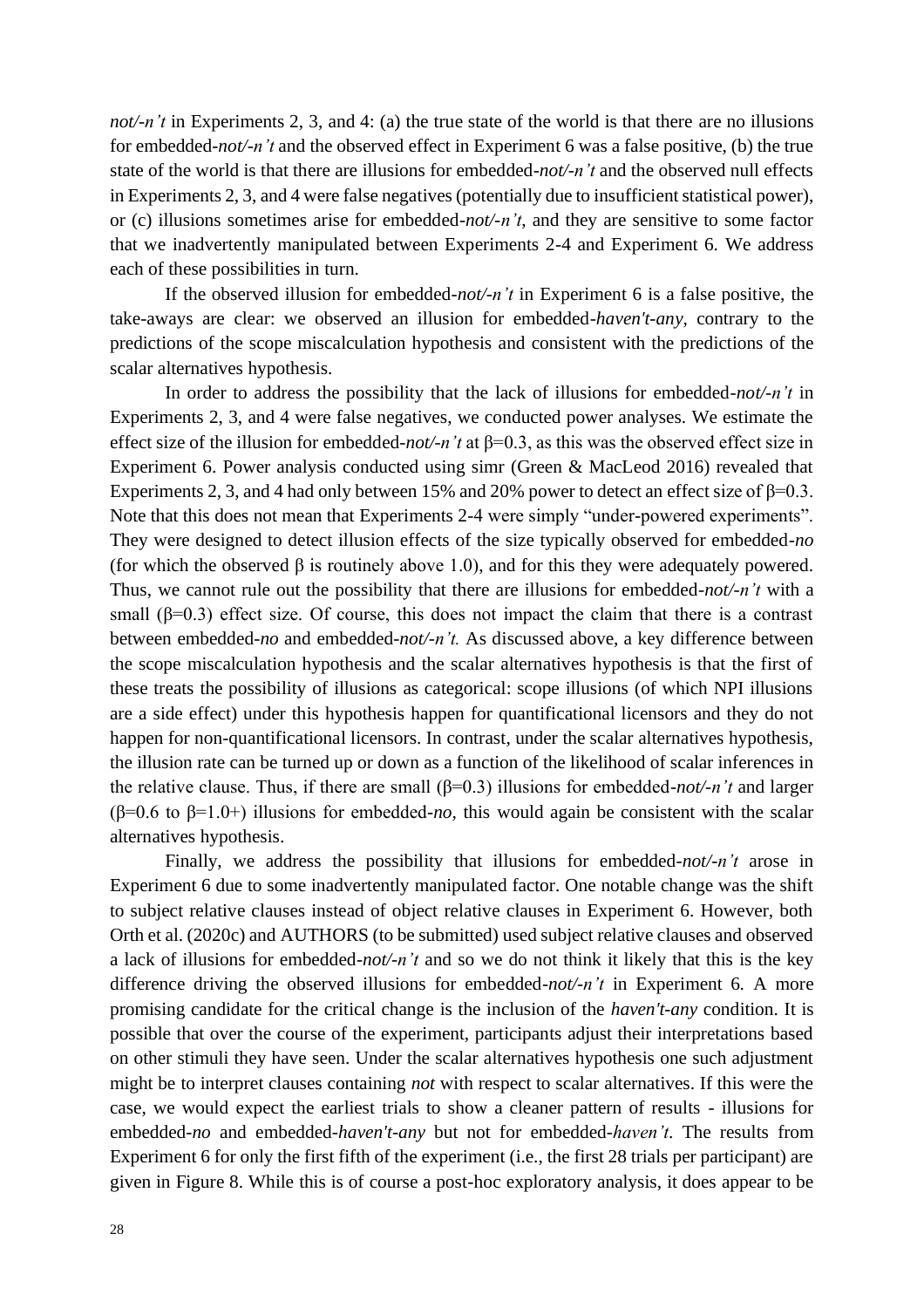*not/-n't* in Experiments 2, 3, and 4: (a) the true state of the world is that there are no illusions for embedded-*not/-n't* and the observed effect in Experiment 6 was a false positive, (b) the true state of the world is that there are illusions for embedded-*not/-n't* and the observed null effects in Experiments 2, 3, and 4 were false negatives (potentially due to insufficient statistical power), or (c) illusions sometimes arise for embedded-*not/-n't*, and they are sensitive to some factor that we inadvertently manipulated between Experiments 2-4 and Experiment 6. We address each of these possibilities in turn.

If the observed illusion for embedded-*not/-n't* in Experiment 6 is a false positive, the take-aways are clear: we observed an illusion for embedded-*haven't-any*, contrary to the predictions of the scope miscalculation hypothesis and consistent with the predictions of the scalar alternatives hypothesis.

In order to address the possibility that the lack of illusions for embedded-*not/-n't* in Experiments 2, 3, and 4 were false negatives, we conducted power analyses. We estimate the effect size of the illusion for embedded-*not/-n't* at β=0.3, as this was the observed effect size in Experiment 6. Power analysis conducted using simr (Green & MacLeod 2016) revealed that Experiments 2, 3, and 4 had only between 15% and 20% power to detect an effect size of  $\beta$ =0.3. Note that this does not mean that Experiments 2-4 were simply "under-powered experiments". They were designed to detect illusion effects of the size typically observed for embedded-*no*  (for which the observed  $\beta$  is routinely above 1.0), and for this they were adequately powered. Thus, we cannot rule out the possibility that there are illusions for embedded-*not/-n't* with a small ( $\beta$ =0.3) effect size. Of course, this does not impact the claim that there is a contrast between embedded-*no* and embedded-*not/-n't.* As discussed above, a key difference between the scope miscalculation hypothesis and the scalar alternatives hypothesis is that the first of these treats the possibility of illusions as categorical: scope illusions (of which NPI illusions are a side effect) under this hypothesis happen for quantificational licensors and they do not happen for non-quantificational licensors. In contrast, under the scalar alternatives hypothesis, the illusion rate can be turned up or down as a function of the likelihood of scalar inferences in the relative clause. Thus, if there are small (β=0.3) illusions for embedded-*not/-n't* and larger (β=0.6 to β=1.0+) illusions for embedded-*no,* this would again be consistent with the scalar alternatives hypothesis.

Finally, we address the possibility that illusions for embedded-*not/-n't* arose in Experiment 6 due to some inadvertently manipulated factor. One notable change was the shift to subject relative clauses instead of object relative clauses in Experiment 6. However, both Orth et al. (2020c) and AUTHORS (to be submitted) used subject relative clauses and observed a lack of illusions for embedded-*not/-n't* and so we do not think it likely that this is the key difference driving the observed illusions for embedded*-not/-n't* in Experiment 6*.* A more promising candidate for the critical change is the inclusion of the *haven't-any* condition. It is possible that over the course of the experiment, participants adjust their interpretations based on other stimuli they have seen. Under the scalar alternatives hypothesis one such adjustment might be to interpret clauses containing *not* with respect to scalar alternatives. If this were the case, we would expect the earliest trials to show a cleaner pattern of results - illusions for embedded-*no* and embedded-*haven't-any* but not for embedded-*haven't*. The results from Experiment 6 for only the first fifth of the experiment (i.e., the first 28 trials per participant) are given in Figure 8. While this is of course a post-hoc exploratory analysis, it does appear to be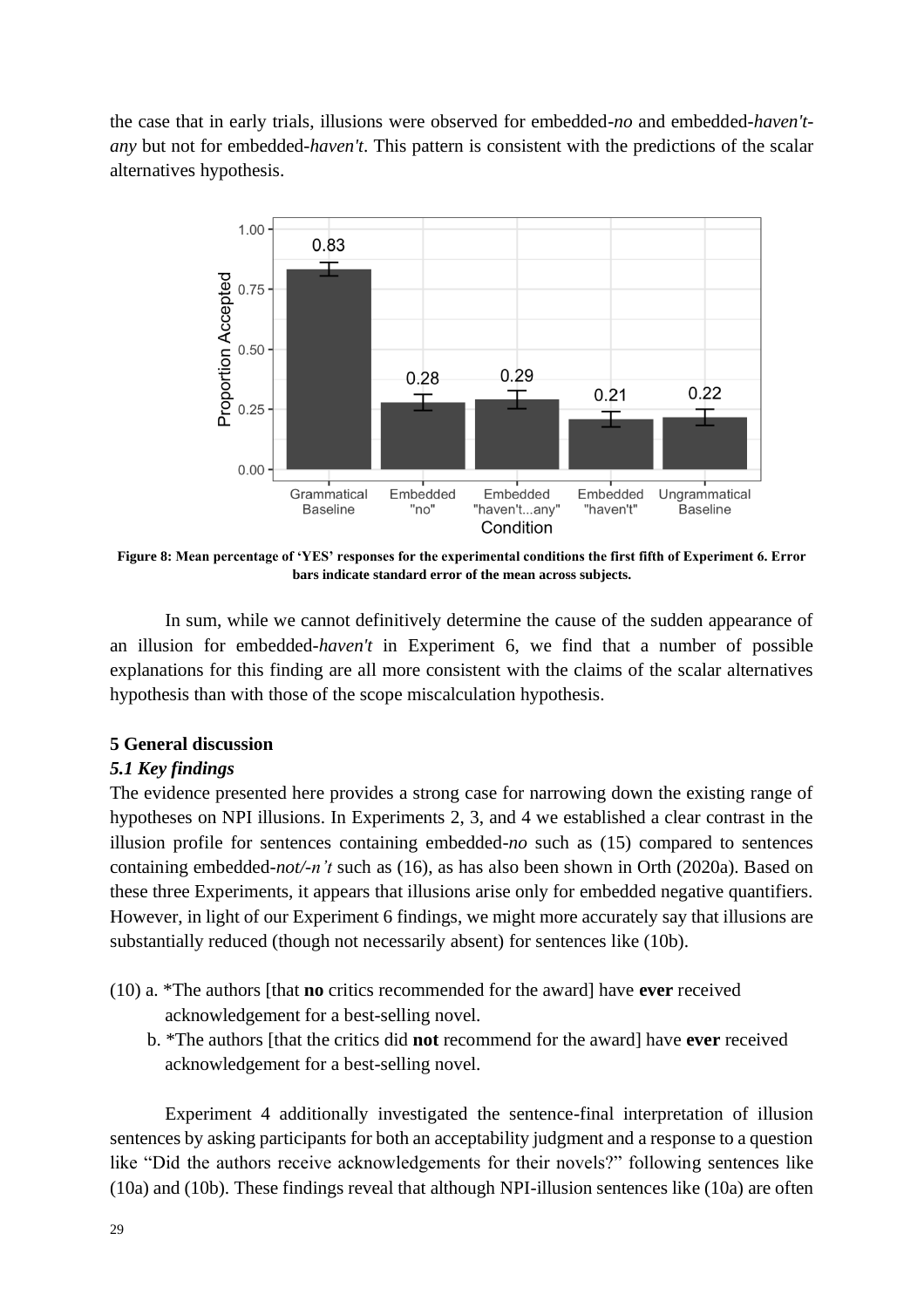the case that in early trials, illusions were observed for embedded-*no* and embedded-*haven'tany* but not for embedded-*haven't*. This pattern is consistent with the predictions of the scalar alternatives hypothesis.



**Figure 8: Mean percentage of 'YES' responses for the experimental conditions the first fifth of Experiment 6. Error bars indicate standard error of the mean across subjects.**

In sum, while we cannot definitively determine the cause of the sudden appearance of an illusion for embedded-*haven't* in Experiment 6, we find that a number of possible explanations for this finding are all more consistent with the claims of the scalar alternatives hypothesis than with those of the scope miscalculation hypothesis.

# **5 General discussion**

# *5.1 Key findings*

The evidence presented here provides a strong case for narrowing down the existing range of hypotheses on NPI illusions. In Experiments 2, 3, and 4 we established a clear contrast in the illusion profile for sentences containing embedded-*no* such as (15) compared to sentences containing embedded-*not/-n't* such as (16), as has also been shown in Orth (2020a). Based on these three Experiments, it appears that illusions arise only for embedded negative quantifiers. However, in light of our Experiment 6 findings, we might more accurately say that illusions are substantially reduced (though not necessarily absent) for sentences like (10b).

- (10) a. \*The authors [that **no** critics recommended for the award] have **ever** received acknowledgement for a best-selling novel.
	- b. \*The authors [that the critics did **not** recommend for the award] have **ever** received acknowledgement for a best-selling novel.

Experiment 4 additionally investigated the sentence-final interpretation of illusion sentences by asking participants for both an acceptability judgment and a response to a question like "Did the authors receive acknowledgements for their novels?" following sentences like (10a) and (10b). These findings reveal that although NPI-illusion sentences like (10a) are often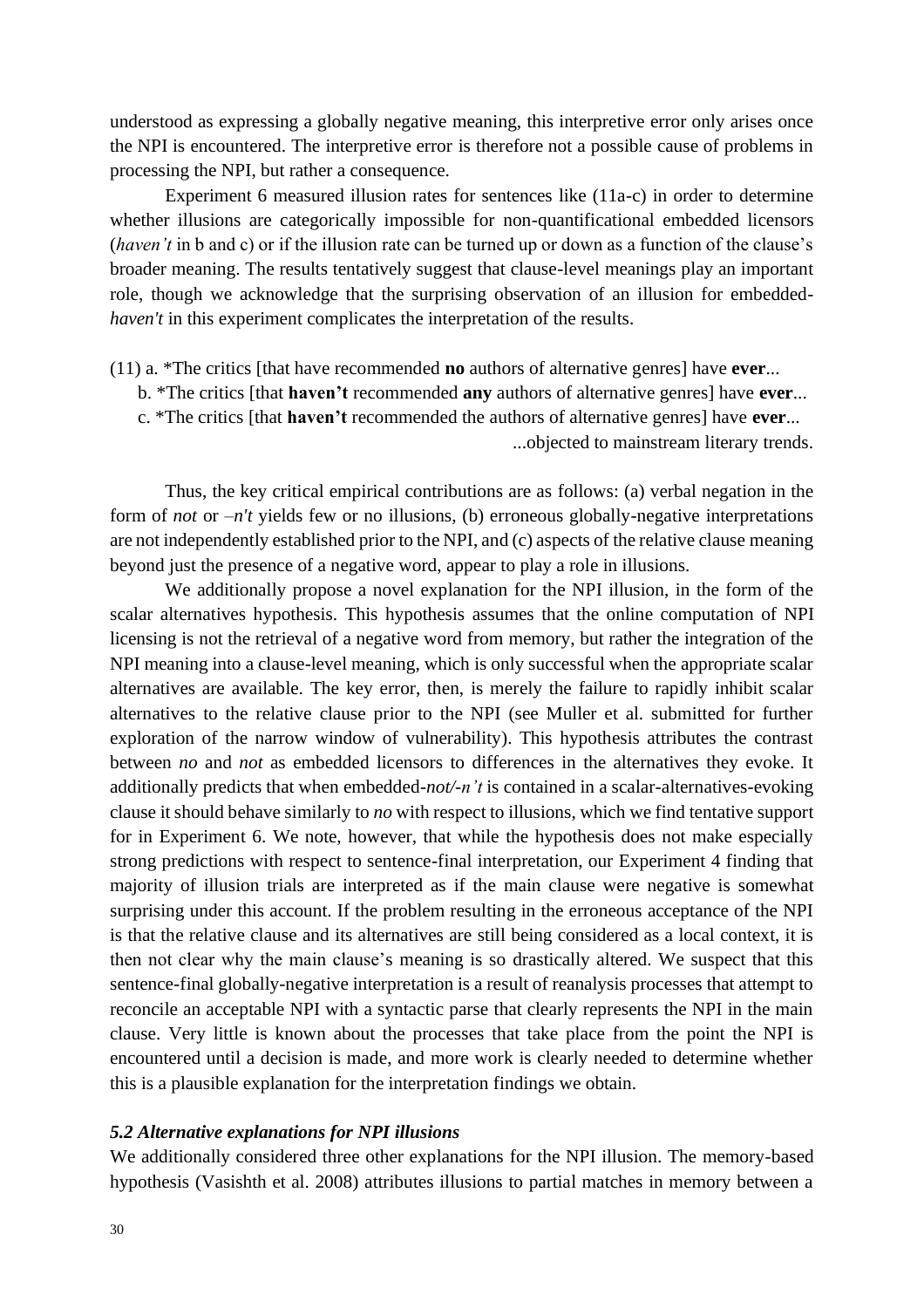understood as expressing a globally negative meaning, this interpretive error only arises once the NPI is encountered. The interpretive error is therefore not a possible cause of problems in processing the NPI, but rather a consequence.

Experiment 6 measured illusion rates for sentences like (11a-c) in order to determine whether illusions are categorically impossible for non-quantificational embedded licensors (*haven't* in b and c) or if the illusion rate can be turned up or down as a function of the clause's broader meaning. The results tentatively suggest that clause-level meanings play an important role, though we acknowledge that the surprising observation of an illusion for embedded*haven't* in this experiment complicates the interpretation of the results.

(11) a. \*The critics [that have recommended **no** authors of alternative genres] have **ever**...

- b. \*The critics [that **haven't** recommended **any** authors of alternative genres] have **ever**...
- c. \*The critics [that **haven't** recommended the authors of alternative genres] have **ever**...

...objected to mainstream literary trends.

Thus, the key critical empirical contributions are as follows: (a) verbal negation in the form of *not* or  $-n't$  yields few or no illusions, (b) erroneous globally-negative interpretations are not independently established prior to the NPI, and (c) aspects of the relative clause meaning beyond just the presence of a negative word, appear to play a role in illusions.

We additionally propose a novel explanation for the NPI illusion, in the form of the scalar alternatives hypothesis. This hypothesis assumes that the online computation of NPI licensing is not the retrieval of a negative word from memory, but rather the integration of the NPI meaning into a clause-level meaning, which is only successful when the appropriate scalar alternatives are available. The key error, then, is merely the failure to rapidly inhibit scalar alternatives to the relative clause prior to the NPI (see Muller et al. submitted for further exploration of the narrow window of vulnerability). This hypothesis attributes the contrast between *no* and *not* as embedded licensors to differences in the alternatives they evoke. It additionally predicts that when embedded-*not/-n't* is contained in a scalar-alternatives-evoking clause it should behave similarly to *no* with respect to illusions, which we find tentative support for in Experiment 6. We note, however, that while the hypothesis does not make especially strong predictions with respect to sentence-final interpretation, our Experiment 4 finding that majority of illusion trials are interpreted as if the main clause were negative is somewhat surprising under this account. If the problem resulting in the erroneous acceptance of the NPI is that the relative clause and its alternatives are still being considered as a local context, it is then not clear why the main clause's meaning is so drastically altered. We suspect that this sentence-final globally-negative interpretation is a result of reanalysis processes that attempt to reconcile an acceptable NPI with a syntactic parse that clearly represents the NPI in the main clause. Very little is known about the processes that take place from the point the NPI is encountered until a decision is made, and more work is clearly needed to determine whether this is a plausible explanation for the interpretation findings we obtain.

#### *5.2 Alternative explanations for NPI illusions*

We additionally considered three other explanations for the NPI illusion. The memory-based hypothesis (Vasishth et al. 2008) attributes illusions to partial matches in memory between a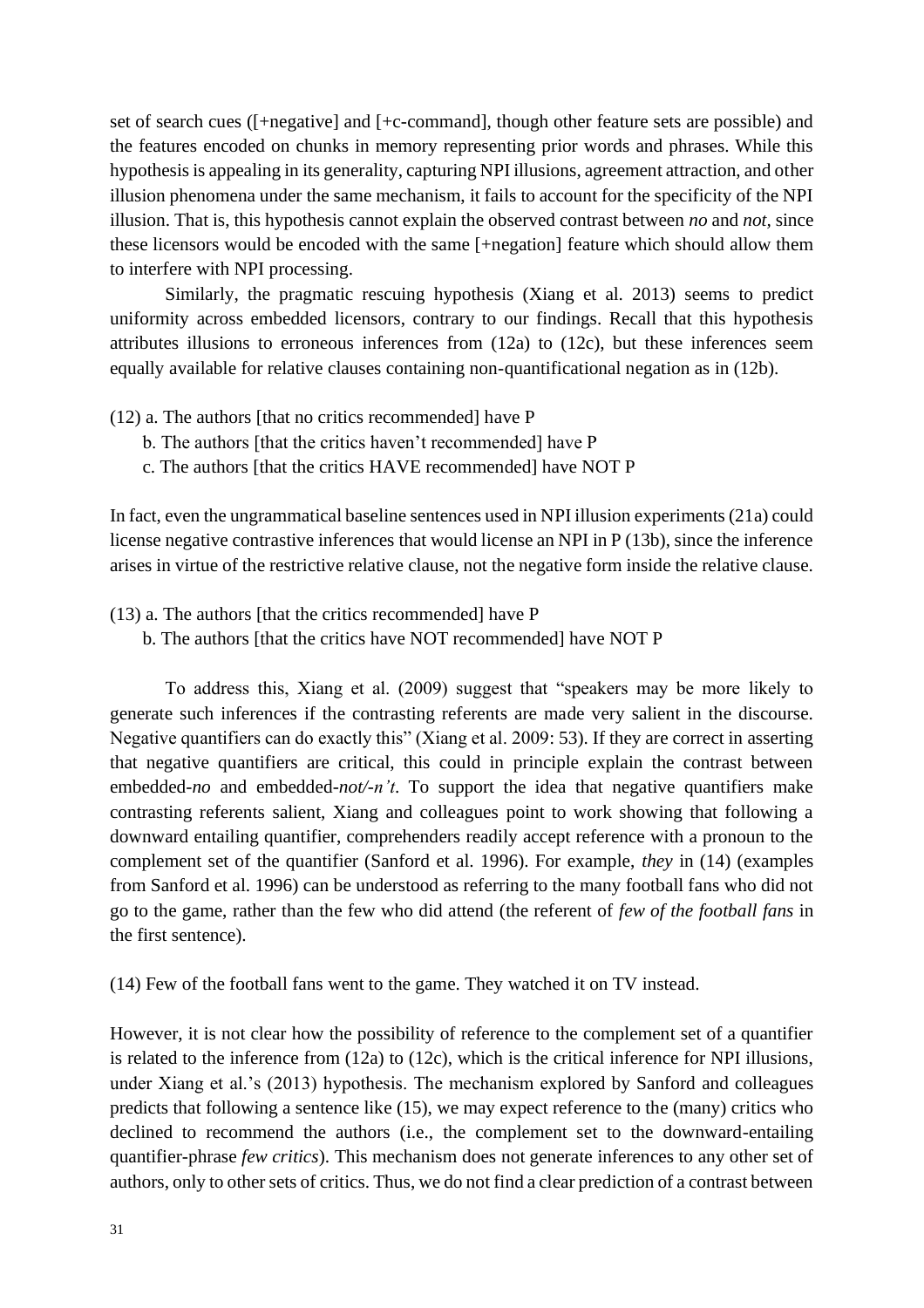set of search cues ([+negative] and [+c-command], though other feature sets are possible) and the features encoded on chunks in memory representing prior words and phrases. While this hypothesis is appealing in its generality, capturing NPI illusions, agreement attraction, and other illusion phenomena under the same mechanism, it fails to account for the specificity of the NPI illusion. That is, this hypothesis cannot explain the observed contrast between *no* and *not,* since these licensors would be encoded with the same [+negation] feature which should allow them to interfere with NPI processing.

Similarly, the pragmatic rescuing hypothesis (Xiang et al. 2013) seems to predict uniformity across embedded licensors, contrary to our findings. Recall that this hypothesis attributes illusions to erroneous inferences from (12a) to (12c), but these inferences seem equally available for relative clauses containing non-quantificational negation as in (12b).

- (12) a. The authors [that no critics recommended] have P
	- b. The authors [that the critics haven't recommended] have P
	- c. The authors [that the critics HAVE recommended] have NOT P

In fact, even the ungrammatical baseline sentences used in NPI illusion experiments (21a) could license negative contrastive inferences that would license an NPI in P (13b), since the inference arises in virtue of the restrictive relative clause, not the negative form inside the relative clause.

- (13) a. The authors [that the critics recommended] have P
	- b. The authors [that the critics have NOT recommended] have NOT P

To address this, Xiang et al. (2009) suggest that "speakers may be more likely to generate such inferences if the contrasting referents are made very salient in the discourse. Negative quantifiers can do exactly this" (Xiang et al. 2009: 53). If they are correct in asserting that negative quantifiers are critical, this could in principle explain the contrast between embedded-*no* and embedded-*not/-n't*. To support the idea that negative quantifiers make contrasting referents salient, Xiang and colleagues point to work showing that following a downward entailing quantifier, comprehenders readily accept reference with a pronoun to the complement set of the quantifier (Sanford et al. 1996). For example, *they* in (14) (examples from Sanford et al. 1996) can be understood as referring to the many football fans who did not go to the game, rather than the few who did attend (the referent of *few of the football fans* in the first sentence).

(14) Few of the football fans went to the game. They watched it on TV instead.

However, it is not clear how the possibility of reference to the complement set of a quantifier is related to the inference from (12a) to (12c), which is the critical inference for NPI illusions, under Xiang et al.'s (2013) hypothesis. The mechanism explored by Sanford and colleagues predicts that following a sentence like (15), we may expect reference to the (many) critics who declined to recommend the authors (i.e., the complement set to the downward-entailing quantifier-phrase *few critics*). This mechanism does not generate inferences to any other set of authors, only to other sets of critics. Thus, we do not find a clear prediction of a contrast between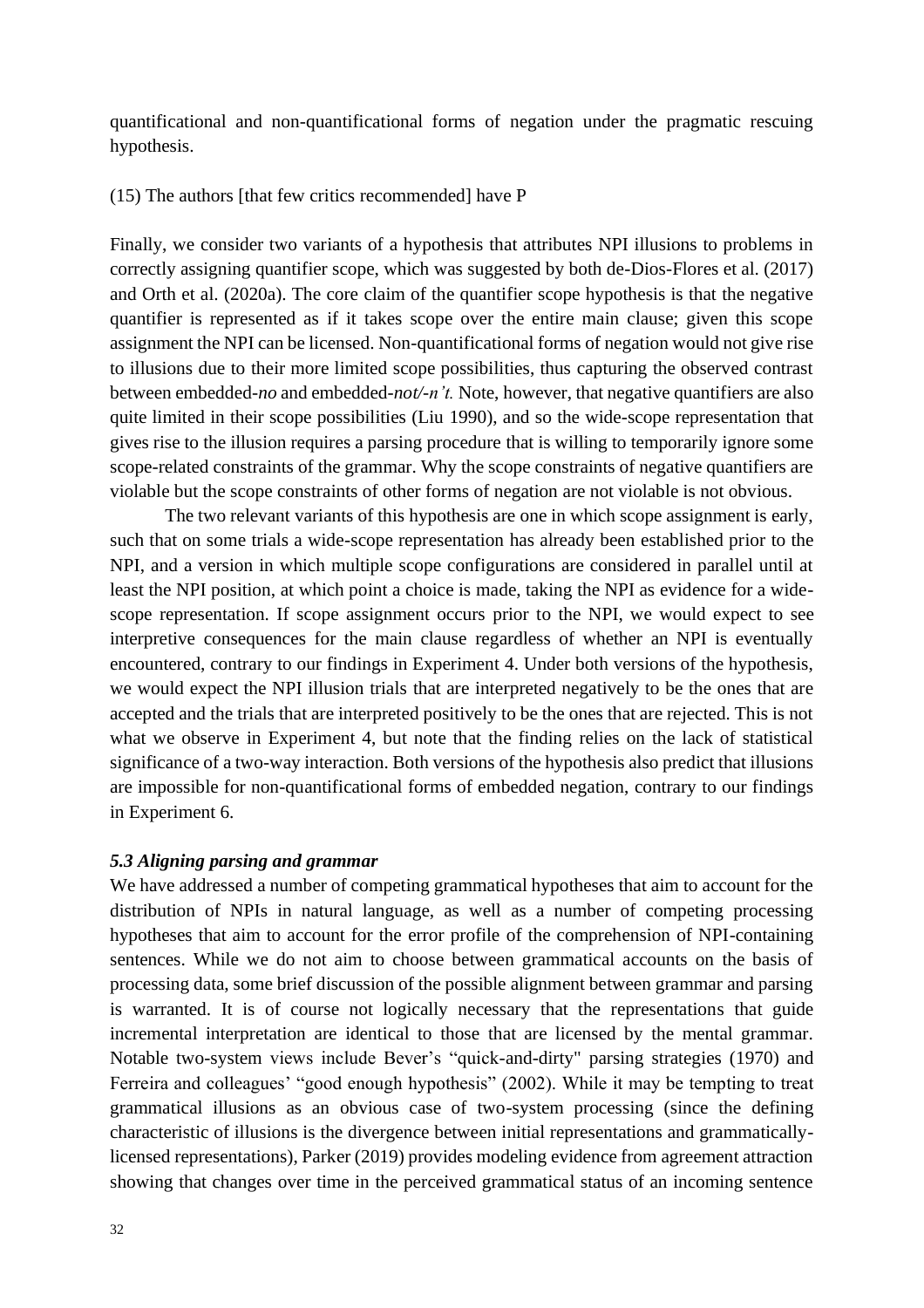quantificational and non-quantificational forms of negation under the pragmatic rescuing hypothesis.

## (15) The authors [that few critics recommended] have P

Finally, we consider two variants of a hypothesis that attributes NPI illusions to problems in correctly assigning quantifier scope, which was suggested by both de-Dios-Flores et al. (2017) and Orth et al. (2020a). The core claim of the quantifier scope hypothesis is that the negative quantifier is represented as if it takes scope over the entire main clause; given this scope assignment the NPI can be licensed. Non-quantificational forms of negation would not give rise to illusions due to their more limited scope possibilities, thus capturing the observed contrast between embedded-*no* and embedded-*not/-n't.* Note, however, that negative quantifiers are also quite limited in their scope possibilities (Liu 1990), and so the wide-scope representation that gives rise to the illusion requires a parsing procedure that is willing to temporarily ignore some scope-related constraints of the grammar. Why the scope constraints of negative quantifiers are violable but the scope constraints of other forms of negation are not violable is not obvious.

The two relevant variants of this hypothesis are one in which scope assignment is early, such that on some trials a wide-scope representation has already been established prior to the NPI, and a version in which multiple scope configurations are considered in parallel until at least the NPI position, at which point a choice is made, taking the NPI as evidence for a widescope representation. If scope assignment occurs prior to the NPI, we would expect to see interpretive consequences for the main clause regardless of whether an NPI is eventually encountered, contrary to our findings in Experiment 4. Under both versions of the hypothesis, we would expect the NPI illusion trials that are interpreted negatively to be the ones that are accepted and the trials that are interpreted positively to be the ones that are rejected. This is not what we observe in Experiment 4, but note that the finding relies on the lack of statistical significance of a two-way interaction. Both versions of the hypothesis also predict that illusions are impossible for non-quantificational forms of embedded negation, contrary to our findings in Experiment 6.

## *5.3 Aligning parsing and grammar*

We have addressed a number of competing grammatical hypotheses that aim to account for the distribution of NPIs in natural language, as well as a number of competing processing hypotheses that aim to account for the error profile of the comprehension of NPI-containing sentences. While we do not aim to choose between grammatical accounts on the basis of processing data, some brief discussion of the possible alignment between grammar and parsing is warranted. It is of course not logically necessary that the representations that guide incremental interpretation are identical to those that are licensed by the mental grammar. Notable two-system views include Bever's "quick-and-dirty" parsing strategies (1970) and Ferreira and colleagues' "good enough hypothesis" (2002). While it may be tempting to treat grammatical illusions as an obvious case of two-system processing (since the defining characteristic of illusions is the divergence between initial representations and grammaticallylicensed representations), Parker (2019) provides modeling evidence from agreement attraction showing that changes over time in the perceived grammatical status of an incoming sentence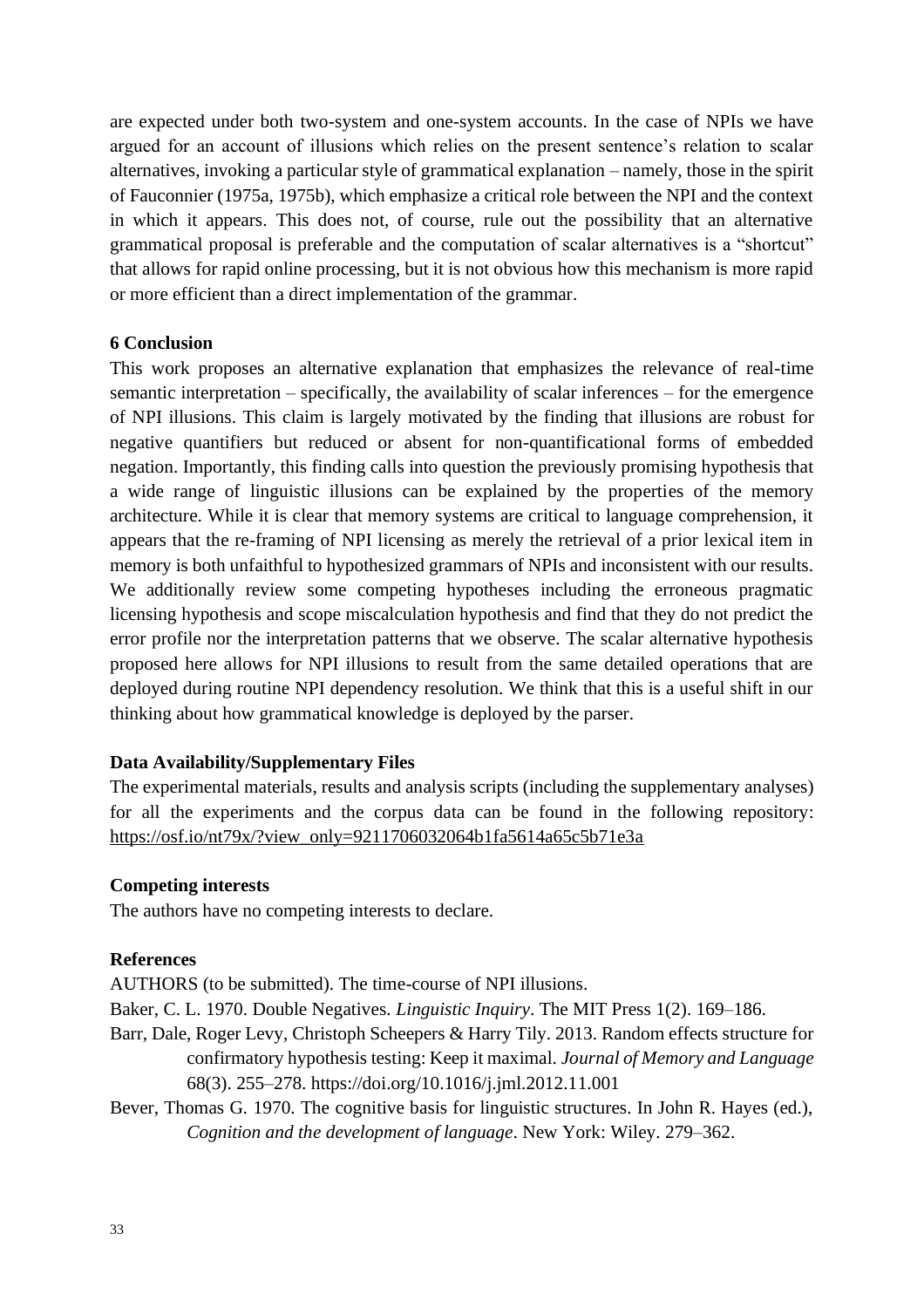are expected under both two-system and one-system accounts. In the case of NPIs we have argued for an account of illusions which relies on the present sentence's relation to scalar alternatives, invoking a particular style of grammatical explanation – namely, those in the spirit of Fauconnier (1975a, 1975b), which emphasize a critical role between the NPI and the context in which it appears. This does not, of course, rule out the possibility that an alternative grammatical proposal is preferable and the computation of scalar alternatives is a "shortcut" that allows for rapid online processing, but it is not obvious how this mechanism is more rapid or more efficient than a direct implementation of the grammar.

## **6 Conclusion**

This work proposes an alternative explanation that emphasizes the relevance of real-time semantic interpretation – specifically, the availability of scalar inferences – for the emergence of NPI illusions. This claim is largely motivated by the finding that illusions are robust for negative quantifiers but reduced or absent for non-quantificational forms of embedded negation. Importantly, this finding calls into question the previously promising hypothesis that a wide range of linguistic illusions can be explained by the properties of the memory architecture. While it is clear that memory systems are critical to language comprehension, it appears that the re-framing of NPI licensing as merely the retrieval of a prior lexical item in memory is both unfaithful to hypothesized grammars of NPIs and inconsistent with our results. We additionally review some competing hypotheses including the erroneous pragmatic licensing hypothesis and scope miscalculation hypothesis and find that they do not predict the error profile nor the interpretation patterns that we observe. The scalar alternative hypothesis proposed here allows for NPI illusions to result from the same detailed operations that are deployed during routine NPI dependency resolution. We think that this is a useful shift in our thinking about how grammatical knowledge is deployed by the parser.

#### **Data Availability/Supplementary Files**

The experimental materials, results and analysis scripts (including the supplementary analyses) for all the experiments and the corpus data can be found in the following repository: [https://osf.io/nt79x/?view\\_only=9211706032064b1fa5614a65c5b71e3a](https://osf.io/nt79x/?view_only=9211706032064b1fa5614a65c5b71e3a)

#### **Competing interests**

The authors have no competing interests to declare.

#### **References**

AUTHORS (to be submitted). The time-course of NPI illusions.

Baker, C. L. 1970. Double Negatives. *Linguistic Inquiry*. The MIT Press 1(2). 169–186.

- Barr, Dale, Roger Levy, Christoph Scheepers & Harry Tily. 2013. Random effects structure for confirmatory hypothesis testing: Keep it maximal. *Journal of Memory and Language*  68(3). 255–278. https://doi.org/10.1016/j.jml.2012.11.001
- Bever, Thomas G. 1970. The cognitive basis for linguistic structures. In John R. Hayes (ed.), *Cognition and the development of language*. New York: Wiley. 279–362.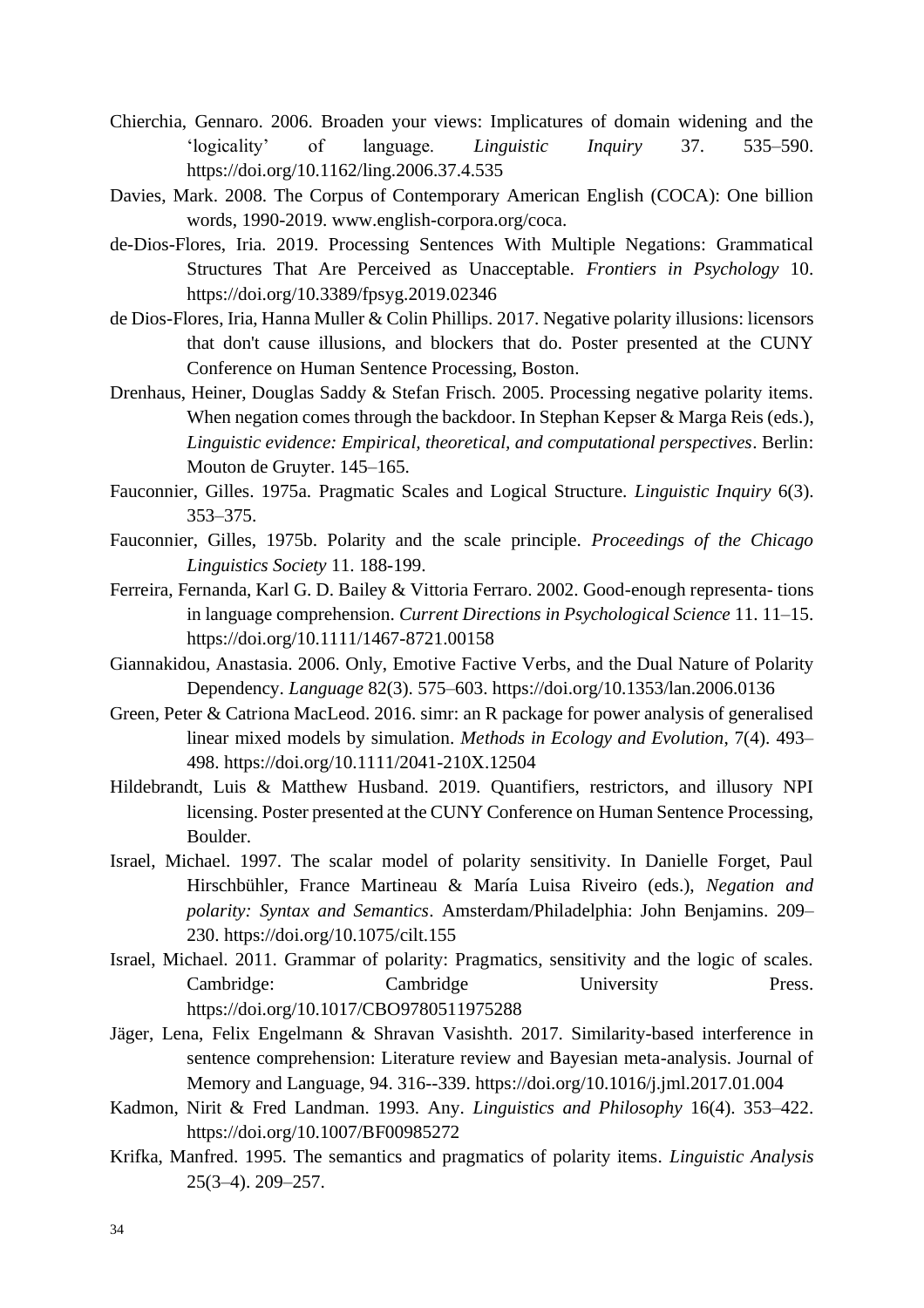- Chierchia, Gennaro. 2006. Broaden your views: Implicatures of domain widening and the 'logicality' of language. *Linguistic Inquiry* 37. 535–590. <https://doi.org/10.1162/ling.2006.37.4.535>
- Davies, Mark. 2008. The Corpus of Contemporary American English (COCA): One billion words, 1990-2019. [www.english-corpora.org/coca.](http://www.english-corpora.org/coca)
- de-Dios-Flores, Iria. 2019. Processing Sentences With Multiple Negations: Grammatical Structures That Are Perceived as Unacceptable. *Frontiers in Psychology* 10. https://doi.org/10.3389/fpsyg.2019.02346
- de Dios-Flores, Iria, Hanna Muller & Colin Phillips. 2017. Negative polarity illusions: licensors that don't cause illusions, and blockers that do. Poster presented at the CUNY Conference on Human Sentence Processing, Boston.
- Drenhaus, Heiner, Douglas Saddy & Stefan Frisch. 2005. Processing negative polarity items. When negation comes through the backdoor. In Stephan Kepser & Marga Reis (eds.), *Linguistic evidence: Empirical, theoretical, and computational perspectives*. Berlin: Mouton de Gruyter. 145–165.
- Fauconnier, Gilles. 1975a. Pragmatic Scales and Logical Structure. *Linguistic Inquiry* 6(3). 353–375.
- Fauconnier, Gilles, 1975b. Polarity and the scale principle. *Proceedings of the Chicago Linguistics Society* 11. 188-199.
- Ferreira, Fernanda, Karl G. D. Bailey & Vittoria Ferraro. 2002. Good-enough representa- tions in language comprehension. *Current Directions in Psychological Science* 11. 11–15. https://doi.org/10.1111/1467-8721.00158
- Giannakidou, Anastasia. 2006. Only, Emotive Factive Verbs, and the Dual Nature of Polarity Dependency. *Language* 82(3). 575–603. https://doi.org/10.1353/lan.2006.0136
- Green, Peter & Catriona MacLeod. 2016. simr: an R package for power analysis of generalised linear mixed models by simulation. *Methods in Ecology and Evolution*, 7(4). 493– 498. https://doi.org/10.1111/2041-210X.12504
- Hildebrandt, Luis & Matthew Husband. 2019. Quantifiers, restrictors, and illusory NPI licensing. Poster presented at the CUNY Conference on Human Sentence Processing, Boulder.
- Israel, Michael. 1997. The scalar model of polarity sensitivity. In Danielle Forget, Paul Hirschbühler, France Martineau & María Luisa Riveiro (eds.), *Negation and polarity: Syntax and Semantics*. Amsterdam/Philadelphia: John Benjamins. 209– 230. https://doi.org/10.1075/cilt.155
- Israel, Michael. 2011. Grammar of polarity: Pragmatics, sensitivity and the logic of scales. Cambridge: Cambridge University Press. <https://doi.org/10.1017/CBO9780511975288>
- Jäger, Lena, Felix Engelmann & Shravan Vasishth. 2017. Similarity-based interference in sentence comprehension: Literature review and Bayesian meta-analysis. Journal of Memory and Language, 94. 316--339. https://doi.org/10.1016/j.jml.2017.01.004
- Kadmon, Nirit & Fred Landman. 1993. Any. *Linguistics and Philosophy* 16(4). 353–422. https://doi.org/10.1007/BF00985272
- Krifka, Manfred. 1995. The semantics and pragmatics of polarity items*. Linguistic Analysis* 25(3–4). 209–257.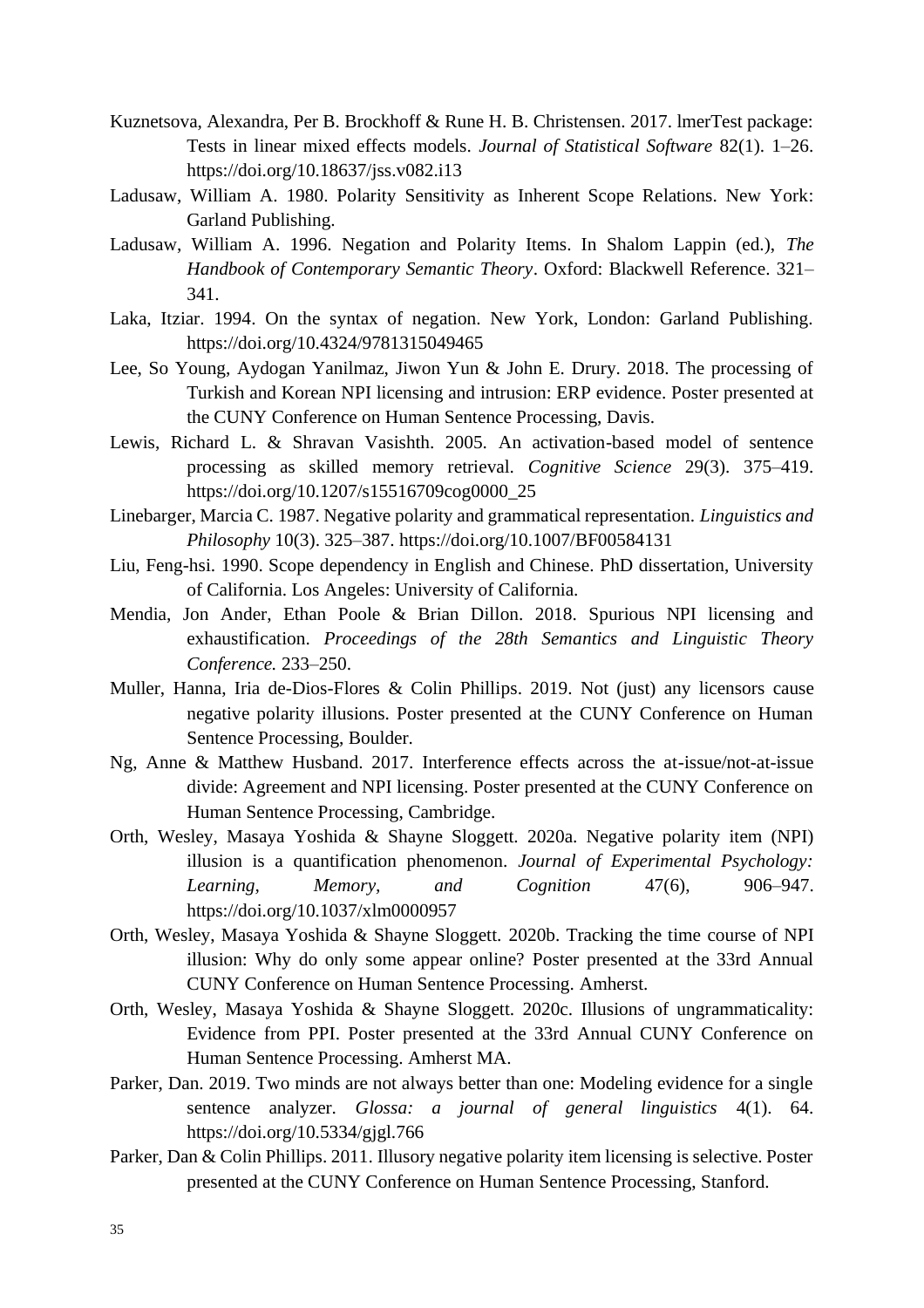- Kuznetsova, Alexandra, Per B. Brockhoff & Rune H. B. Christensen. 2017. lmerTest package: Tests in linear mixed effects models. *Journal of Statistical Software* 82(1). 1–26. https://doi.org/10.18637/jss.v082.i13
- Ladusaw, William A. 1980. Polarity Sensitivity as Inherent Scope Relations. New York: Garland Publishing.
- Ladusaw, William A. 1996. Negation and Polarity Items. In Shalom Lappin (ed.), *The Handbook of Contemporary Semantic Theory*. Oxford: Blackwell Reference. 321– 341.
- Laka, Itziar. 1994. On the syntax of negation. New York, London: Garland Publishing. https://doi.org/10.4324/9781315049465
- Lee, So Young, Aydogan Yanilmaz, Jiwon Yun & John E. Drury. 2018. The processing of Turkish and Korean NPI licensing and intrusion: ERP evidence. Poster presented at the CUNY Conference on Human Sentence Processing, Davis.
- Lewis, Richard L. & Shravan Vasishth. 2005. An activation-based model of sentence processing as skilled memory retrieval. *Cognitive Science* 29(3). 375–419. https://doi.org/10.1207/s15516709cog0000\_25
- Linebarger, Marcia C. 1987. Negative polarity and grammatical representation. *Linguistics and Philosophy* 10(3). 325–387. <https://doi.org/10.1007/BF00584131>
- Liu, Feng-hsi. 1990. Scope dependency in English and Chinese. PhD dissertation, University of California. Los Angeles: University of California.
- Mendia, Jon Ander, Ethan Poole & Brian Dillon. 2018. Spurious NPI licensing and exhaustification. *Proceedings of the 28th Semantics and Linguistic Theory Conference.* 233–250.
- Muller, Hanna, Iria de-Dios-Flores & Colin Phillips. 2019. Not (just) any licensors cause negative polarity illusions. Poster presented at the CUNY Conference on Human Sentence Processing, Boulder.
- Ng, Anne & Matthew Husband. 2017. Interference effects across the at-issue/not-at-issue divide: Agreement and NPI licensing. Poster presented at the CUNY Conference on Human Sentence Processing, Cambridge.
- Orth, Wesley, Masaya Yoshida & Shayne Sloggett. 2020a. Negative polarity item (NPI) illusion is a quantification phenomenon. *Journal of Experimental Psychology: Learning, Memory, and Cognition* 47(6), 906–947. https://doi.org/10.1037/xlm0000957
- Orth, Wesley, Masaya Yoshida & Shayne Sloggett. 2020b. Tracking the time course of NPI illusion: Why do only some appear online? Poster presented at the 33rd Annual CUNY Conference on Human Sentence Processing. Amherst.
- Orth, Wesley, Masaya Yoshida & Shayne Sloggett. 2020c. Illusions of ungrammaticality: Evidence from PPI. Poster presented at the 33rd Annual CUNY Conference on Human Sentence Processing. Amherst MA.
- Parker, Dan. 2019. Two minds are not always better than one: Modeling evidence for a single sentence analyzer. *Glossa: a journal of general linguistics* 4(1). 64. https://doi.org/10.5334/gjgl.766
- Parker, Dan & Colin Phillips. 2011. Illusory negative polarity item licensing is selective. Poster presented at the CUNY Conference on Human Sentence Processing, Stanford.